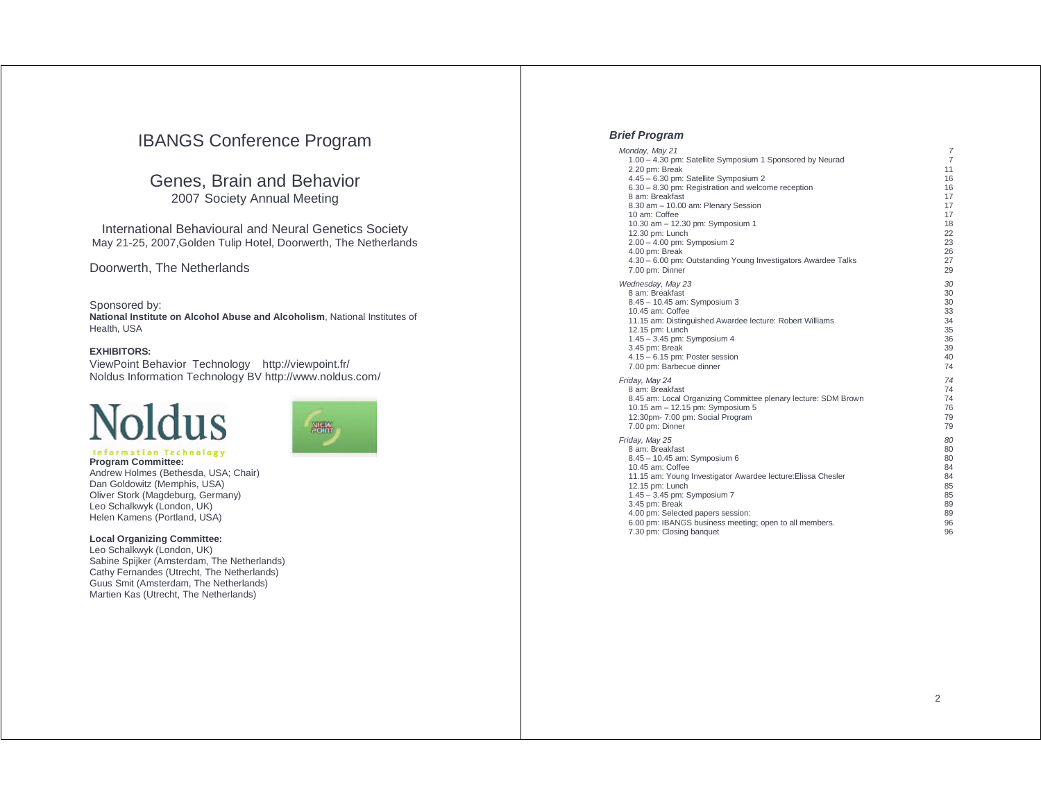# IBANGS Conference Program

# Genes, Brain and Behavior 2007 Society Annual Meeting

International Behavioural and Neural Genetics Society May 21-25, 2007,Golden Tulip Hotel, Doorwerth, The Netherlands

Doorwerth, The Netherlands

Sponsored by: **National Institute on Alcohol Abuse and Alcoholism**, National Institutes of Health, USA

### **EXHIBITORS:**

ViewPoint Behavior Technology http://viewpoint.fr/ Noldus Information Technology BV http://www.noldus.com/

# Noldus **Information Technology**



**Program Committee:**  Andrew Holmes (Bethesda, USA; Chair) Dan Goldowitz (Memphis, USA) Oliver Stork (Magdeburg, Germany) Leo Schalkwyk (London, UK) Helen Kamens (Portland, USA)

### **Local Organizing Committee:**

Leo Schalkwyk (London, UK) Sabine Spijker (Amsterdam, The Netherlands) Cathy Fernandes (Utrecht, The Netherlands) Guus Smit (Amsterdam, The Netherlands) Martien Kas (Utrecht, The Netherlands)

### **Brief Program**

| Monday, May 21                                                                   | 7              |
|----------------------------------------------------------------------------------|----------------|
| 1.00 - 4.30 pm: Satellite Symposium 1 Sponsored by Neurad                        | $\overline{7}$ |
| 2.20 pm: Break                                                                   | 11             |
| 4.45 - 6.30 pm: Satellite Symposium 2                                            | 16             |
| 6.30 - 8.30 pm: Registration and welcome reception                               | 16             |
| 8 am: Breakfast                                                                  | 17             |
| 8.30 am - 10.00 am: Plenary Session                                              | 17             |
| 10 am: Coffee<br>10.30 am - 12.30 pm: Symposium 1                                | 17<br>18       |
| 12.30 pm: Lunch                                                                  | 22             |
| 2.00 - 4.00 pm: Symposium 2                                                      | 23             |
| 4.00 pm: Break                                                                   | 26             |
| 4.30 - 6.00 pm: Outstanding Young Investigators Awardee Talks                    | 27             |
| 7.00 pm: Dinner                                                                  | 29             |
| Wednesday, May 23                                                                | 30             |
| 8 am: Breakfast                                                                  | 30             |
| 8.45 - 10.45 am: Symposium 3                                                     | 30             |
| 10.45 am: Coffee                                                                 | 33             |
| 11.15 am: Distinguished Awardee lecture: Robert Williams                         | 34             |
| 12.15 pm: Lunch                                                                  | 35             |
| 1.45 - 3.45 pm: Symposium 4                                                      | 36             |
| 3.45 pm: Break                                                                   | 39             |
| $4.15 - 6.15$ pm: Poster session                                                 | 40             |
| 7.00 pm: Barbecue dinner                                                         | 74             |
| Friday, May 24                                                                   | 74             |
| 8 am: Breakfast                                                                  | 74             |
| 8.45 am: Local Organizing Committee plenary lecture: SDM Brown                   | 74             |
| 10.15 am - 12.15 pm: Symposium 5                                                 | 76             |
| 12:30pm- 7:00 pm: Social Program                                                 | 79<br>79       |
| 7.00 pm: Dinner                                                                  |                |
| Friday, May 25                                                                   | 80             |
| 8 am: Breakfast                                                                  | 80             |
| 8.45 - 10.45 am: Symposium 6                                                     | 80             |
| 10.45 am: Coffee<br>11.15 am: Young Investigator Awardee lecture: Elissa Chesler | 84<br>84       |
| 12.15 pm: Lunch                                                                  | 85             |
| 1.45 - 3.45 pm: Symposium 7                                                      | 85             |
| 3.45 pm: Break                                                                   | 89             |
| 4.00 pm: Selected papers session:                                                | 89             |
| 6.00 pm: IBANGS business meeting; open to all members.                           | 96             |
| 7.30 pm: Closing banquet                                                         | 96             |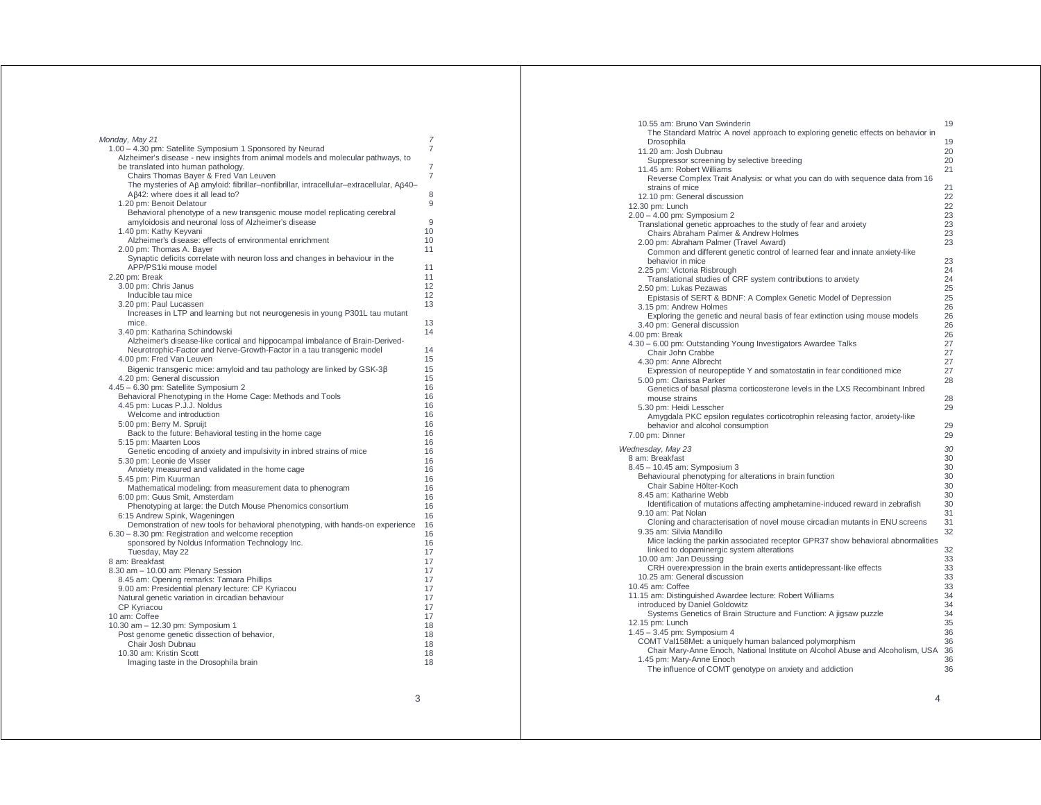| Monday, May 21                                                                                                                                                               | 7                                |
|------------------------------------------------------------------------------------------------------------------------------------------------------------------------------|----------------------------------|
| 1.00 - 4.30 pm: Satellite Symposium 1 Sponsored by Neurad                                                                                                                    | $\overline{7}$                   |
| Alzheimer's disease - new insights from animal models and molecular pathways, to<br>be translated into human pathology.<br>Chairs Thomas Bayer & Fred Van Leuven             | $\overline{7}$<br>$\overline{7}$ |
| The mysteries of $\beta\beta$ amyloid: fibrillar-nonfibrillar, intracellular-extracellular, $\beta\beta$ 40-<br>Aβ42: where does it all lead to?<br>1.20 pm: Benoit Delatour | 8<br>9                           |
| Behavioral phenotype of a new transgenic mouse model replicating cerebral<br>amyloidosis and neuronal loss of Alzheimer's disease                                            | 9                                |
| 1.40 pm: Kathy Keyvani                                                                                                                                                       | 10                               |
| Alzheimer's disease: effects of environmental enrichment                                                                                                                     | 10                               |
| 2.00 pm: Thomas A. Bayer                                                                                                                                                     | 11                               |
| Synaptic deficits correlate with neuron loss and changes in behaviour in the<br>APP/PS1ki mouse model                                                                        | 11                               |
| 2.20 pm: Break                                                                                                                                                               | 11                               |
| 3.00 pm: Chris Janus                                                                                                                                                         | 12                               |
| Inducible tau mice                                                                                                                                                           | 12                               |
| 3.20 pm: Paul Lucassen                                                                                                                                                       | 13                               |
| Increases in LTP and learning but not neurogenesis in young P301L tau mutant<br>mice.                                                                                        | 13                               |
| 3.40 pm: Katharina Schindowski<br>Alzheimer's disease-like cortical and hippocampal imbalance of Brain-Derived-                                                              | 14                               |
| Neurotrophic-Factor and Nerve-Growth-Factor in a tau transgenic model                                                                                                        | 14                               |
| 4.00 pm: Fred Van Leuven                                                                                                                                                     | 15                               |
| Bigenic transgenic mice: amyloid and tau pathology are linked by GSK-3ß                                                                                                      | 15                               |
| 4.20 pm: General discussion                                                                                                                                                  | 15                               |
| 4.45 - 6.30 pm: Satellite Symposium 2                                                                                                                                        | 16                               |
| Behavioral Phenotyping in the Home Cage: Methods and Tools                                                                                                                   | 16                               |
| 4.45 pm: Lucas P.J.J. Noldus                                                                                                                                                 | 16                               |
| Welcome and introduction                                                                                                                                                     | 16                               |
| 5:00 pm: Berry M. Spruijt                                                                                                                                                    | 16                               |
| Back to the future: Behavioral testing in the home cage                                                                                                                      | 16                               |
| 5:15 pm: Maarten Loos                                                                                                                                                        | 16                               |
| Genetic encoding of anxiety and impulsivity in inbred strains of mice                                                                                                        | 16                               |
| 5.30 pm: Leonie de Visser                                                                                                                                                    | 16<br>16                         |
| Anxiety measured and validated in the home cage<br>5.45 pm: Pim Kuurman                                                                                                      | 16                               |
| Mathematical modeling: from measurement data to phenogram                                                                                                                    | 16                               |
| 6:00 pm: Guus Smit, Amsterdam                                                                                                                                                | 16                               |
| Phenotyping at large: the Dutch Mouse Phenomics consortium                                                                                                                   | 16                               |
| 6:15 Andrew Spink, Wageningen                                                                                                                                                | 16                               |
| Demonstration of new tools for behavioral phenotyping, with hands-on experience                                                                                              | 16                               |
| 6.30 - 8.30 pm: Registration and welcome reception                                                                                                                           | 16                               |
| sponsored by Noldus Information Technology Inc.                                                                                                                              | 16                               |
| Tuesday, May 22                                                                                                                                                              | 17                               |
| 8 am: Breakfast                                                                                                                                                              | 17                               |
| 8.30 am - 10.00 am: Plenary Session                                                                                                                                          | 17                               |
| 8.45 am: Opening remarks: Tamara Phillips                                                                                                                                    | 17                               |
| 9.00 am: Presidential plenary lecture: CP Kyriacou                                                                                                                           | 17                               |
| Natural genetic variation in circadian behaviour                                                                                                                             | 17<br>17                         |
| <b>CP Kyriacou</b><br>10 am: Coffee                                                                                                                                          | 17                               |
| 10.30 am - 12.30 pm: Symposium 1                                                                                                                                             | 18                               |
| Post genome genetic dissection of behavior,                                                                                                                                  | 18                               |
| Chair Josh Dubnau                                                                                                                                                            | 18                               |
| 10.30 am: Kristin Scott                                                                                                                                                      | 18                               |
| Imaging taste in the Drosophila brain                                                                                                                                        | 18                               |
|                                                                                                                                                                              |                                  |

| 10.55 am: Bruno Van Swinderin<br>The Standard Matrix: A novel approach to exploring genetic effects on behavior in           | 19       |
|------------------------------------------------------------------------------------------------------------------------------|----------|
| Drosophila<br>11.20 am: Josh Dubnau                                                                                          | 19<br>20 |
| Suppressor screening by selective breeding                                                                                   | 20       |
| 11.45 am: Robert Williams<br>Reverse Complex Trait Analysis: or what you can do with sequence data from 16                   | 21       |
| strains of mice<br>12.10 pm: General discussion                                                                              | 21<br>22 |
| 12.30 pm: Lunch                                                                                                              | 22       |
| 2.00 - 4.00 pm: Symposium 2<br>Translational genetic approaches to the study of fear and anxiety                             | 23<br>23 |
| Chairs Abraham Palmer & Andrew Holmes                                                                                        | 23       |
| 2.00 pm: Abraham Palmer (Travel Award)<br>Common and different genetic control of learned fear and innate anxiety-like       | 23       |
| behavior in mice                                                                                                             | 23       |
| 2.25 pm: Victoria Risbrough                                                                                                  | 24<br>24 |
| Translational studies of CRF system contributions to anxiety<br>2.50 pm: Lukas Pezawas                                       | 25       |
| Epistasis of SERT & BDNF: A Complex Genetic Model of Depression                                                              | 25       |
| 3.15 pm: Andrew Holmes<br>Exploring the genetic and neural basis of fear extinction using mouse models                       | 26<br>26 |
| 3.40 pm: General discussion                                                                                                  | 26       |
| 4.00 pm: Break<br>4.30 - 6.00 pm: Outstanding Young Investigators Awardee Talks                                              | 26<br>27 |
| Chair John Crabbe                                                                                                            | 27       |
| 4.30 pm: Anne Albrecht<br>Expression of neuropeptide Y and somatostatin in fear conditioned mice                             | 27<br>27 |
| 5.00 pm: Clarissa Parker                                                                                                     | 28       |
| Genetics of basal plasma corticosterone levels in the LXS Recombinant Inbred<br>mouse strains                                | 28       |
| 5.30 pm: Heidi Lesscher                                                                                                      | 29       |
| Amygdala PKC epsilon regulates corticotrophin releasing factor, anxiety-like<br>behavior and alcohol consumption             | 29       |
| 7.00 pm: Dinner                                                                                                              | 29       |
| Wednesday, May 23                                                                                                            | 30       |
| 8 am: Breakfast<br>8.45 - 10.45 am: Symposium 3                                                                              | 30<br>30 |
| Behavioural phenotyping for alterations in brain function                                                                    | 30       |
| Chair Sabine Hölter-Koch<br>8.45 am: Katharine Webb                                                                          | 30<br>30 |
| Identification of mutations affecting amphetamine-induced reward in zebrafish                                                | 30       |
| 9.10 am: Pat Nolan<br>Cloning and characterisation of novel mouse circadian mutants in ENU screens                           | 31<br>31 |
| 9.35 am: Silvia Mandillo                                                                                                     | 32       |
| Mice lacking the parkin associated receptor GPR37 show behavioral abnormalities<br>linked to dopaminergic system alterations | 32       |
| 10.00 am: Jan Deussing                                                                                                       | 33       |
| CRH overexpression in the brain exerts antidepressant-like effects<br>10.25 am: General discussion                           | 33<br>33 |
| 10.45 am: Coffee                                                                                                             | 33       |
| 11.15 am: Distinguished Awardee lecture: Robert Williams<br>introduced by Daniel Goldowitz                                   | 34<br>34 |
| Systems Genetics of Brain Structure and Function: A jigsaw puzzle                                                            | 34       |
| 12.15 pm: Lunch<br>1.45 - 3.45 pm: Symposium 4                                                                               | 35<br>36 |
| COMT Val158Met: a uniquely human balanced polymorphism                                                                       | 36       |
| Chair Mary-Anne Enoch, National Institute on Alcohol Abuse and Alcoholism, USA<br>1.45 pm: Mary-Anne Enoch                   | 36<br>36 |
| The influence of COMT genotype on anxiety and addiction                                                                      | 36       |
|                                                                                                                              |          |

4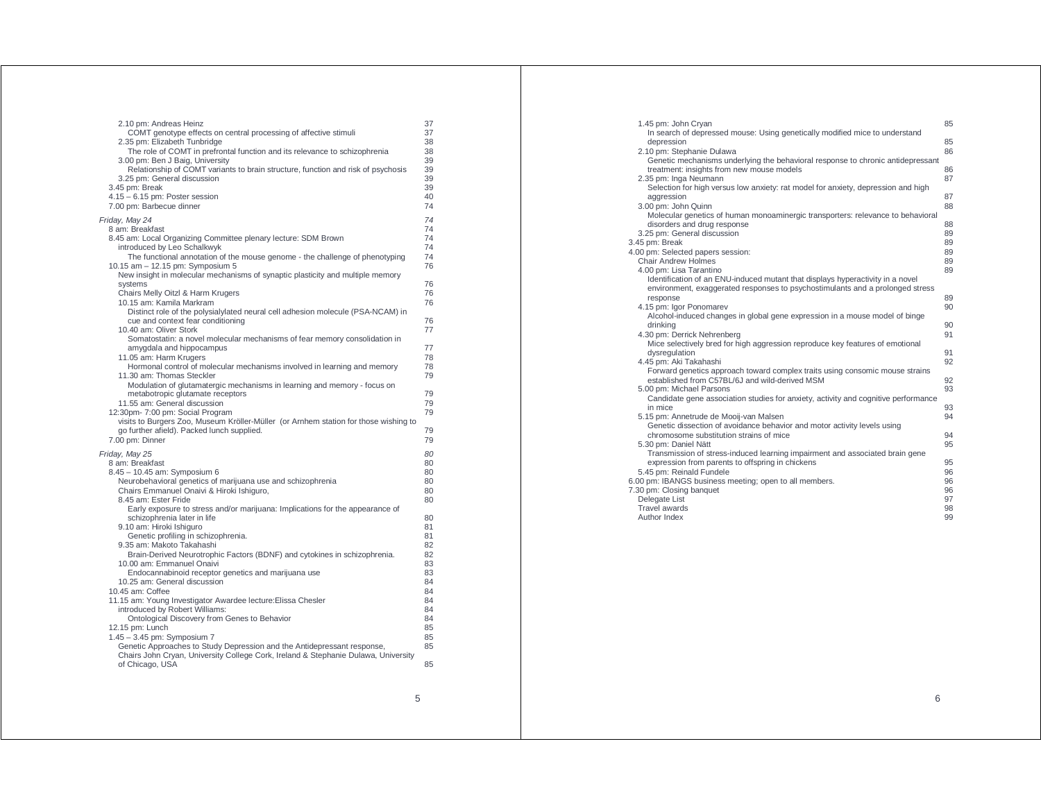| 2.10 pm: Andreas Heinz<br>COMT genotype effects on central processing of affective stimuli<br>2.35 pm: Elizabeth Tunbridge<br>The role of COMT in prefrontal function and its relevance to schizophrenia<br>3.00 pm: Ben J Baig, University<br>Relationship of COMT variants to brain structure, function and risk of psychosis<br>3.25 pm: General discussion<br>3.45 pm: Break<br>$4.15 - 6.15$ pm: Poster session<br>7.00 pm: Barbecue dinner                                                                                                                                                                                                                                                                                                                                                                                                                                                                                                                                                                                   | 37<br>37<br>38<br>38<br>39<br>39<br>39<br>39<br>40<br>74                                                                         |
|------------------------------------------------------------------------------------------------------------------------------------------------------------------------------------------------------------------------------------------------------------------------------------------------------------------------------------------------------------------------------------------------------------------------------------------------------------------------------------------------------------------------------------------------------------------------------------------------------------------------------------------------------------------------------------------------------------------------------------------------------------------------------------------------------------------------------------------------------------------------------------------------------------------------------------------------------------------------------------------------------------------------------------|----------------------------------------------------------------------------------------------------------------------------------|
| Friday, May 24<br>8 am: Breakfast<br>8.45 am: Local Organizing Committee plenary lecture: SDM Brown<br>introduced by Leo Schalkwyk<br>The functional annotation of the mouse genome - the challenge of phenotyping<br>10.15 am - 12.15 pm: Symposium 5<br>New insight in molecular mechanisms of synaptic plasticity and multiple memory<br>systems<br>Chairs Melly Oitzl & Harm Krugers<br>10.15 am: Kamila Markram                                                                                                                                                                                                                                                                                                                                                                                                                                                                                                                                                                                                               | 74<br>74<br>74<br>74<br>74<br>76<br>76<br>76<br>76                                                                               |
| Distinct role of the polysialylated neural cell adhesion molecule (PSA-NCAM) in<br>cue and context fear conditioning<br>10.40 am: Oliver Stork<br>Somatostatin: a novel molecular mechanisms of fear memory consolidation in<br>amygdala and hippocampus<br>11.05 am: Harm Krugers<br>Hormonal control of molecular mechanisms involved in learning and memory<br>11.30 am: Thomas Steckler<br>Modulation of glutamatergic mechanisms in learning and memory - focus on<br>metabotropic glutamate receptors<br>11.55 am: General discussion<br>12:30pm- 7:00 pm: Social Program<br>visits to Burgers Zoo, Museum Kröller-Müller (or Arnhem station for those wishing to<br>go further afield). Packed lunch supplied.<br>7.00 pm: Dinner                                                                                                                                                                                                                                                                                           | 76<br>77<br>77<br>78<br>78<br>79<br>79<br>79<br>79<br>79<br>79                                                                   |
| Friday, May 25<br>8 am: Breakfast<br>8.45 - 10.45 am: Symposium 6<br>Neurobehavioral genetics of marijuana use and schizophrenia<br>Chairs Emmanuel Onaivi & Hiroki Ishiguro,<br>8.45 am: Ester Fride<br>Early exposure to stress and/or marijuana: Implications for the appearance of<br>schizophrenia later in life<br>9.10 am: Hiroki Ishiguro<br>Genetic profiling in schizophrenia.<br>9.35 am: Makoto Takahashi<br>Brain-Derived Neurotrophic Factors (BDNF) and cytokines in schizophrenia.<br>10.00 am: Emmanuel Onaivi<br>Endocannabinoid receptor genetics and marijuana use<br>10.25 am: General discussion<br>10.45 am: Coffee<br>11.15 am: Young Investigator Awardee lecture: Elissa Chesler<br>introduced by Robert Williams:<br>Ontological Discovery from Genes to Behavior<br>12.15 pm: Lunch<br>1.45 - 3.45 pm: Symposium 7<br>Genetic Approaches to Study Depression and the Antidepressant response,<br>Chairs John Cryan, University College Cork, Ireland & Stephanie Dulawa, University<br>of Chicago, USA | 80<br>80<br>80<br>80<br>80<br>80<br>80<br>81<br>81<br>82<br>82<br>83<br>83<br>84<br>84<br>84<br>84<br>84<br>85<br>85<br>85<br>85 |

| 1.45 pm: John Cryan<br>In search of depressed mouse: Using genetically modified mice to understand                                                              | 85       |
|-----------------------------------------------------------------------------------------------------------------------------------------------------------------|----------|
| depression<br>2.10 pm: Stephanie Dulawa                                                                                                                         | 85<br>86 |
| Genetic mechanisms underlying the behavioral response to chronic antidepressant<br>treatment: insights from new mouse models                                    | 86       |
| 2.35 pm: Inga Neumann<br>Selection for high versus low anxiety: rat model for anxiety, depression and high<br>aggression                                        | 87<br>87 |
| 3.00 pm: John Quinn<br>Molecular genetics of human monoaminergic transporters: relevance to behavioral                                                          | 88       |
| disorders and drug response<br>3.25 pm: General discussion                                                                                                      | 88<br>89 |
| 3.45 pm: Break<br>4.00 pm: Selected papers session:                                                                                                             | 89<br>89 |
| <b>Chair Andrew Holmes</b><br>4.00 pm: Lisa Tarantino                                                                                                           | 89<br>89 |
| Identification of an ENU-induced mutant that displays hyperactivity in a novel<br>environment, exaggerated responses to psychostimulants and a prolonged stress |          |
| response<br>4.15 pm: Igor Ponomarev                                                                                                                             | 89<br>90 |
| Alcohol-induced changes in global gene expression in a mouse model of binge<br>drinking<br>4.30 pm: Derrick Nehrenberg                                          | 90<br>91 |
| Mice selectively bred for high aggression reproduce key features of emotional<br>dysregulation                                                                  | 91       |
| 4.45 pm: Aki Takahashi<br>Forward genetics approach toward complex traits using consomic mouse strains                                                          | 92       |
| established from C57BL/6J and wild-derived MSM<br>5.00 pm: Michael Parsons                                                                                      | 92<br>93 |
| Candidate gene association studies for anxiety, activity and cognitive performance<br>in mice                                                                   | 93       |
| 5.15 pm: Annetrude de Mooij-van Malsen<br>Genetic dissection of avoidance behavior and motor activity levels using<br>chromosome substitution strains of mice   | 94<br>94 |
| 5.30 pm: Daniel Nätt<br>Transmission of stress-induced learning impairment and associated brain gene                                                            | 95       |
| expression from parents to offspring in chickens<br>5.45 pm: Reinald Fundele                                                                                    | 95<br>96 |
| 6.00 pm: IBANGS business meeting; open to all members.<br>7.30 pm: Closing banquet                                                                              | 96<br>96 |
| Delegate List<br>Travel awards                                                                                                                                  | 97<br>98 |
| Author Index                                                                                                                                                    | 99       |

5

6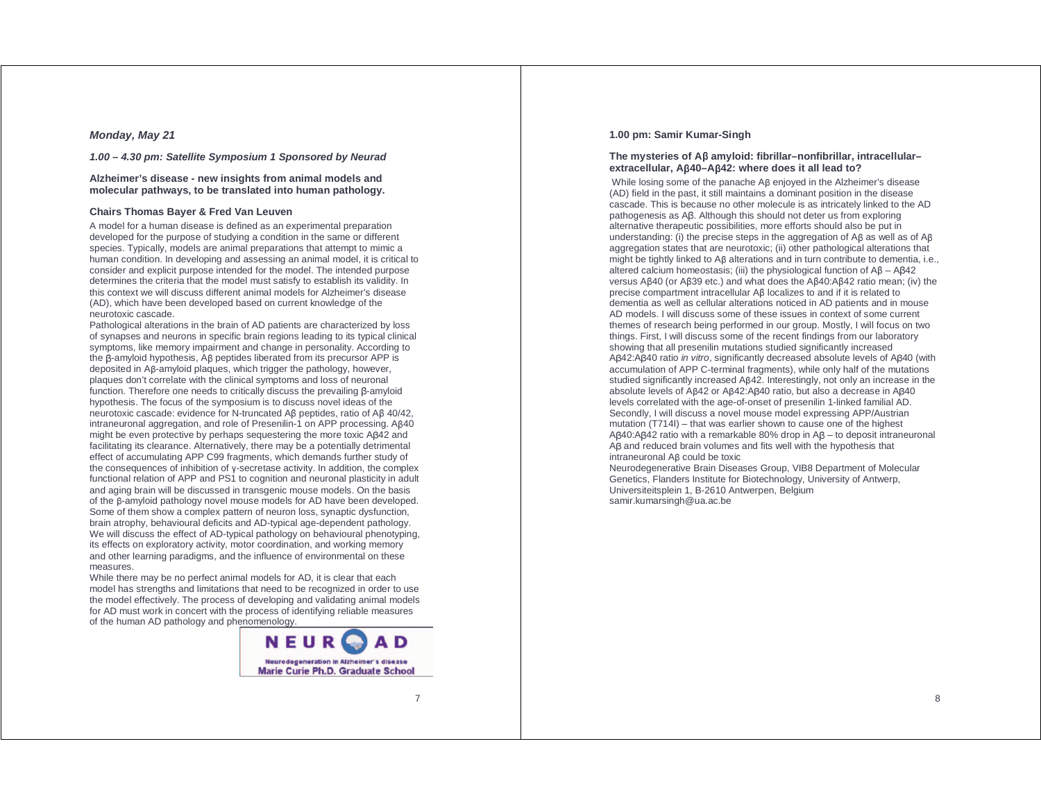### **Monday, May 21**

### **1.00 – 4.30 pm: Satellite Symposium 1 Sponsored by Neurad**

### **Alzheimer's disease - new insights from animal models and molecular pathways, to be translated into human pathology.**

### **Chairs Thomas Bayer & Fred Van Leuven**

A model for a human disease is defined as an experimental preparation developed for the purpose of studying a condition in the same or different species. Typically, models are animal preparations that attempt to mimic a human condition. In developing and assessing an animal model, it is critical to consider and explicit purpose intended for the model. The intended purpose determines the criteria that the model must satisfy to establish its validity. In this context we will discuss different animal models for Alzheimer's disease (AD), which have been developed based on current knowledge of the neurotoxic cascade.

Pathological alterations in the brain of AD patients are characterized by loss of synapses and neurons in specific brain regions leading to its typical clinical symptoms, like memory impairment and change in personality. According to the β-amyloid hypothesis, Aβ peptides liberated from its precursor APP is deposited in Aβ-amyloid plaques, which trigger the pathology, however, plaques don't correlate with the clinical symptoms and loss of neuronal function. Therefore one needs to critically discuss the prevailing β-amyloid hypothesis. The focus of the symposium is to discuss novel ideas of the neurotoxic cascade: evidence for N-truncated Aβ peptides, ratio of Aβ 40/42, intraneuronal aggregation, and role of Presenilin-1 on APP processing. Aβ40 might be even protective by perhaps sequestering the more toxic Aβ42 and facilitating its clearance. Alternatively, there may be a potentially detrimental effect of accumulating APP C99 fragments, which demands further study of the consequences of inhibition of γ-secretase activity. In addition, the complex functional relation of APP and PS1 to cognition and neuronal plasticity in adult and aging brain will be discussed in transgenic mouse models. On the basis of the β-amyloid pathology novel mouse models for AD have been developed. Some of them show a complex pattern of neuron loss, synaptic dysfunction, brain atrophy, behavioural deficits and AD-typical age-dependent pathology. We will discuss the effect of AD-typical pathology on behavioural phenotyping, its effects on exploratory activity, motor coordination, and working memory and other learning paradigms, and the influence of environmental on these measures.

While there may be no perfect animal models for AD, it is clear that each model has strengths and limitations that need to be recognized in order to use the model effectively. The process of developing and validating animal models for AD must work in concert with the process of identifying reliable measures of the human AD pathology and phenomenology.



### **1.00 pm: Samir Kumar-Singh**

### **The mysteries of A**β **amyloid: fibrillar–nonfibrillar, intracellular– extracellular, A**β**40–A**β**42: where does it all lead to?**

 While losing some of the panache Aβ enjoyed in the Alzheimer's disease (AD) field in the past, it still maintains a dominant position in the disease cascade. This is because no other molecule is as intricately linked to the AD pathogenesis as Aβ. Although this should not deter us from exploring alternative therapeutic possibilities, more efforts should also be put in understanding: (i) the precise steps in the aggregation of Aβ as well as of Aβ aggregation states that are neurotoxic; (ii) other pathological alterations that might be tightly linked to Aβ alterations and in turn contribute to dementia, i.e., altered calcium homeostasis; (iii) the physiological function of Aβ – Aβ42 versus Aβ40 (or Aβ39 etc.) and what does the Aβ40:Aβ42 ratio mean; (iv) the precise compartment intracellular Aβ localizes to and if it is related to dementia as well as cellular alterations noticed in AD patients and in mouse AD models. I will discuss some of these issues in context of some current themes of research being performed in our group. Mostly, I will focus on two things. First, I will discuss some of the recent findings from our laboratory showing that all presenilin mutations studied significantly increased Aβ42:Aβ40 ratio in vitro, significantly decreased absolute levels of Aβ40 (with accumulation of APP C-terminal fragments), while only half of the mutations studied significantly increased Aβ42. Interestingly, not only an increase in the absolute levels of Aβ42 or Aβ42:Aβ40 ratio, but also a decrease in Aβ40 levels correlated with the age-of-onset of presenilin 1-linked familial AD. Secondly, I will discuss a novel mouse model expressing APP/Austrian mutation (T714I) – that was earlier shown to cause one of the highest Aβ40:Aβ42 ratio with a remarkable 80% drop in Aβ – to deposit intraneuronal Aβ and reduced brain volumes and fits well with the hypothesis that intraneuronal Aβ could be toxic

Neurodegenerative Brain Diseases Group, VIB8 Department of Molecular Genetics, Flanders Institute for Biotechnology, University of Antwerp, Universiteitsplein 1, B-2610 Antwerpen, Belgium samir.kumarsingh@ua.ac.be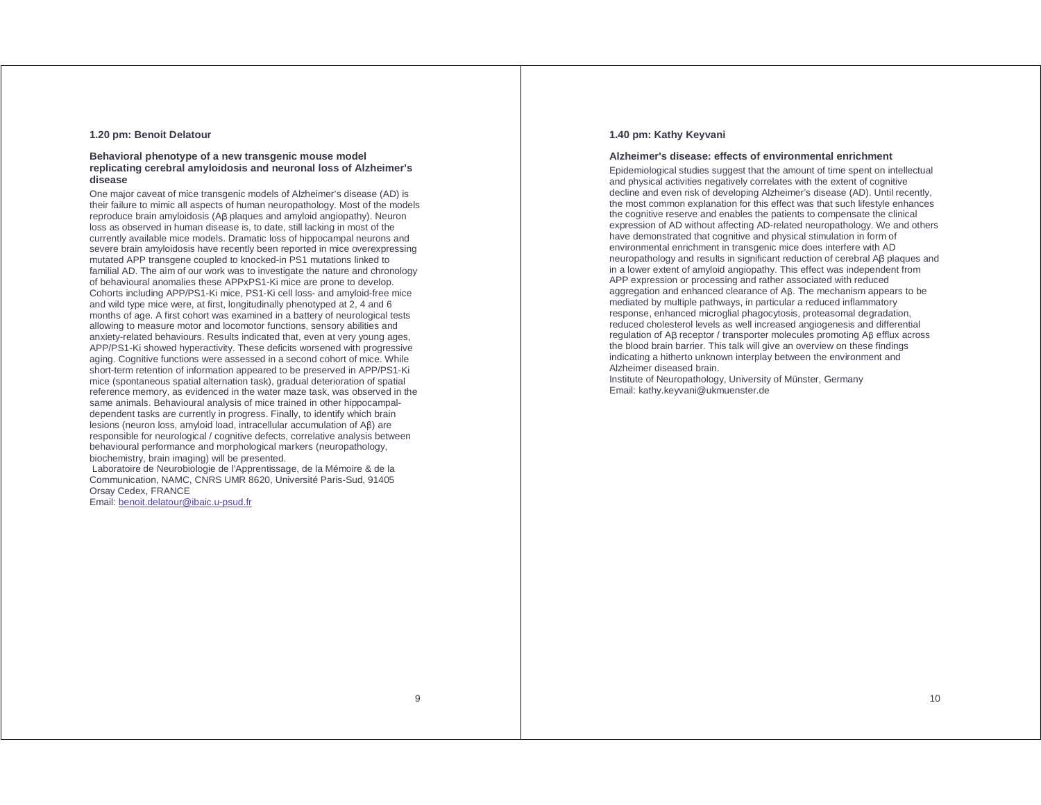### **1.20 pm: Benoit Delatour**

### **Behavioral phenotype of a new transgenic mouse model replicating cerebral amyloidosis and neuronal loss of Alzheimer's disease**

One major caveat of mice transgenic models of Alzheimer's disease (AD) is their failure to mimic all aspects of human neuropathology. Most of the models reproduce brain amyloidosis (Aβ plaques and amyloid angiopathy). Neuron loss as observed in human disease is, to date, still lacking in most of the currently available mice models. Dramatic loss of hippocampal neurons and severe brain amyloidosis have recently been reported in mice overexpressing mutated APP transgene coupled to knocked-in PS1 mutations linked to familial AD. The aim of our work was to investigate the nature and chronology of behavioural anomalies these APPxPS1-Ki mice are prone to develop. Cohorts including APP/PS1-Ki mice, PS1-Ki cell loss- and amyloid-free mice and wild type mice were, at first, longitudinally phenotyped at 2, 4 and 6 months of age. A first cohort was examined in a battery of neurological tests allowing to measure motor and locomotor functions, sensory abilities and anxiety-related behaviours. Results indicated that, even at very young ages, APP/PS1-Ki showed hyperactivity. These deficits worsened with progressive aging. Cognitive functions were assessed in a second cohort of mice. While short-term retention of information appeared to be preserved in APP/PS1-Ki mice (spontaneous spatial alternation task), gradual deterioration of spatial reference memory, as evidenced in the water maze task, was observed in the same animals. Behavioural analysis of mice trained in other hippocampaldependent tasks are currently in progress. Finally, to identify which brain lesions (neuron loss, amyloid load, intracellular accumulation of Aβ) are responsible for neurological / cognitive defects, correlative analysis between behavioural performance and morphological markers (neuropathology, biochemistry, brain imaging) will be presented.

 Laboratoire de Neurobiologie de l'Apprentissage, de la Mémoire & de la Communication, NAMC, CNRS UMR 8620, Université Paris-Sud, 91405 Orsay Cedex, FRANCE

Email: benoit.delatour@ibaic.u-psud.fr

### **1.40 pm: Kathy Keyvani**

#### **Alzheimer's disease: effects of environmental enrichment**

Epidemiological studies suggest that the amount of time spent on intellectual and physical activities negatively correlates with the extent of cognitive decline and even risk of developing Alzheimer's disease (AD). Until recently, the most common explanation for this effect was that such lifestyle enhances the cognitive reserve and enables the patients to compensate the clinical expression of AD without affecting AD-related neuropathology. We and others have demonstrated that cognitive and physical stimulation in form of environmental enrichment in transgenic mice does interfere with AD neuropathology and results in significant reduction of cerebral Aβ plaques and in a lower extent of amyloid angiopathy. This effect was independent from APP expression or processing and rather associated with reduced aggregation and enhanced clearance of Aβ. The mechanism appears to be mediated by multiple pathways, in particular a reduced inflammatory response, enhanced microglial phagocytosis, proteasomal degradation, reduced cholesterol levels as well increased angiogenesis and differential regulation of Aβ receptor / transporter molecules promoting Aβ efflux across the blood brain barrier. This talk will give an overview on these findings indicating a hitherto unknown interplay between the environment and Alzheimer diseased brain.

Institute of Neuropathology, University of Münster, Germany Email: kathy.keyvani@ukmuenster.de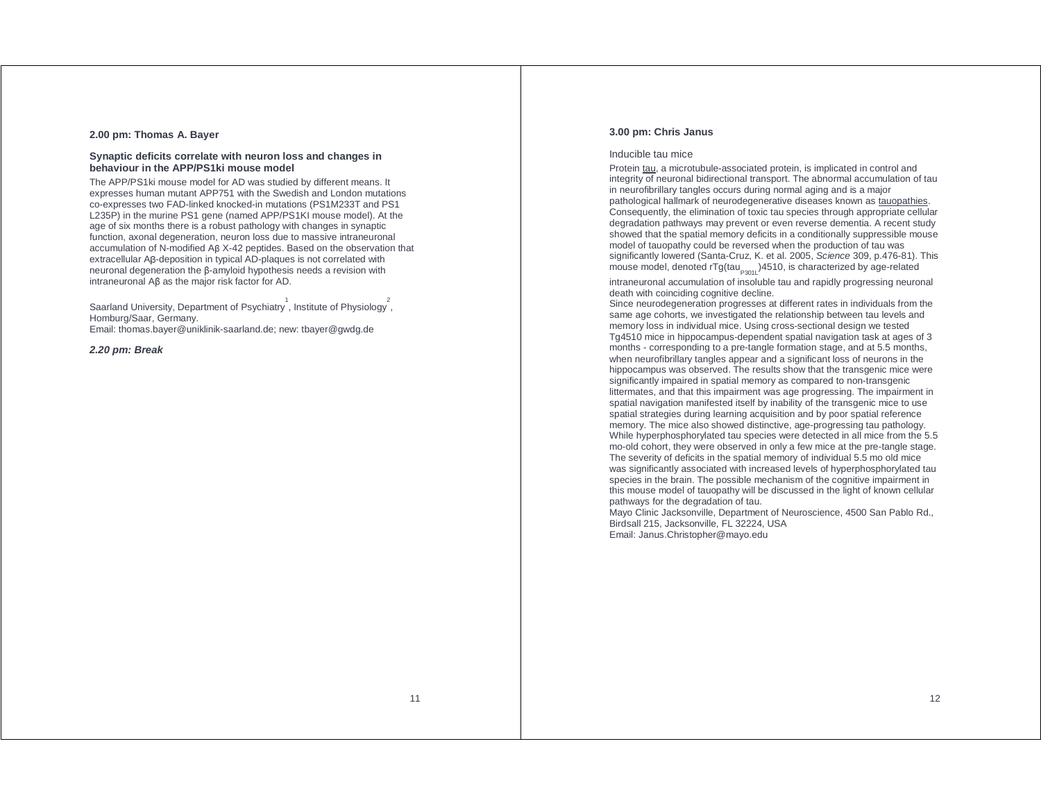### **2.00 pm: Thomas A. Bayer**

### **Synaptic deficits correlate with neuron loss and changes in behaviour in the APP/PS1ki mouse model**

The APP/PS1ki mouse model for AD was studied by different means. It expresses human mutant APP751 with the Swedish and London mutations co-expresses two FAD-linked knocked-in mutations (PS1M233T and PS1 L235P) in the murine PS1 gene (named APP/PS1KI mouse model). At the age of six months there is a robust pathology with changes in synaptic function, axonal degeneration, neuron loss due to massive intraneuronal accumulation of N-modified Aβ X-42 peptides. Based on the observation that extracellular Aβ-deposition in typical AD-plaques is not correlated with neuronal degeneration the β-amyloid hypothesis needs a revision with intraneuronal Aβ as the major risk factor for AD.

Saarland University, Department of Psychiatry<sup>1</sup>, Institute of Physiology<sup>2</sup>, Homburg/Saar, Germany.

Email: thomas.bayer@uniklinik-saarland.de; new: tbayer@gwdg.de

### **2.20 pm: Break**

### **3.00 pm: Chris Janus**

### Inducible tau mice

Protein tau, a microtubule-associated protein, is implicated in control and integrity of neuronal bidirectional transport. The abnormal accumulation of tau in neurofibrillary tangles occurs during normal aging and is a major pathological hallmark of neurodegenerative diseases known as tauopathies. Consequently, the elimination of toxic tau species through appropriate cellular degradation pathways may prevent or even reverse dementia. A recent study showed that the spatial memory deficits in a conditionally suppressible mouse model of tauopathy could be reversed when the production of tau was significantly lowered (Santa-Cruz, K. et al. 2005, Science 309, p.476-81). This mouse model, denoted  $rTg(tau_{p301})4510$ , is characterized by age-related

intraneuronal accumulation of insoluble tau and rapidly progressing neuronal death with coinciding cognitive decline.

Since neurodegeneration progresses at different rates in individuals from the same age cohorts, we investigated the relationship between tau levels and memory loss in individual mice. Using cross-sectional design we tested Tg4510 mice in hippocampus-dependent spatial navigation task at ages of 3 months - corresponding to a pre-tangle formation stage, and at 5.5 months, when neurofibrillary tangles appear and a significant loss of neurons in the hippocampus was observed. The results show that the transgenic mice were significantly impaired in spatial memory as compared to non-transgenic littermates, and that this impairment was age progressing. The impairment in spatial navigation manifested itself by inability of the transgenic mice to use spatial strategies during learning acquisition and by poor spatial reference memory. The mice also showed distinctive, age-progressing tau pathology. While hyperphosphorylated tau species were detected in all mice from the 5.5 mo-old cohort, they were observed in only a few mice at the pre-tangle stage. The severity of deficits in the spatial memory of individual 5.5 mo old mice was significantly associated with increased levels of hyperphosphorylated tau species in the brain. The possible mechanism of the cognitive impairment in this mouse model of tauopathy will be discussed in the light of known cellular pathways for the degradation of tau.

Mayo Clinic Jacksonville, Department of Neuroscience, 4500 San Pablo Rd., Birdsall 215, Jacksonville, FL 32224, USA Email: Janus.Christopher@mayo.edu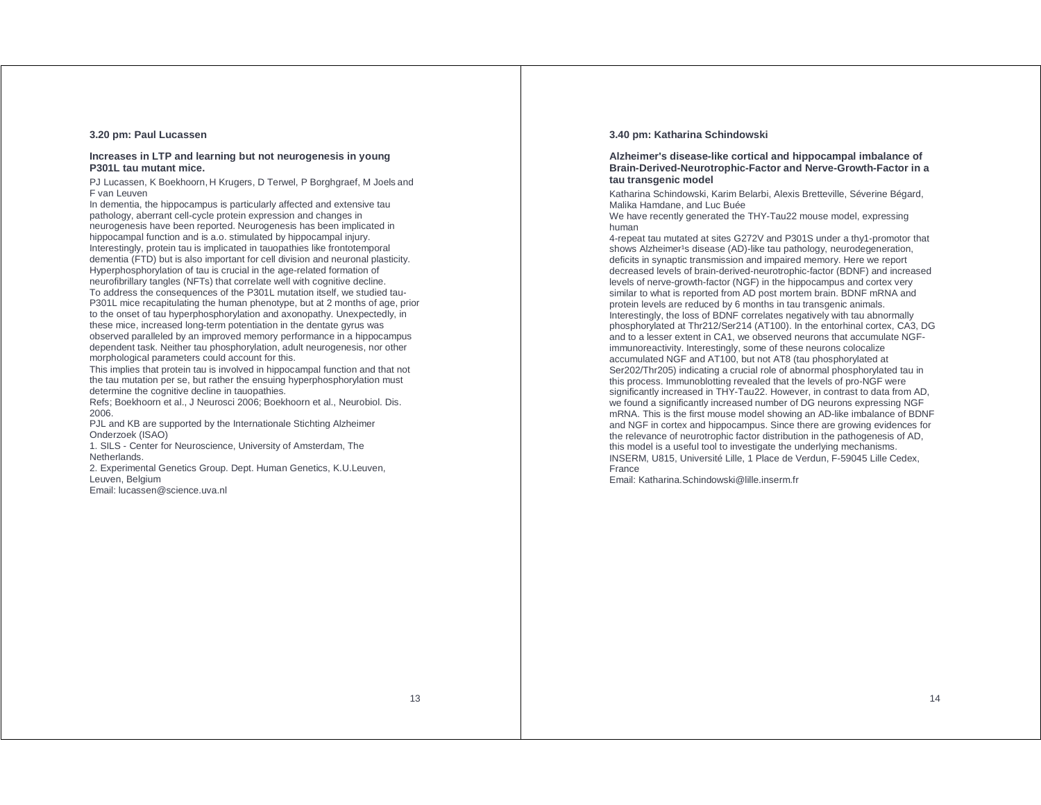### **3.20 pm: Paul Lucassen**

### **Increases in LTP and learning but not neurogenesis in young P301L tau mutant mice.**

PJ Lucassen, K Boekhoorn, H Krugers, D Terwel, P Borghgraef, M Joels and F van Leuven

In dementia, the hippocampus is particularly affected and extensive tau pathology, aberrant cell-cycle protein expression and changes in neurogenesis have been reported. Neurogenesis has been implicated in hippocampal function and is a.o. stimulated by hippocampal injury. Interestingly, protein tau is implicated in tauopathies like frontotemporal dementia (FTD) but is also important for cell division and neuronal plasticity. Hyperphosphorylation of tau is crucial in the age-related formation of neurofibrillary tangles (NFTs) that correlate well with cognitive decline. To address the consequences of the P301L mutation itself, we studied tau-P301L mice recapitulating the human phenotype, but at 2 months of age, prior to the onset of tau hyperphosphorylation and axonopathy. Unexpectedly, in these mice, increased long-term potentiation in the dentate gyrus was observed paralleled by an improved memory performance in a hippocampus dependent task. Neither tau phosphorylation, adult neurogenesis, nor other morphological parameters could account for this.

This implies that protein tau is involved in hippocampal function and that not the tau mutation per se, but rather the ensuing hyperphosphorylation must determine the cognitive decline in tauopathies.

Refs; Boekhoorn et al., J Neurosci 2006; Boekhoorn et al., Neurobiol. Dis. 2006.

PJL and KB are supported by the Internationale Stichting Alzheimer Onderzoek (ISAO)

1. SILS - Center for Neuroscience, University of Amsterdam, The Netherlands.

2. Experimental Genetics Group. Dept. Human Genetics, K.U.Leuven, Leuven, Belgium

Email: lucassen@science.uva.nl

### **3.40 pm: Katharina Schindowski**

### **Alzheimer's disease-like cortical and hippocampal imbalance of Brain-Derived-Neurotrophic-Factor and Nerve-Growth-Factor in a tau transgenic model**

Katharina Schindowski, Karim Belarbi, Alexis Bretteville, Séverine Bégard, Malika Hamdane, and Luc Buée

We have recently generated the THY-Tau22 mouse model, expressing human

4-repeat tau mutated at sites G272V and P301S under a thy1-promotor that shows Alzheimer<sup>1</sup>s disease (AD)-like tau pathology, neurodegeneration, deficits in synaptic transmission and impaired memory. Here we report decreased levels of brain-derived-neurotrophic-factor (BDNF) and increased levels of nerve-growth-factor (NGF) in the hippocampus and cortex very similar to what is reported from AD post mortem brain. BDNF mRNA and protein levels are reduced by 6 months in tau transgenic animals. Interestingly, the loss of BDNF correlates negatively with tau abnormally phosphorylated at Thr212/Ser214 (AT100). In the entorhinal cortex, CA3, DG and to a lesser extent in CA1, we observed neurons that accumulate NGFimmunoreactivity. Interestingly, some of these neurons colocalize accumulated NGF and AT100, but not AT8 (tau phosphorylated at Ser202/Thr205) indicating a crucial role of abnormal phosphorylated tau in this process. Immunoblotting revealed that the levels of pro-NGF were significantly increased in THY-Tau22. However, in contrast to data from AD, we found a significantly increased number of DG neurons expressing NGF mRNA. This is the first mouse model showing an AD-like imbalance of BDNF and NGF in cortex and hippocampus. Since there are growing evidences for the relevance of neurotrophic factor distribution in the pathogenesis of AD, this model is a useful tool to investigate the underlying mechanisms. INSERM, U815, Université Lille, 1 Place de Verdun, F-59045 Lille Cedex, France

Email: Katharina.Schindowski@lille.inserm.fr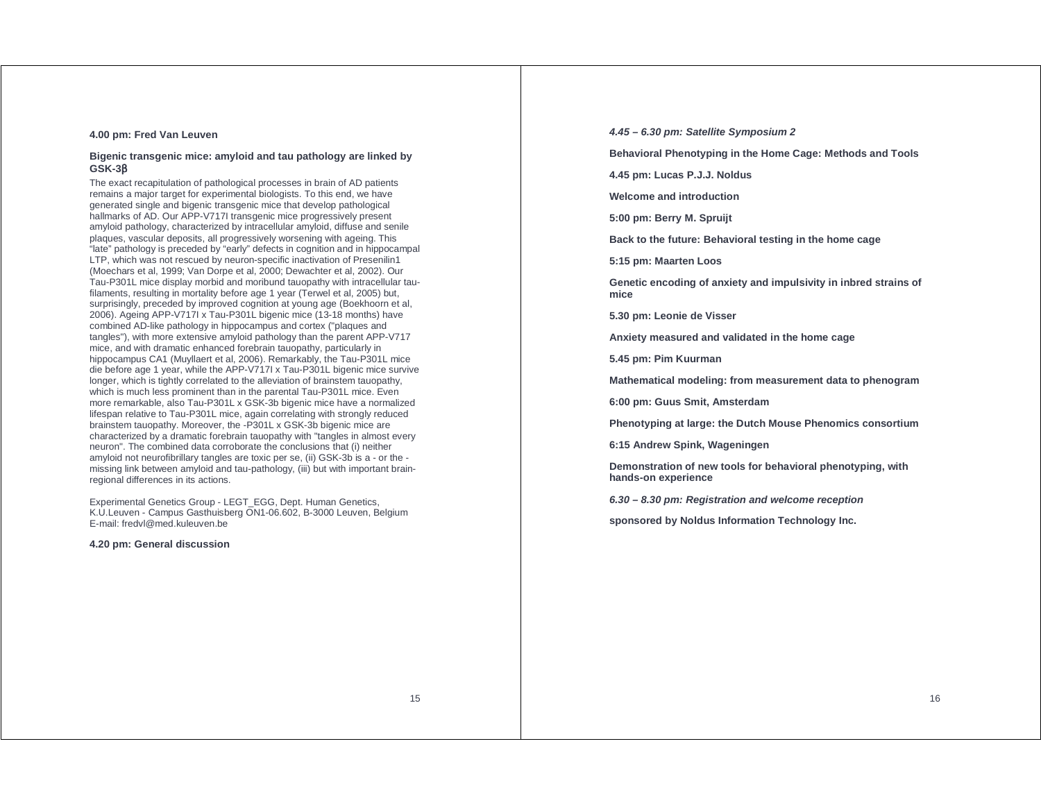### **4.00 pm: Fred Van Leuven**

### **Bigenic transgenic mice: amyloid and tau pathology are linked by GSK-3**β

The exact recapitulation of pathological processes in brain of AD patients remains a major target for experimental biologists. To this end, we have generated single and bigenic transgenic mice that develop pathological hallmarks of AD. Our APP-V717I transgenic mice progressively present amyloid pathology, characterized by intracellular amyloid, diffuse and senile plaques, vascular deposits, all progressively worsening with ageing. This "late" pathology is preceded by "early" defects in cognition and in hippocampal LTP, which was not rescued by neuron-specific inactivation of Presenilin1 (Moechars et al, 1999; Van Dorpe et al, 2000; Dewachter et al, 2002). Our Tau-P301L mice display morbid and moribund tauopathy with intracellular taufilaments, resulting in mortality before age 1 year (Terwel et al, 2005) but, surprisingly, preceded by improved cognition at young age (Boekhoorn et al, 2006). Ageing APP-V717I x Tau-P301L bigenic mice (13-18 months) have combined AD-like pathology in hippocampus and cortex ("plaques and tangles"), with more extensive amyloid pathology than the parent APP-V717 mice, and with dramatic enhanced forebrain tauopathy, particularly in hippocampus CA1 (Muyllaert et al, 2006). Remarkably, the Tau-P301L mice die before age 1 year, while the APP-V717I x Tau-P301L bigenic mice survive longer, which is tightly correlated to the alleviation of brainstem tauopathy, which is much less prominent than in the parental Tau-P301L mice. Even more remarkable, also Tau-P301L x GSK-3b bigenic mice have a normalized lifespan relative to Tau-P301L mice, again correlating with strongly reduced brainstem tauopathy. Moreover, the -P301L x GSK-3b bigenic mice are characterized by a dramatic forebrain tauopathy with "tangles in almost every neuron". The combined data corroborate the conclusions that (i) neither amyloid not neurofibrillary tangles are toxic per se, (ii) GSK-3b is a - or the missing link between amyloid and tau-pathology, (iii) but with important brainregional differences in its actions.

Experimental Genetics Group - LEGT\_EGG, Dept. Human Genetics, K.U.Leuven - Campus Gasthuisberg ON1-06.602, B-3000 Leuven, Belgium E-mail: fredvl@med.kuleuven.be

### **4.20 pm: General discussion**

**4.45 – 6.30 pm: Satellite Symposium 2** 

**Behavioral Phenotyping in the Home Cage: Methods and Tools** 

**4.45 pm: Lucas P.J.J. Noldus** 

**Welcome and introduction** 

**5:00 pm: Berry M. Spruijt** 

**Back to the future: Behavioral testing in the home cage** 

**5:15 pm: Maarten Loos** 

**Genetic encoding of anxiety and impulsivity in inbred strains of mice** 

**5.30 pm: Leonie de Visser** 

**Anxiety measured and validated in the home cage** 

**5.45 pm: Pim Kuurman** 

**Mathematical modeling: from measurement data to phenogram** 

**6:00 pm: Guus Smit, Amsterdam** 

**Phenotyping at large: the Dutch Mouse Phenomics consortium** 

**6:15 Andrew Spink, Wageningen** 

**Demonstration of new tools for behavioral phenotyping, with hands-on experience** 

**6.30 – 8.30 pm: Registration and welcome reception** 

**sponsored by Noldus Information Technology Inc.**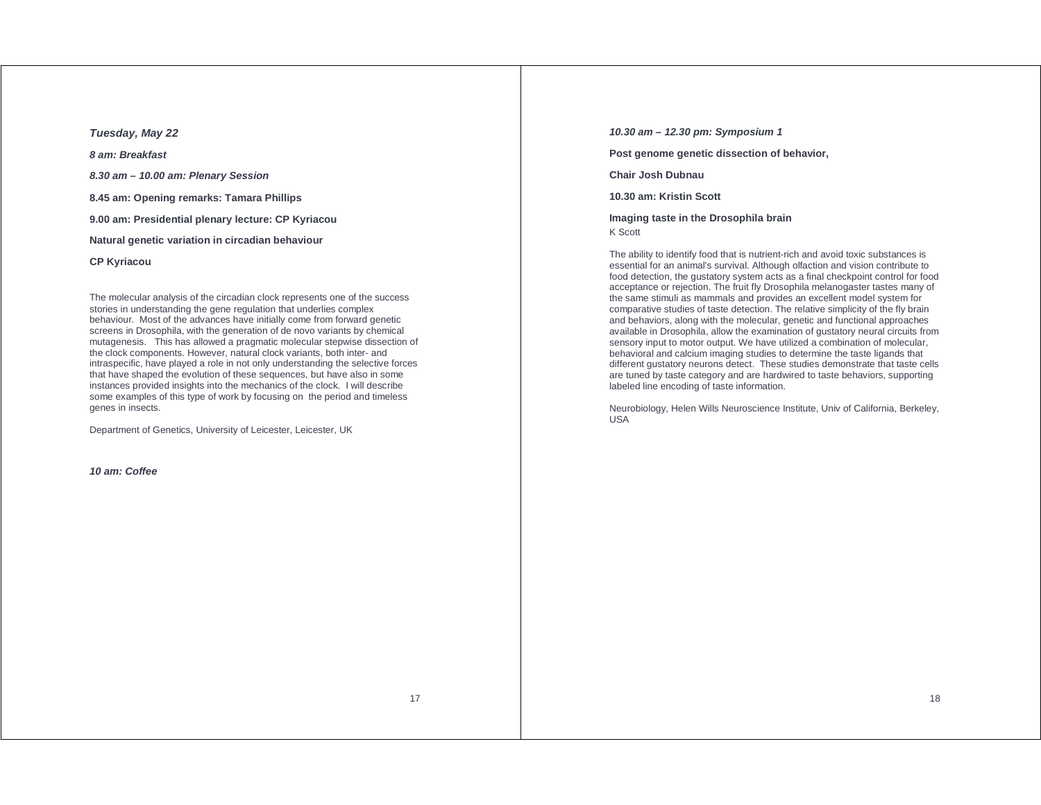**Tuesday, May 22** 

**8 am: Breakfast** 

**8.30 am – 10.00 am: Plenary Session** 

**8.45 am: Opening remarks: Tamara Phillips** 

**9.00 am: Presidential plenary lecture: CP Kyriacou** 

**Natural genetic variation in circadian behaviour** 

**CP Kyriacou** 

The molecular analysis of the circadian clock represents one of the success stories in understanding the gene regulation that underlies complex behaviour. Most of the advances have initially come from forward genetic screens in Drosophila, with the generation of de novo variants by chemical mutagenesis. This has allowed a pragmatic molecular stepwise dissection of the clock components. However, natural clock variants, both inter- and intraspecific, have played a role in not only understanding the selective forces that have shaped the evolution of these sequences, but have also in some instances provided insights into the mechanics of the clock. I will describe some examples of this type of work by focusing on the period and timeless genes in insects.

Department of Genetics, University of Leicester, Leicester, UK

**10 am: Coffee** 

**10.30 am – 12.30 pm: Symposium 1** 

**Post genome genetic dissection of behavior,** 

**Chair Josh Dubnau** 

**10.30 am: Kristin Scott** 

**Imaging taste in the Drosophila brain**  K Scott

The ability to identify food that is nutrient-rich and avoid toxic substances is essential for an animal's survival. Although olfaction and vision contribute to food detection, the gustatory system acts as a final checkpoint control for food acceptance or rejection. The fruit fly Drosophila melanogaster tastes many of the same stimuli as mammals and provides an excellent model system for comparative studies of taste detection. The relative simplicity of the fly brain and behaviors, along with the molecular, genetic and functional approaches available in Drosophila, allow the examination of gustatory neural circuits from sensory input to motor output. We have utilized a combination of molecular, behavioral and calcium imaging studies to determine the taste ligands that different gustatory neurons detect. These studies demonstrate that taste cells are tuned by taste category and are hardwired to taste behaviors, supporting labeled line encoding of taste information.

Neurobiology, Helen Wills Neuroscience Institute, Univ of California, Berkeley, USA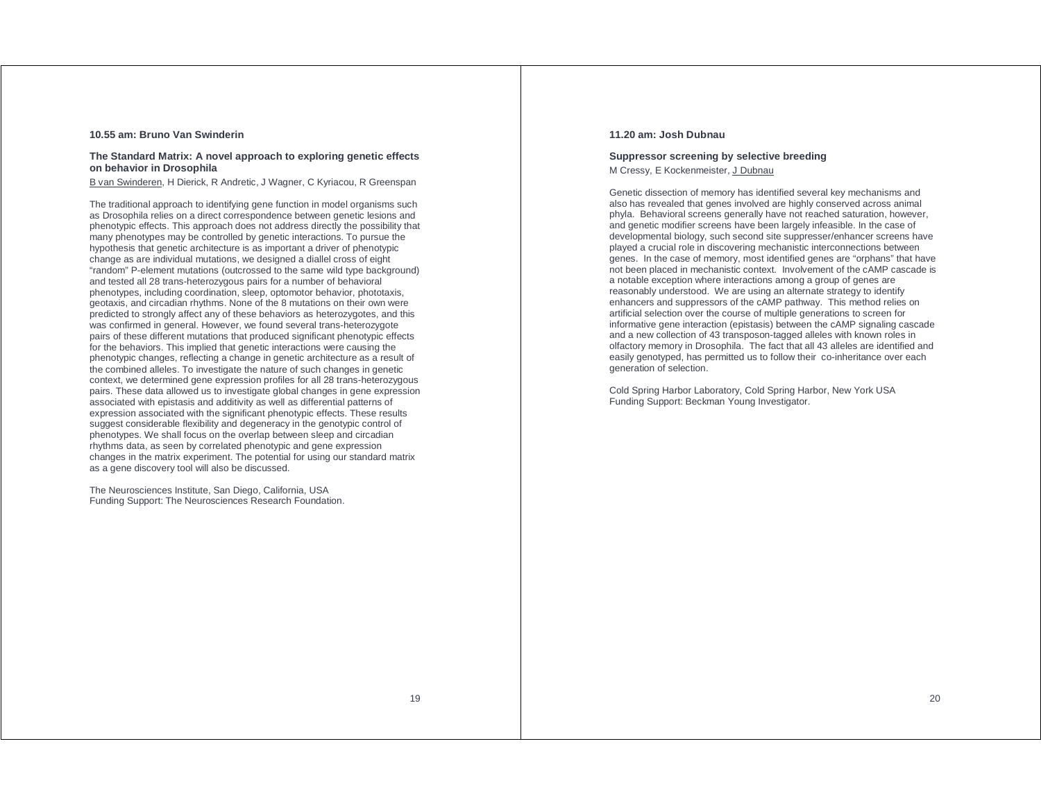### **10.55 am: Bruno Van Swinderin**

### **The Standard Matrix: A novel approach to exploring genetic effects on behavior in Drosophila**

B van Swinderen, H Dierick, R Andretic, J Wagner, C Kyriacou, R Greenspan

The traditional approach to identifying gene function in model organisms such as Drosophila relies on a direct correspondence between genetic lesions and phenotypic effects. This approach does not address directly the possibility that many phenotypes may be controlled by genetic interactions. To pursue the hypothesis that genetic architecture is as important a driver of phenotypic change as are individual mutations, we designed a diallel cross of eight "random" P-element mutations (outcrossed to the same wild type background) and tested all 28 trans-heterozygous pairs for a number of behavioral phenotypes, including coordination, sleep, optomotor behavior, phototaxis, geotaxis, and circadian rhythms. None of the 8 mutations on their own were predicted to strongly affect any of these behaviors as heterozygotes, and this was confirmed in general. However, we found several trans-heterozygote pairs of these different mutations that produced significant phenotypic effects for the behaviors. This implied that genetic interactions were causing the phenotypic changes, reflecting a change in genetic architecture as a result of the combined alleles. To investigate the nature of such changes in genetic context, we determined gene expression profiles for all 28 trans-heterozygous pairs. These data allowed us to investigate global changes in gene expression associated with epistasis and additivity as well as differential patterns of expression associated with the significant phenotypic effects. These results suggest considerable flexibility and degeneracy in the genotypic control of phenotypes. We shall focus on the overlap between sleep and circadian rhythms data, as seen by correlated phenotypic and gene expression changes in the matrix experiment. The potential for using our standard matrix as a gene discovery tool will also be discussed.

The Neurosciences Institute, San Diego, California, USA Funding Support: The Neurosciences Research Foundation.

### **11.20 am: Josh Dubnau**

### **Suppressor screening by selective breeding**  M Cressy, E Kockenmeister, J Dubnau

Genetic dissection of memory has identified several key mechanisms and also has revealed that genes involved are highly conserved across animal phyla. Behavioral screens generally have not reached saturation, however, and genetic modifier screens have been largely infeasible. In the case of developmental biology, such second site suppresser/enhancer screens have played a crucial role in discovering mechanistic interconnections between genes. In the case of memory, most identified genes are "orphans" that have not been placed in mechanistic context. Involvement of the cAMP cascade is a notable exception where interactions among a group of genes are reasonably understood. We are using an alternate strategy to identify enhancers and suppressors of the cAMP pathway. This method relies on artificial selection over the course of multiple generations to screen for informative gene interaction (epistasis) between the cAMP signaling cascade and a new collection of 43 transposon-tagged alleles with known roles in olfactory memory in Drosophila. The fact that all 43 alleles are identified and easily genotyped, has permitted us to follow their co-inheritance over each generation of selection.

Cold Spring Harbor Laboratory, Cold Spring Harbor, New York USA Funding Support: Beckman Young Investigator.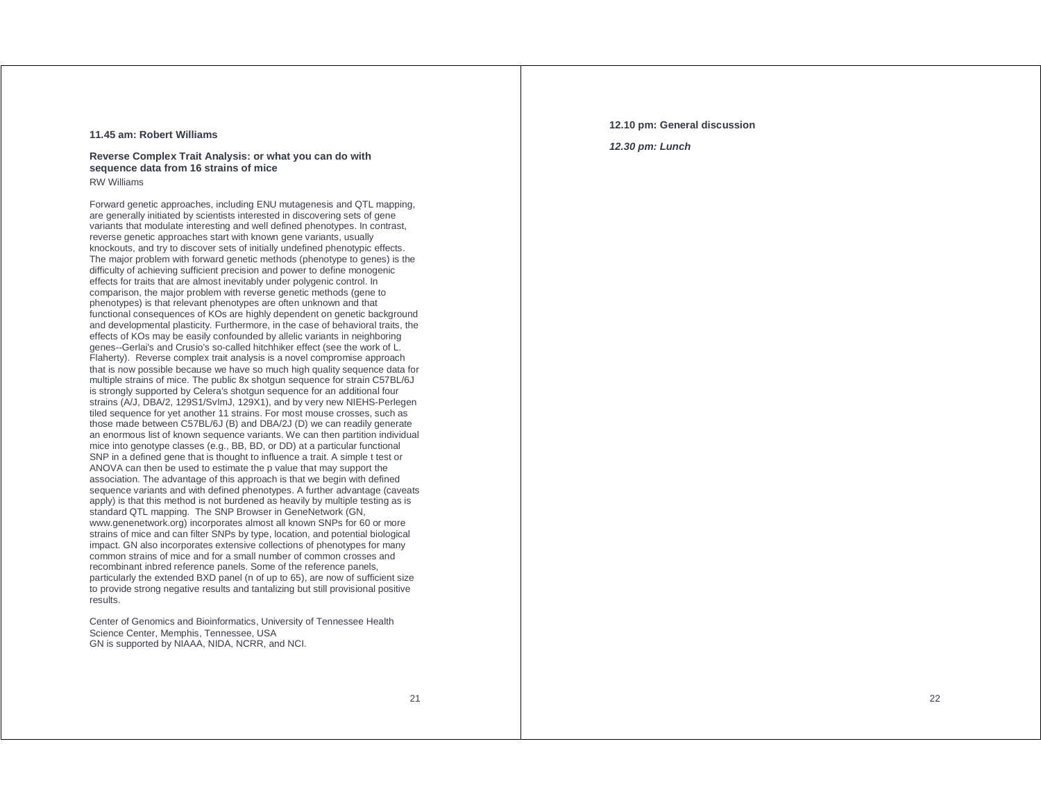### **11.45 am: Robert Williams**

### **Reverse Complex Trait Analysis: or what you can do with sequence data from 16 strains of mice**  RW Williams

Forward genetic approaches, including ENU mutagenesis and QTL mapping, are generally initiated by scientists interested in discovering sets of gene variants that modulate interesting and well defined phenotypes. In contrast, reverse genetic approaches start with known gene variants, usually knockouts, and try to discover sets of initially undefined phenotypic effects. The major problem with forward genetic methods (phenotype to genes) is the difficulty of achieving sufficient precision and power to define monogenic effects for traits that are almost inevitably under polygenic control. In comparison, the major problem with reverse genetic methods (gene to phenotypes) is that relevant phenotypes are often unknown and that functional consequences of KOs are highly dependent on genetic background and developmental plasticity. Furthermore, in the case of behavioral traits, the effects of KOs may be easily confounded by allelic variants in neighboring genes--Gerlai's and Crusio's so-called hitchhiker effect (see the work of L. Flaherty). Reverse complex trait analysis is a novel compromise approach that is now possible because we have so much high quality sequence data for multiple strains of mice. The public 8x shotgun sequence for strain C57BL/6J is strongly supported by Celera's shotgun sequence for an additional four strains (A/J, DBA/2, 129S1/SvImJ, 129X1), and by very new NIEHS-Perlegen tiled sequence for yet another 11 strains. For most mouse crosses, such as those made between C57BL/6J (B) and DBA/2J (D) we can readily generate an enormous list of known sequence variants. We can then partition individual mice into genotype classes (e.g., BB, BD, or DD) at a particular functional SNP in a defined gene that is thought to influence a trait. A simple t test or ANOVA can then be used to estimate the p value that may support the association. The advantage of this approach is that we begin with defined sequence variants and with defined phenotypes. A further advantage (caveats apply) is that this method is not burdened as heavily by multiple testing as is standard QTL mapping. The SNP Browser in GeneNetwork (GN, www.genenetwork.org) incorporates almost all known SNPs for 60 or more strains of mice and can filter SNPs by type, location, and potential biological impact. GN also incorporates extensive collections of phenotypes for many common strains of mice and for a small number of common crosses and recombinant inbred reference panels. Some of the reference panels, particularly the extended BXD panel (n of up to 65), are now of sufficient size to provide strong negative results and tantalizing but still provisional positive results.

Center of Genomics and Bioinformatics, University of Tennessee Health Science Center, Memphis, Tennessee, USA GN is supported by NIAAA, NIDA, NCRR, and NCI.

#### **12.10 pm: General discussion**

**12.30 pm: Lunch**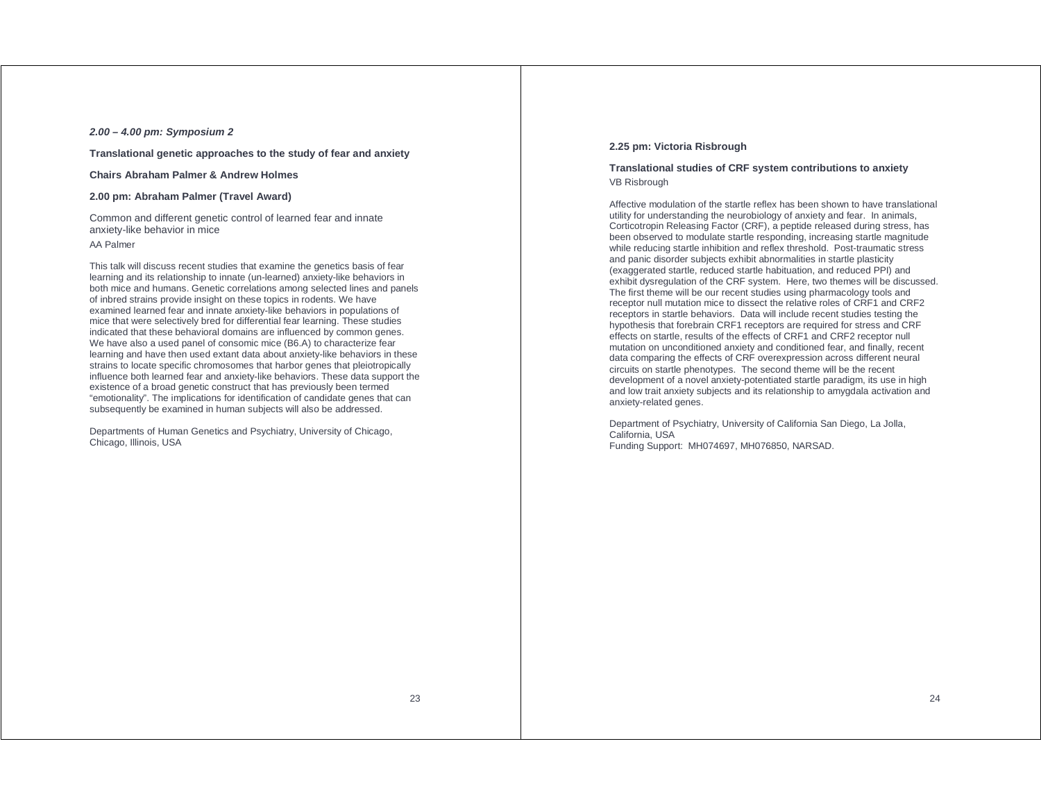### **2.00 – 4.00 pm: Symposium 2**

**Translational genetic approaches to the study of fear and anxiety** 

**Chairs Abraham Palmer & Andrew Holmes** 

### **2.00 pm: Abraham Palmer (Travel Award)**

Common and different genetic control of learned fear and innate anxiety-like behavior in mice AA Palmer

This talk will discuss recent studies that examine the genetics basis of fear learning and its relationship to innate (un-learned) anxiety-like behaviors in both mice and humans. Genetic correlations among selected lines and panels of inbred strains provide insight on these topics in rodents. We have examined learned fear and innate anxiety-like behaviors in populations of mice that were selectively bred for differential fear learning. These studies indicated that these behavioral domains are influenced by common genes. We have also a used panel of consomic mice (B6.A) to characterize fear learning and have then used extant data about anxiety-like behaviors in these strains to locate specific chromosomes that harbor genes that pleiotropically influence both learned fear and anxiety-like behaviors. These data support the existence of a broad genetic construct that has previously been termed "emotionality". The implications for identification of candidate genes that can subsequently be examined in human subjects will also be addressed.

Departments of Human Genetics and Psychiatry, University of Chicago, Chicago, Illinois, USA

### **2.25 pm: Victoria Risbrough**

### **Translational studies of CRF system contributions to anxiety**  VB Risbrough

Affective modulation of the startle reflex has been shown to have translational utility for understanding the neurobiology of anxiety and fear. In animals, Corticotropin Releasing Factor (CRF), a peptide released during stress, has been observed to modulate startle responding, increasing startle magnitude while reducing startle inhibition and reflex threshold. Post-traumatic stress and panic disorder subjects exhibit abnormalities in startle plasticity (exaggerated startle, reduced startle habituation, and reduced PPI) and exhibit dysregulation of the CRF system. Here, two themes will be discussed. The first theme will be our recent studies using pharmacology tools and receptor null mutation mice to dissect the relative roles of CRF1 and CRF2 receptors in startle behaviors. Data will include recent studies testing the hypothesis that forebrain CRF1 receptors are required for stress and CRF effects on startle, results of the effects of CRF1 and CRF2 receptor null mutation on unconditioned anxiety and conditioned fear, and finally, recent data comparing the effects of CRF overexpression across different neural circuits on startle phenotypes. The second theme will be the recent development of a novel anxiety-potentiated startle paradigm, its use in high and low trait anxiety subjects and its relationship to amygdala activation and anxiety-related genes.

Department of Psychiatry, University of California San Diego, La Jolla, California, USA Funding Support: MH074697, MH076850, NARSAD.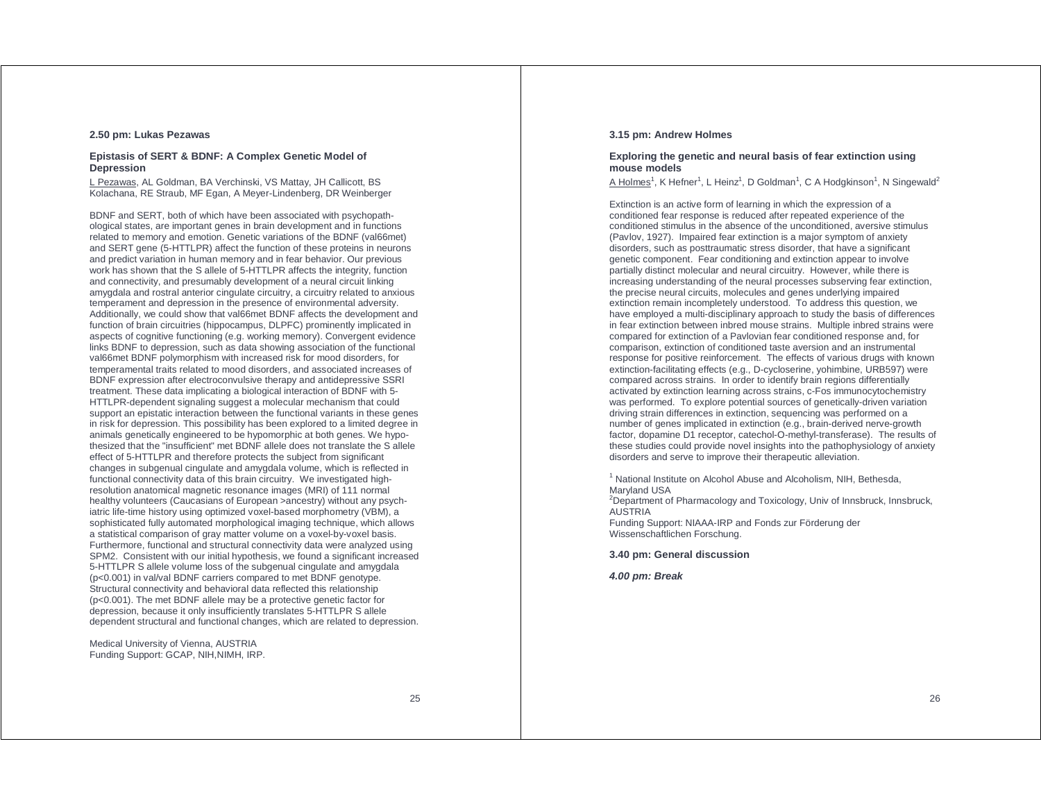### **2.50 pm: Lukas Pezawas**

### **Epistasis of SERT & BDNF: A Complex Genetic Model of Depression**

L Pezawas, AL Goldman, BA Verchinski, VS Mattay, JH Callicott, BS Kolachana, RE Straub, MF Egan, A Meyer-Lindenberg, DR Weinberger

BDNF and SERT, both of which have been associated with psychopathological states, are important genes in brain development and in functions related to memory and emotion. Genetic variations of the BDNF (val66met) and SERT gene (5-HTTLPR) affect the function of these proteins in neurons and predict variation in human memory and in fear behavior. Our previous work has shown that the S allele of 5-HTTLPR affects the integrity, function and connectivity, and presumably development of a neural circuit linking amygdala and rostral anterior cingulate circuitry, a circuitry related to anxious temperament and depression in the presence of environmental adversity. Additionally, we could show that val66met BDNF affects the development and function of brain circuitries (hippocampus, DLPFC) prominently implicated in aspects of cognitive functioning (e.g. working memory). Convergent evidence links BDNF to depression, such as data showing association of the functional val66met BDNF polymorphism with increased risk for mood disorders, for temperamental traits related to mood disorders, and associated increases of BDNF expression after electroconvulsive therapy and antidepressive SSRI treatment. These data implicating a biological interaction of BDNF with 5- HTTLPR-dependent signaling suggest a molecular mechanism that could support an epistatic interaction between the functional variants in these genes in risk for depression. This possibility has been explored to a limited degree in animals genetically engineered to be hypomorphic at both genes. We hypothesized that the "insufficient" met BDNF allele does not translate the S allele effect of 5-HTTLPR and therefore protects the subject from significant changes in subgenual cingulate and amygdala volume, which is reflected in functional connectivity data of this brain circuitry. We investigated highresolution anatomical magnetic resonance images (MRI) of 111 normal healthy volunteers (Caucasians of European >ancestry) without any psychiatric life-time history using optimized voxel-based morphometry (VBM), a sophisticated fully automated morphological imaging technique, which allows a statistical comparison of gray matter volume on a voxel-by-voxel basis. Furthermore, functional and structural connectivity data were analyzed using SPM2. Consistent with our initial hypothesis, we found a significant increased 5-HTTLPR S allele volume loss of the subgenual cingulate and amygdala (p<0.001) in val/val BDNF carriers compared to met BDNF genotype. Structural connectivity and behavioral data reflected this relationship (p<0.001). The met BDNF allele may be a protective genetic factor for depression, because it only insufficiently translates 5-HTTLPR S allele dependent structural and functional changes, which are related to depression.

Medical University of Vienna, AUSTRIA Funding Support: GCAP, NIH,NIMH, IRP.

### **3.15 pm: Andrew Holmes**

### **Exploring the genetic and neural basis of fear extinction using mouse models**

A Holmes<sup>1</sup>, K Hefner<sup>1</sup>, L Heinz<sup>1</sup>, D Goldman<sup>1</sup>, C A Hodgkinson<sup>1</sup>, N Singewald<sup>2</sup>

Extinction is an active form of learning in which the expression of a conditioned fear response is reduced after repeated experience of the conditioned stimulus in the absence of the unconditioned, aversive stimulus (Pavlov, 1927). Impaired fear extinction is a major symptom of anxiety disorders, such as posttraumatic stress disorder, that have a significant genetic component. Fear conditioning and extinction appear to involve partially distinct molecular and neural circuitry. However, while there is increasing understanding of the neural processes subserving fear extinction, the precise neural circuits, molecules and genes underlying impaired extinction remain incompletely understood. To address this question, we have employed a multi-disciplinary approach to study the basis of differences in fear extinction between inbred mouse strains. Multiple inbred strains were compared for extinction of a Pavlovian fear conditioned response and, for comparison, extinction of conditioned taste aversion and an instrumental response for positive reinforcement. The effects of various drugs with known extinction-facilitating effects (e.g., D-cycloserine, yohimbine, URB597) were compared across strains. In order to identify brain regions differentially activated by extinction learning across strains, c-Fos immunocytochemistry was performed. To explore potential sources of genetically-driven variation driving strain differences in extinction, sequencing was performed on a number of genes implicated in extinction (e.g., brain-derived nerve-growth factor, dopamine D1 receptor, catechol-O-methyl-transferase). The results of these studies could provide novel insights into the pathophysiology of anxiety disorders and serve to improve their therapeutic alleviation.

<sup>1</sup> National Institute on Alcohol Abuse and Alcoholism, NIH, Bethesda, Maryland USA

<sup>2</sup>Department of Pharmacology and Toxicology, Univ of Innsbruck, Innsbruck, AUSTRIA

Funding Support: NIAAA-IRP and Fonds zur Förderung der Wissenschaftlichen Forschung.

**3.40 pm: General discussion** 

**4.00 pm: Break**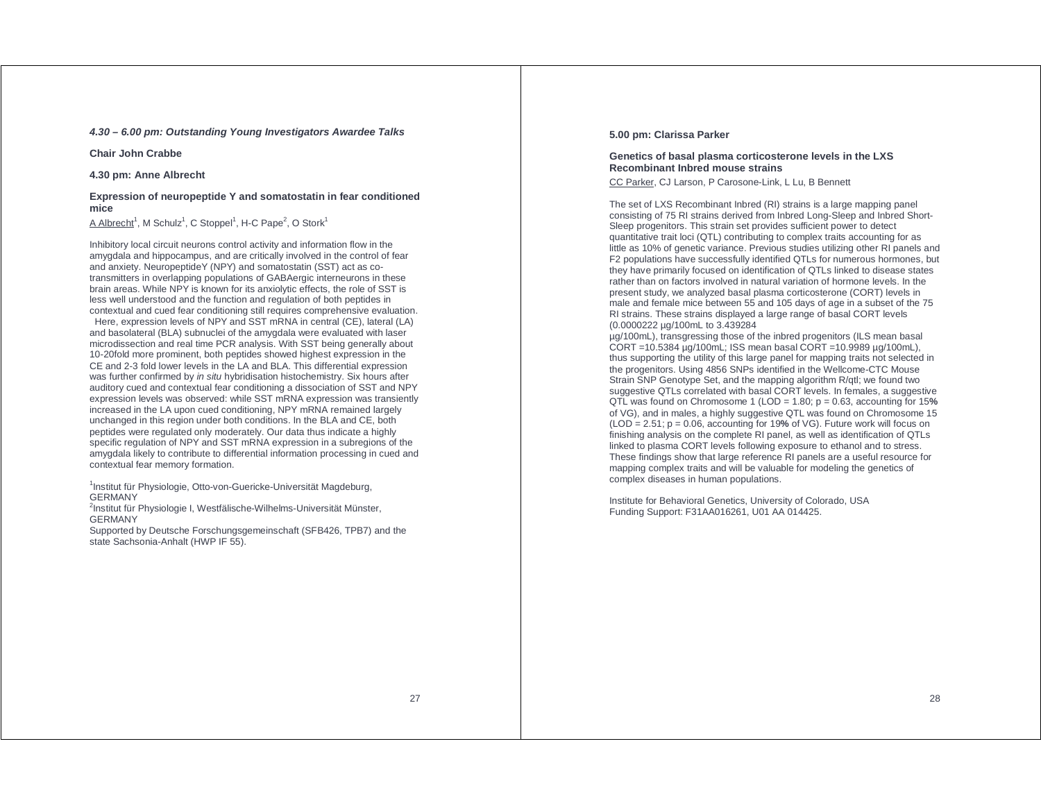### **4.30 – 6.00 pm: Outstanding Young Investigators Awardee Talks**

**Chair John Crabbe** 

**4.30 pm: Anne Albrecht** 

### **Expression of neuropeptide Y and somatostatin in fear conditioned mice**

A Albrecht<sup>1</sup>, M Schulz<sup>1</sup>, C Stoppel<sup>1</sup>, H-C Pape<sup>2</sup>, O Stork<sup>1</sup>

Inhibitory local circuit neurons control activity and information flow in the amygdala and hippocampus, and are critically involved in the control of fear and anxiety. NeuropeptideY (NPY) and somatostatin (SST) act as cotransmitters in overlapping populations of GABAergic interneurons in these brain areas. While NPY is known for its anxiolytic effects, the role of SST is less well understood and the function and regulation of both peptides in contextual and cued fear conditioning still requires comprehensive evaluation. Here, expression levels of NPY and SST mRNA in central (CE), lateral (LA) and basolateral (BLA) subnuclei of the amygdala were evaluated with laser microdissection and real time PCR analysis. With SST being generally about 10-20fold more prominent, both peptides showed highest expression in the CE and 2-3 fold lower levels in the LA and BLA. This differential expression was further confirmed by in situ hybridisation histochemistry. Six hours after auditory cued and contextual fear conditioning a dissociation of SST and NPY expression levels was observed: while SST mRNA expression was transiently increased in the LA upon cued conditioning, NPY mRNA remained largely unchanged in this region under both conditions. In the BLA and CE, both peptides were regulated only moderately. Our data thus indicate a highly specific regulation of NPY and SST mRNA expression in a subregions of the amygdala likely to contribute to differential information processing in cued and contextual fear memory formation.

<sup>1</sup>Institut für Physiologie, Otto-von-Guericke-Universität Magdeburg, GERMANY

<sup>2</sup>Institut für Physiologie I, Westfälische-Wilhelms-Universität Münster, GERMANY

Supported by Deutsche Forschungsgemeinschaft (SFB426, TPB7) and the state Sachsonia-Anhalt (HWP IF 55).

### **5.00 pm: Clarissa Parker**

### **Genetics of basal plasma corticosterone levels in the LXS Recombinant Inbred mouse strains**

CC Parker, CJ Larson, P Carosone-Link, L Lu, B Bennett

The set of LXS Recombinant Inbred (RI) strains is a large mapping panel consisting of 75 RI strains derived from Inbred Long-Sleep and Inbred Short-Sleep progenitors. This strain set provides sufficient power to detect quantitative trait loci (QTL) contributing to complex traits accounting for as little as 10% of genetic variance. Previous studies utilizing other RI panels and F2 populations have successfully identified QTLs for numerous hormones, but they have primarily focused on identification of QTLs linked to disease states rather than on factors involved in natural variation of hormone levels. In the present study, we analyzed basal plasma corticosterone (CORT) levels in male and female mice between 55 and 105 days of age in a subset of the 75 RI strains. These strains displayed a large range of basal CORT levels (0.0000222 µg/100mL to 3.439284

µg/100mL), transgressing those of the inbred progenitors (ILS mean basal CORT =10.5384 µg/100mL; ISS mean basal CORT =10.9989 µg/100mL), thus supporting the utility of this large panel for mapping traits not selected in the progenitors. Using 4856 SNPs identified in the Wellcome-CTC Mouse Strain SNP Genotype Set, and the mapping algorithm R/qtl; we found two suggestive QTLs correlated with basal CORT levels. In females, a suggestive QTL was found on Chromosome 1 (LOD = 1.80; p = 0.63, accounting for 15**%**  of VG), and in males, a highly suggestive QTL was found on Chromosome 15 (LOD = 2.51; p = 0.06, accounting for 19**%** of VG). Future work will focus on finishing analysis on the complete RI panel, as well as identification of QTLs linked to plasma CORT levels following exposure to ethanol and to stress. These findings show that large reference RI panels are a useful resource for mapping complex traits and will be valuable for modeling the genetics of complex diseases in human populations.

Institute for Behavioral Genetics, University of Colorado, USA Funding Support: F31AA016261, U01 AA 014425.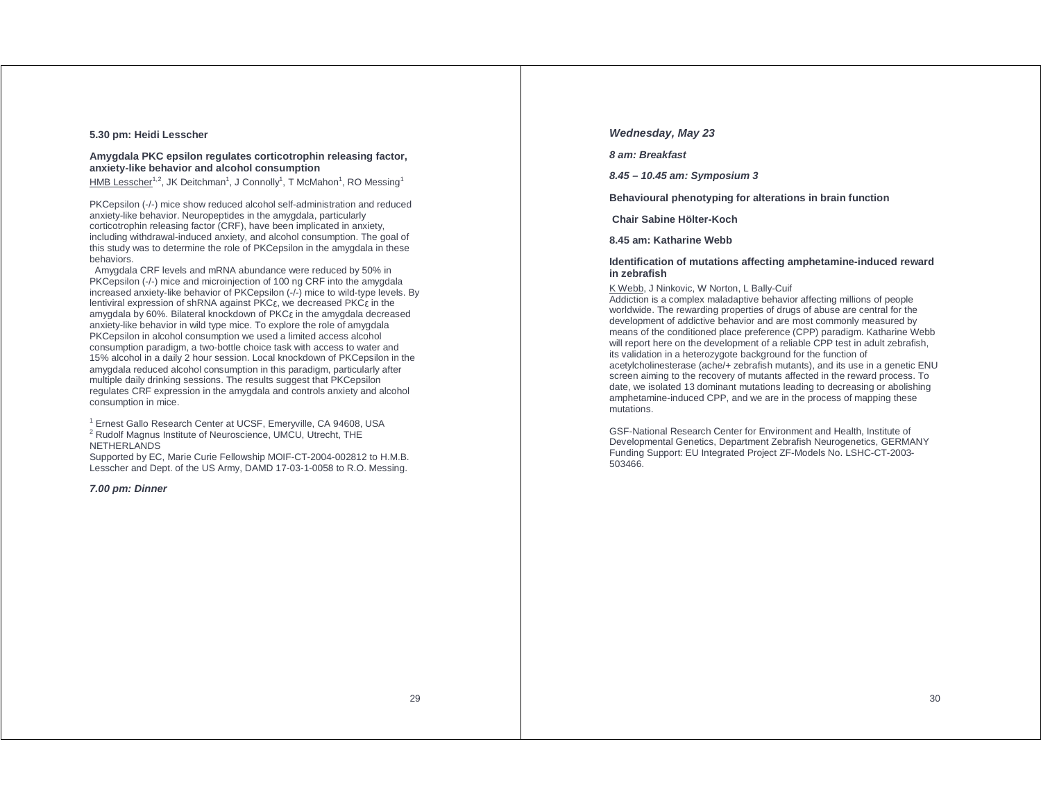### **5.30 pm: Heidi Lesscher**

### **Amygdala PKC epsilon regulates corticotrophin releasing factor, anxiety-like behavior and alcohol consumption**

HMB Lesscher<sup>1,2</sup>, JK Deitchman<sup>1</sup>, J Connolly<sup>1</sup>, T McMahon<sup>1</sup>, RO Messing<sup>1</sup>

PKCepsilon (-/-) mice show reduced alcohol self-administration and reduced anxiety-like behavior. Neuropeptides in the amygdala, particularly corticotrophin releasing factor (CRF), have been implicated in anxiety, including withdrawal-induced anxiety, and alcohol consumption. The goal of this study was to determine the role of PKCepsilon in the amygdala in these behaviors.

 Amygdala CRF levels and mRNA abundance were reduced by 50% in PKCepsilon (-/-) mice and microinjection of 100 ng CRF into the amygdala increased anxiety-like behavior of PKCepsilon (-/-) mice to wild-type levels. By lentiviral expression of shRNA against PKC<sup>ε</sup>, we decreased PKCε in the amygdala by 60%. Bilateral knockdown of PKCε in the amygdala decreased anxiety-like behavior in wild type mice. To explore the role of amygdala PKCepsilon in alcohol consumption we used a limited access alcohol consumption paradigm, a two-bottle choice task with access to water and 15% alcohol in a daily 2 hour session. Local knockdown of PKCepsilon in the amygdala reduced alcohol consumption in this paradigm, particularly after multiple daily drinking sessions. The results suggest that PKCepsilon regulates CRF expression in the amygdala and controls anxiety and alcohol consumption in mice.

<sup>1</sup> Ernest Gallo Research Center at UCSF, Emeryville, CA 94608, USA <sup>2</sup> Rudolf Magnus Institute of Neuroscience, UMCU, Utrecht, THE NETHERLANDS

Supported by EC, Marie Curie Fellowship MOIF-CT-2004-002812 to H.M.B. Lesscher and Dept. of the US Army, DAMD 17-03-1-0058 to R.O. Messing.

#### **7.00 pm: Dinner**

### **Wednesday, May 23**

**8 am: Breakfast** 

**8.45 – 10.45 am: Symposium 3** 

**Behavioural phenotyping for alterations in brain function** 

 **Chair Sabine Hölter-Koch** 

**8.45 am: Katharine Webb** 

#### **Identification of mutations affecting amphetamine-induced reward in zebrafish**

K Webb, J Ninkovic, W Norton, L Bally-Cuif

Addiction is a complex maladaptive behavior affecting millions of people worldwide. The rewarding properties of drugs of abuse are central for the development of addictive behavior and are most commonly measured by means of the conditioned place preference (CPP) paradigm. Katharine Webb will report here on the development of a reliable CPP test in adult zebrafish, its validation in a heterozygote background for the function of acetylcholinesterase (ache/+ zebrafish mutants), and its use in a genetic ENU screen aiming to the recovery of mutants affected in the reward process. To date, we isolated 13 dominant mutations leading to decreasing or abolishing amphetamine-induced CPP, and we are in the process of mapping these mutations.

GSF-National Research Center for Environment and Health, Institute of Developmental Genetics, Department Zebrafish Neurogenetics, GERMANY Funding Support: EU Integrated Project ZF-Models No. LSHC-CT-2003- 503466.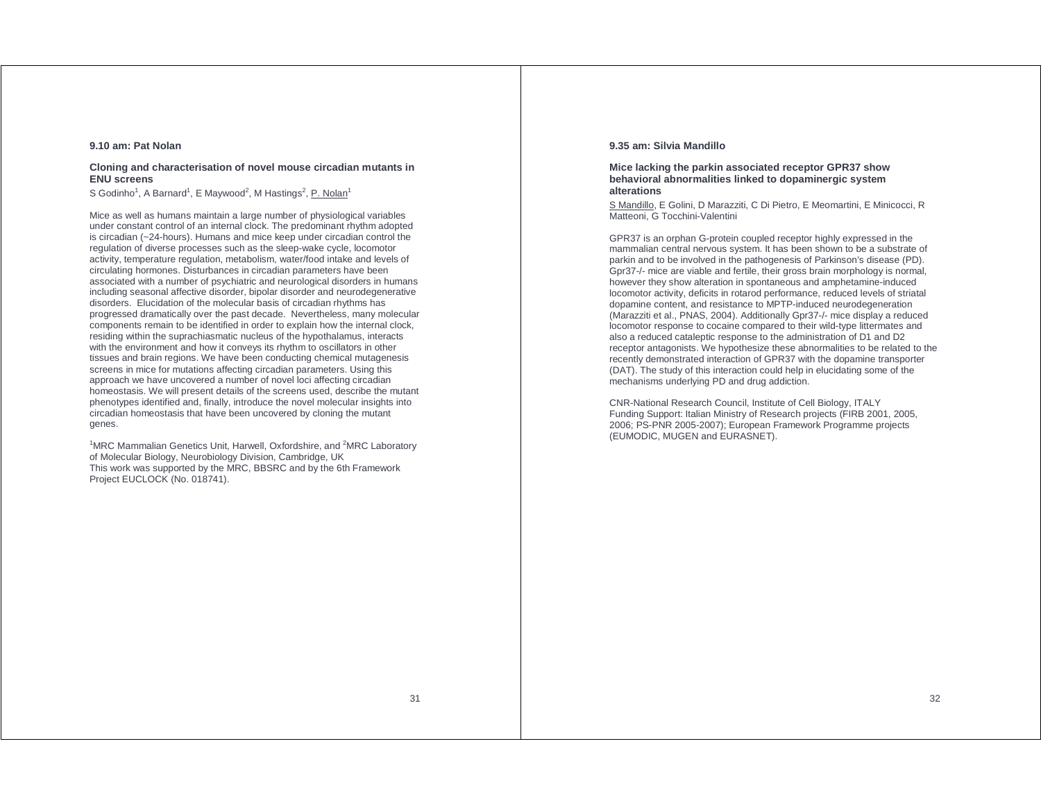### **9.10 am: Pat Nolan**

### **Cloning and characterisation of novel mouse circadian mutants in ENU screens**

S Godinho<sup>1</sup>, A Barnard<sup>1</sup>, E Maywood<sup>2</sup>, M Hastings<sup>2</sup>, P. Nolan<sup>1</sup>

Mice as well as humans maintain a large number of physiological variables under constant control of an internal clock. The predominant rhythm adopted is circadian (~24-hours). Humans and mice keep under circadian control the regulation of diverse processes such as the sleep-wake cycle, locomotor activity, temperature regulation, metabolism, water/food intake and levels of circulating hormones. Disturbances in circadian parameters have been associated with a number of psychiatric and neurological disorders in humans including seasonal affective disorder, bipolar disorder and neurodegenerative disorders. Elucidation of the molecular basis of circadian rhythms has progressed dramatically over the past decade. Nevertheless, many molecular components remain to be identified in order to explain how the internal clock, residing within the suprachiasmatic nucleus of the hypothalamus, interacts with the environment and how it conveys its rhythm to oscillators in other tissues and brain regions. We have been conducting chemical mutagenesis screens in mice for mutations affecting circadian parameters. Using this approach we have uncovered a number of novel loci affecting circadian homeostasis. We will present details of the screens used, describe the mutant phenotypes identified and, finally, introduce the novel molecular insights into circadian homeostasis that have been uncovered by cloning the mutant genes.

 $1$ MRC Mammalian Genetics Unit, Harwell, Oxfordshire, and  $2$ MRC Laboratory of Molecular Biology, Neurobiology Division, Cambridge, UK This work was supported by the MRC, BBSRC and by the 6th Framework Project EUCLOCK (No. 018741).

### **9.35 am: Silvia Mandillo**

### **Mice lacking the parkin associated receptor GPR37 show behavioral abnormalities linked to dopaminergic system alterations**

S Mandillo, E Golini, D Marazziti, C Di Pietro, E Meomartini, E Minicocci, R Matteoni, G Tocchini-Valentini

GPR37 is an orphan G-protein coupled receptor highly expressed in the mammalian central nervous system. It has been shown to be a substrate of parkin and to be involved in the pathogenesis of Parkinson's disease (PD). Gpr37-/- mice are viable and fertile, their gross brain morphology is normal, however they show alteration in spontaneous and amphetamine-induced locomotor activity, deficits in rotarod performance, reduced levels of striatal dopamine content, and resistance to MPTP-induced neurodegeneration (Marazziti et al., PNAS, 2004). Additionally Gpr37-/- mice display a reduced locomotor response to cocaine compared to their wild-type littermates and also a reduced cataleptic response to the administration of D1 and D2 receptor antagonists. We hypothesize these abnormalities to be related to the recently demonstrated interaction of GPR37 with the dopamine transporter (DAT). The study of this interaction could help in elucidating some of the mechanisms underlying PD and drug addiction.

CNR-National Research Council, Institute of Cell Biology, ITALY Funding Support: Italian Ministry of Research projects (FIRB 2001, 2005, 2006; PS-PNR 2005-2007); European Framework Programme projects (EUMODIC, MUGEN and EURASNET).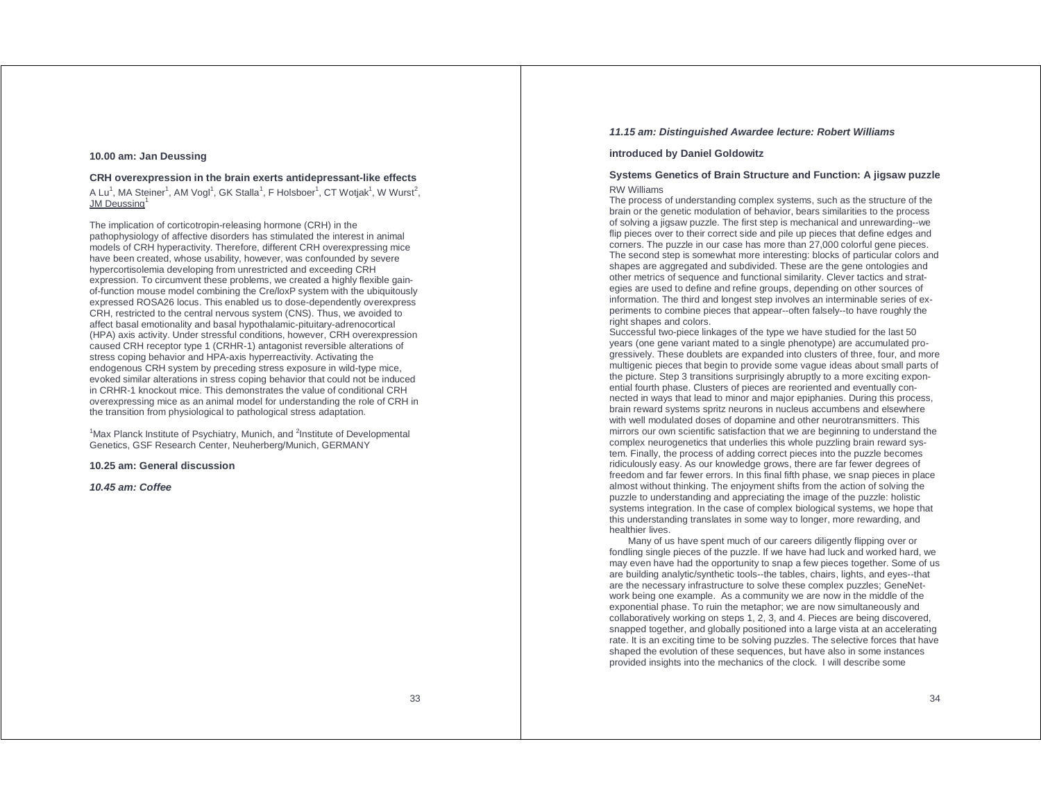### **10.00 am: Jan Deussing**

### **CRH overexpression in the brain exerts antidepressant-like effects**

A Lu<sup>1</sup>, MA Steiner<sup>1</sup>, AM Vogl<sup>1</sup>, GK Stalla<sup>1</sup>, F Holsboer<sup>1</sup>, CT Wotjak<sup>1</sup>, W Wurst<sup>2</sup>, **JM Deussing** 

The implication of corticotropin-releasing hormone (CRH) in the pathophysiology of affective disorders has stimulated the interest in animal models of CRH hyperactivity. Therefore, different CRH overexpressing mice have been created, whose usability, however, was confounded by severe hypercortisolemia developing from unrestricted and exceeding CRH expression. To circumvent these problems, we created a highly flexible gainof-function mouse model combining the Cre/loxP system with the ubiquitously expressed ROSA26 locus. This enabled us to dose-dependently overexpress CRH, restricted to the central nervous system (CNS). Thus, we avoided to affect basal emotionality and basal hypothalamic-pituitary-adrenocortical (HPA) axis activity. Under stressful conditions, however, CRH overexpression caused CRH receptor type 1 (CRHR-1) antagonist reversible alterations of stress coping behavior and HPA-axis hyperreactivity. Activating the endogenous CRH system by preceding stress exposure in wild-type mice, evoked similar alterations in stress coping behavior that could not be induced in CRHR-1 knockout mice. This demonstrates the value of conditional CRH overexpressing mice as an animal model for understanding the role of CRH in the transition from physiological to pathological stress adaptation.

<sup>1</sup>Max Planck Institute of Psychiatry, Munich, and <sup>2</sup>Institute of Developmental Genetics, GSF Research Center, Neuherberg/Munich, GERMANY

### **10.25 am: General discussion**

**10.45 am: Coffee** 

### **11.15 am: Distinguished Awardee lecture: Robert Williams**

### **introduced by Daniel Goldowitz**

### **Systems Genetics of Brain Structure and Function: A jigsaw puzzle**  RW Williams

The process of understanding complex systems, such as the structure of the brain or the genetic modulation of behavior, bears similarities to the process of solving a jigsaw puzzle. The first step is mechanical and unrewarding--we flip pieces over to their correct side and pile up pieces that define edges and corners. The puzzle in our case has more than 27,000 colorful gene pieces. The second step is somewhat more interesting: blocks of particular colors and shapes are aggregated and subdivided. These are the gene ontologies and other metrics of sequence and functional similarity. Clever tactics and strategies are used to define and refine groups, depending on other sources of information. The third and longest step involves an interminable series of experiments to combine pieces that appear--often falsely--to have roughly the right shapes and colors.

Successful two-piece linkages of the type we have studied for the last 50 years (one gene variant mated to a single phenotype) are accumulated progressively. These doublets are expanded into clusters of three, four, and more multigenic pieces that begin to provide some vague ideas about small parts of the picture. Step 3 transitions surprisingly abruptly to a more exciting exponential fourth phase. Clusters of pieces are reoriented and eventually connected in ways that lead to minor and major epiphanies. During this process, brain reward systems spritz neurons in nucleus accumbens and elsewhere with well modulated doses of dopamine and other neurotransmitters. This mirrors our own scientific satisfaction that we are beginning to understand the complex neurogenetics that underlies this whole puzzling brain reward system. Finally, the process of adding correct pieces into the puzzle becomes ridiculously easy. As our knowledge grows, there are far fewer degrees of freedom and far fewer errors. In this final fifth phase, we snap pieces in place almost without thinking. The enjoyment shifts from the action of solving the puzzle to understanding and appreciating the image of the puzzle: holistic systems integration. In the case of complex biological systems, we hope that this understanding translates in some way to longer, more rewarding, and healthier lives.

 Many of us have spent much of our careers diligently flipping over or fondling single pieces of the puzzle. If we have had luck and worked hard, we may even have had the opportunity to snap a few pieces together. Some of us are building analytic/synthetic tools--the tables, chairs, lights, and eyes--that are the necessary infrastructure to solve these complex puzzles; GeneNetwork being one example. As a community we are now in the middle of the exponential phase. To ruin the metaphor; we are now simultaneously and collaboratively working on steps 1, 2, 3, and 4. Pieces are being discovered, snapped together, and globally positioned into a large vista at an accelerating rate. It is an exciting time to be solving puzzles. The selective forces that have shaped the evolution of these sequences, but have also in some instances provided insights into the mechanics of the clock. I will describe some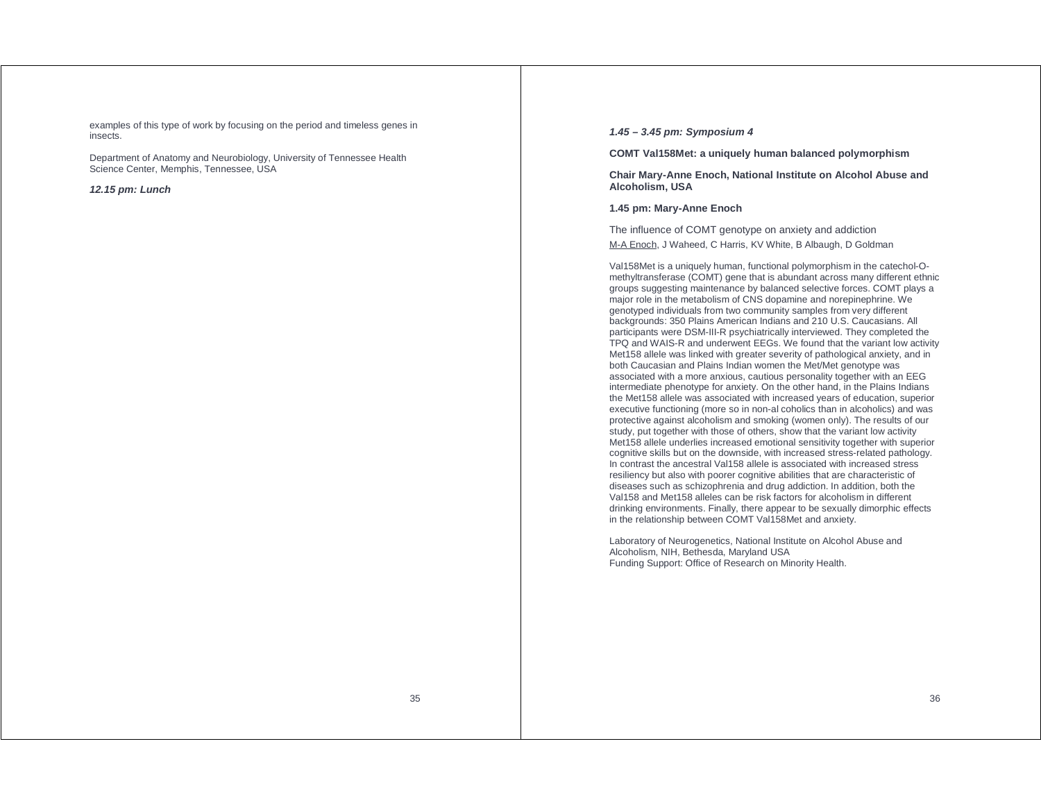examples of this type of work by focusing on the period and timeless genes in insects.

Department of Anatomy and Neurobiology, University of Tennessee Health Science Center, Memphis, Tennessee, USA

### **12.15 pm: Lunch**

### **1.45 – 3.45 pm: Symposium 4**

**COMT Val158Met: a uniquely human balanced polymorphism** 

**Chair Mary-Anne Enoch, National Institute on Alcohol Abuse and Alcoholism, USA** 

### **1.45 pm: Mary-Anne Enoch**

The influence of COMT genotype on anxiety and addiction M-A Enoch, J Waheed, C Harris, KV White, B Albaugh, D Goldman

Val158Met is a uniquely human, functional polymorphism in the catechol-Omethyltransferase (COMT) gene that is abundant across many different ethnic groups suggesting maintenance by balanced selective forces. COMT plays a major role in the metabolism of CNS dopamine and norepinephrine. We genotyped individuals from two community samples from very different backgrounds: 350 Plains American Indians and 210 U.S. Caucasians. All participants were DSM-III-R psychiatrically interviewed. They completed the TPQ and WAIS-R and underwent EEGs. We found that the variant low activity Met158 allele was linked with greater severity of pathological anxiety, and in both Caucasian and Plains Indian women the Met/Met genotype was associated with a more anxious, cautious personality together with an EEG intermediate phenotype for anxiety. On the other hand, in the Plains Indians the Met158 allele was associated with increased years of education, superior executive functioning (more so in non-al coholics than in alcoholics) and was protective against alcoholism and smoking (women only). The results of our study, put together with those of others, show that the variant low activity Met158 allele underlies increased emotional sensitivity together with superior cognitive skills but on the downside, with increased stress-related pathology. In contrast the ancestral Val158 allele is associated with increased stress resiliency but also with poorer cognitive abilities that are characteristic of diseases such as schizophrenia and drug addiction. In addition, both the Val158 and Met158 alleles can be risk factors for alcoholism in different drinking environments. Finally, there appear to be sexually dimorphic effects in the relationship between COMT Val158Met and anxiety.

Laboratory of Neurogenetics, National Institute on Alcohol Abuse and Alcoholism, NIH, Bethesda, Maryland USA Funding Support: Office of Research on Minority Health.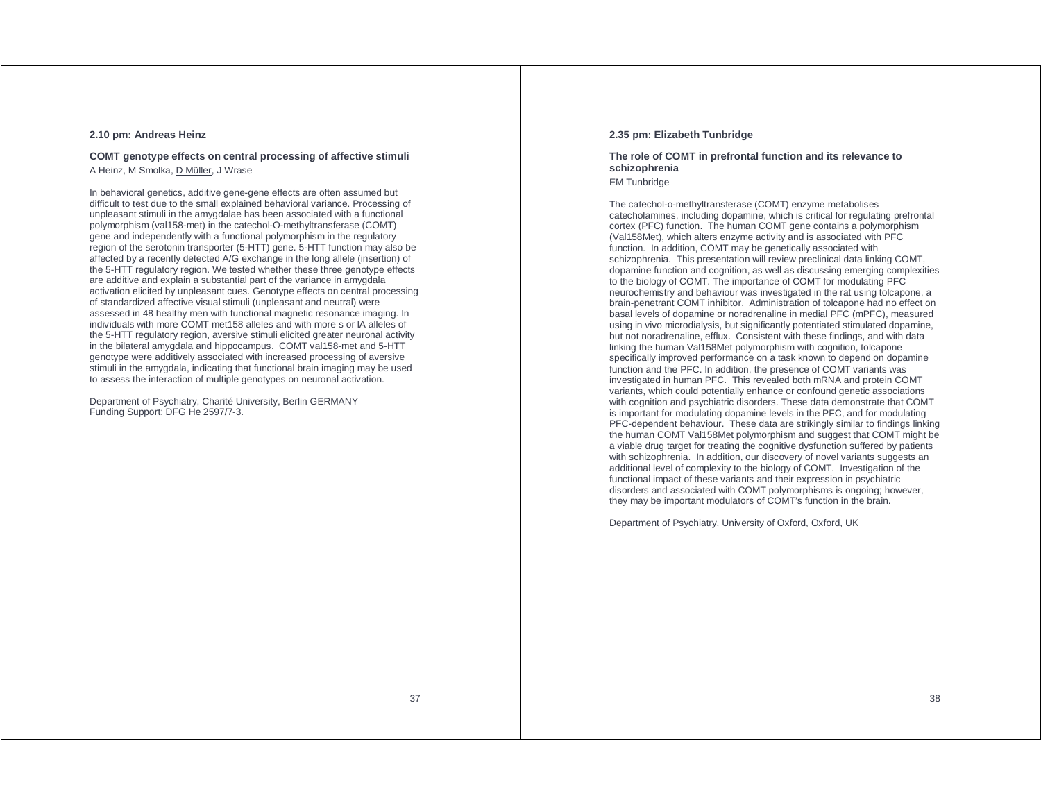### **2.10 pm: Andreas Heinz**

### **COMT genotype effects on central processing of affective stimuli**  A Heinz, M Smolka, D Müller, J Wrase

In behavioral genetics, additive gene-gene effects are often assumed but difficult to test due to the small explained behavioral variance. Processing of unpleasant stimuli in the amygdalae has been associated with a functional polymorphism (val158-met) in the catechol-O-methyltransferase (COMT) gene and independently with a functional polymorphism in the regulatory region of the serotonin transporter (5-HTT) gene. 5-HTT function may also be affected by a recently detected A/G exchange in the long allele (insertion) of the 5-HTT regulatory region. We tested whether these three genotype effects are additive and explain a substantial part of the variance in amygdala activation elicited by unpleasant cues. Genotype effects on central processing of standardized affective visual stimuli (unpleasant and neutral) were assessed in 48 healthy men with functional magnetic resonance imaging. In individuals with more COMT met158 alleles and with more s or lA alleles of the 5-HTT regulatory region, aversive stimuli elicited greater neuronal activity in the bilateral amygdala and hippocampus. COMT val158-met and 5-HTT genotype were additively associated with increased processing of aversive stimuli in the amygdala, indicating that functional brain imaging may be used to assess the interaction of multiple genotypes on neuronal activation.

Department of Psychiatry, Charité University, Berlin GERMANY Funding Support: DFG He 2597/7-3.

### **2.35 pm: Elizabeth Tunbridge**

# **The role of COMT in prefrontal function and its relevance to schizophrenia**

EM Tunbridge

The catechol-o-methyltransferase (COMT) enzyme metabolises catecholamines, including dopamine, which is critical for regulating prefrontal cortex (PFC) function. The human COMT gene contains a polymorphism (Val158Met), which alters enzyme activity and is associated with PFC function. In addition, COMT may be genetically associated with schizophrenia. This presentation will review preclinical data linking COMT, dopamine function and cognition, as well as discussing emerging complexities to the biology of COMT. The importance of COMT for modulating PFC neurochemistry and behaviour was investigated in the rat using tolcapone, a brain-penetrant COMT inhibitor. Administration of tolcapone had no effect on basal levels of dopamine or noradrenaline in medial PFC (mPFC), measured using in vivo microdialysis, but significantly potentiated stimulated dopamine, but not noradrenaline, efflux. Consistent with these findings, and with data linking the human Val158Met polymorphism with cognition, tolcapone specifically improved performance on a task known to depend on dopamine function and the PFC. In addition, the presence of COMT variants was investigated in human PFC. This revealed both mRNA and protein COMT variants, which could potentially enhance or confound genetic associations with cognition and psychiatric disorders. These data demonstrate that COMT is important for modulating dopamine levels in the PFC, and for modulating PFC-dependent behaviour. These data are strikingly similar to findings linking the human COMT Val158Met polymorphism and suggest that COMT might be a viable drug target for treating the cognitive dysfunction suffered by patients with schizophrenia. In addition, our discovery of novel variants suggests an additional level of complexity to the biology of COMT. Investigation of the functional impact of these variants and their expression in psychiatric disorders and associated with COMT polymorphisms is ongoing; however, they may be important modulators of COMT's function in the brain.

Department of Psychiatry, University of Oxford, Oxford, UK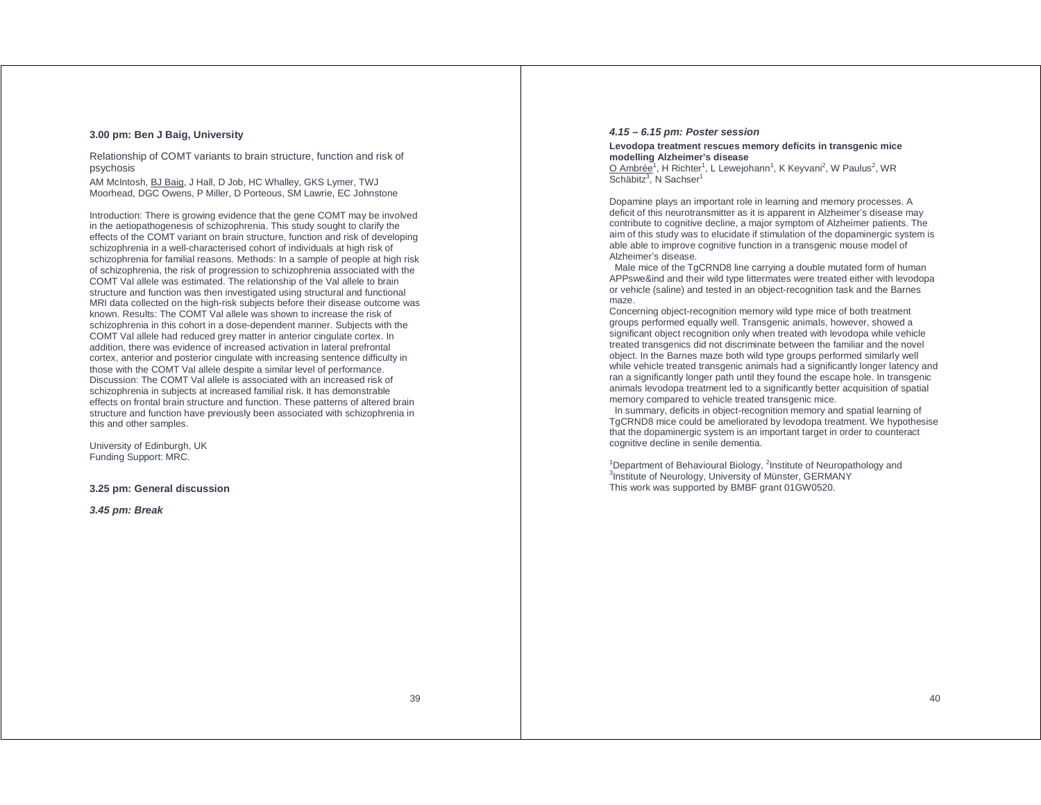### **3.00 pm: Ben J Baig, University**

Relationship of COMT variants to brain structure, function and risk of psychosis

AM McIntosh, BJ Baig, J Hall, D Job, HC Whalley, GKS Lymer, TWJ Moorhead, DGC Owens, P Miller, D Porteous, SM Lawrie, EC Johnstone

Introduction: There is growing evidence that the gene COMT may be involved in the aetiopathogenesis of schizophrenia. This study sought to clarify the effects of the COMT variant on brain structure, function and risk of developing schizophrenia in a well-characterised cohort of individuals at high risk of schizophrenia for familial reasons. Methods: In a sample of people at high risk of schizophrenia, the risk of progression to schizophrenia associated with the COMT Val allele was estimated. The relationship of the Val allele to brain structure and function was then investigated using structural and functional MRI data collected on the high-risk subjects before their disease outcome was known. Results: The COMT Val allele was shown to increase the risk of schizophrenia in this cohort in a dose-dependent manner. Subjects with the COMT Val allele had reduced grey matter in anterior cingulate cortex. In addition, there was evidence of increased activation in lateral prefrontal cortex, anterior and posterior cingulate with increasing sentence difficulty in those with the COMT Val allele despite a similar level of performance. Discussion: The COMT Val allele is associated with an increased risk of schizophrenia in subjects at increased familial risk. It has demonstrable effects on frontal brain structure and function. These patterns of altered brain structure and function have previously been associated with schizophrenia in this and other samples.

University of Edinburgh, UK Funding Support: MRC.

### **3.25 pm: General discussion**

**3.45 pm: Break** 

### **4.15 – 6.15 pm: Poster session**

### **Levodopa treatment rescues memory deficits in transgenic mice modelling Alzheimer's disease**

O Ambrée<sup>1</sup>, H Richter<sup>1</sup>, L Lewejohann<sup>1</sup>, K Keyvani<sup>2</sup>, W Paulus<sup>2</sup>, WR Schäbitz<sup>3</sup>, N Sachser<sup>1</sup>

Dopamine plays an important role in learning and memory processes. A deficit of this neurotransmitter as it is apparent in Alzheimer's disease may contribute to cognitive decline, a major symptom of Alzheimer patients. The aim of this study was to elucidate if stimulation of the dopaminergic system is able able to improve cognitive function in a transgenic mouse model of Alzheimer's disease.

 Male mice of the TgCRND8 line carrying a double mutated form of human APPswe&ind and their wild type littermates were treated either with levodopa or vehicle (saline) and tested in an object-recognition task and the Barnes maze.

Concerning object-recognition memory wild type mice of both treatment groups performed equally well. Transgenic animals, however, showed a significant object recognition only when treated with levodopa while vehicle treated transgenics did not discriminate between the familiar and the novel object. In the Barnes maze both wild type groups performed similarly well while vehicle treated transgenic animals had a significantly longer latency and ran a significantly longer path until they found the escape hole. In transgenic animals levodopa treatment led to a significantly better acquisition of spatial memory compared to vehicle treated transgenic mice.

 In summary, deficits in object-recognition memory and spatial learning of TgCRND8 mice could be ameliorated by levodopa treatment. We hypothesise that the dopaminergic system is an important target in order to counteract cognitive decline in senile dementia.

<sup>1</sup>Department of Behavioural Biology, <sup>2</sup>Institute of Neuropathology and <sup>3</sup>Institute of Neurology, University of Münster, GERMANY This work was supported by BMBF grant 01GW0520.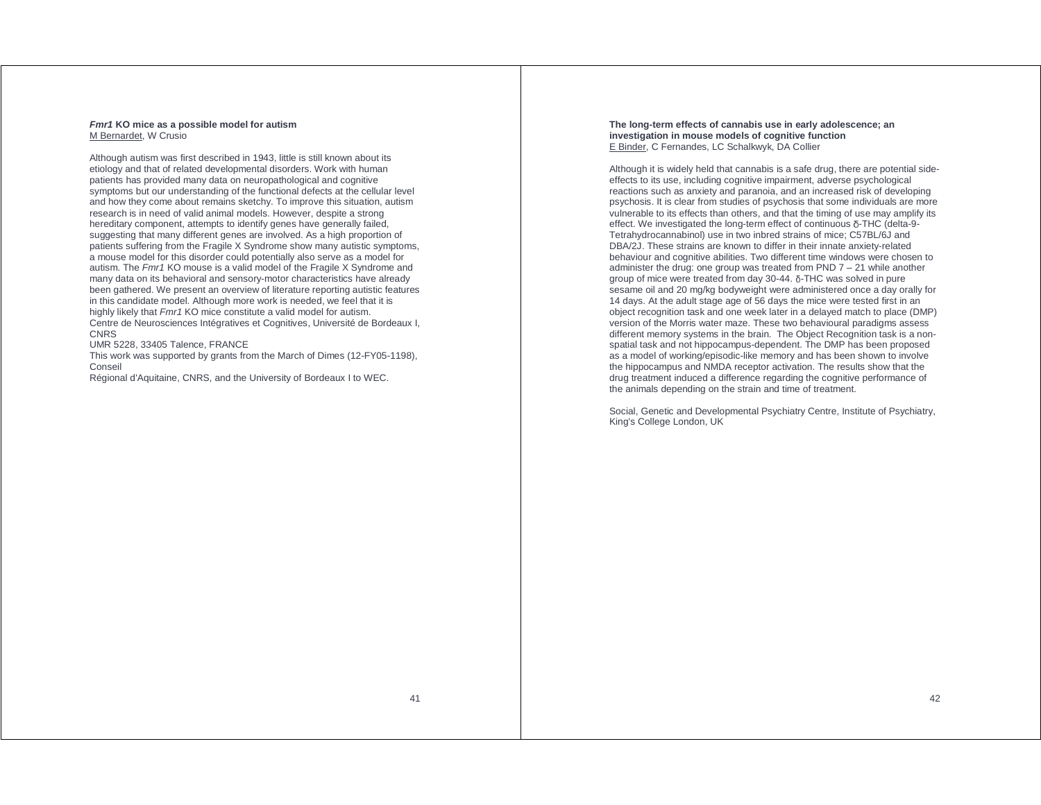#### **Fmr1 KO mice as a possible model for autism**  M Bernardet, W Crusio

Although autism was first described in 1943, little is still known about its etiology and that of related developmental disorders. Work with human patients has provided many data on neuropathological and cognitive symptoms but our understanding of the functional defects at the cellular level and how they come about remains sketchy. To improve this situation, autism research is in need of valid animal models. However, despite a strong hereditary component, attempts to identify genes have generally failed, suggesting that many different genes are involved. As a high proportion of patients suffering from the Fragile X Syndrome show many autistic symptoms, a mouse model for this disorder could potentially also serve as a model for autism. The Fmr1 KO mouse is a valid model of the Fragile X Syndrome and many data on its behavioral and sensory-motor characteristics have already been gathered. We present an overview of literature reporting autistic features in this candidate model. Although more work is needed, we feel that it is highly likely that Fmr1 KO mice constitute a valid model for autism. Centre de Neurosciences Intégratives et Cognitives, Université de Bordeaux I,

**CNRS** 

UMR 5228, 33405 Talence, FRANCE

This work was supported by grants from the March of Dimes (12-FY05-1198), Conseil

Régional d'Aquitaine, CNRS, and the University of Bordeaux I to WEC.

#### **The long-term effects of cannabis use in early adolescence; an investigation in mouse models of cognitive function** E Binder, C Fernandes, LC Schalkwyk, DA Collier

Although it is widely held that cannabis is a safe drug, there are potential sideeffects to its use, including cognitive impairment, adverse psychological reactions such as anxiety and paranoia, and an increased risk of developing psychosis. It is clear from studies of psychosis that some individuals are more vulnerable to its effects than others, and that the timing of use may amplify its effect. We investigated the long-term effect of continuous δ-THC (delta-9- Tetrahydrocannabinol) use in two inbred strains of mice; C57BL/6J and DBA/2J. These strains are known to differ in their innate anxiety-related behaviour and cognitive abilities. Two different time windows were chosen to administer the drug: one group was treated from PND 7 – 21 while another group of mice were treated from day 30-44. δ-THC was solved in pure sesame oil and 20 mg/kg bodyweight were administered once a day orally for 14 days. At the adult stage age of 56 days the mice were tested first in an object recognition task and one week later in a delayed match to place (DMP) version of the Morris water maze. These two behavioural paradigms assess different memory systems in the brain. The Object Recognition task is a nonspatial task and not hippocampus-dependent. The DMP has been proposed as a model of working/episodic-like memory and has been shown to involve the hippocampus and NMDA receptor activation. The results show that the drug treatment induced a difference regarding the cognitive performance of the animals depending on the strain and time of treatment.

Social, Genetic and Developmental Psychiatry Centre, Institute of Psychiatry, King's College London, UK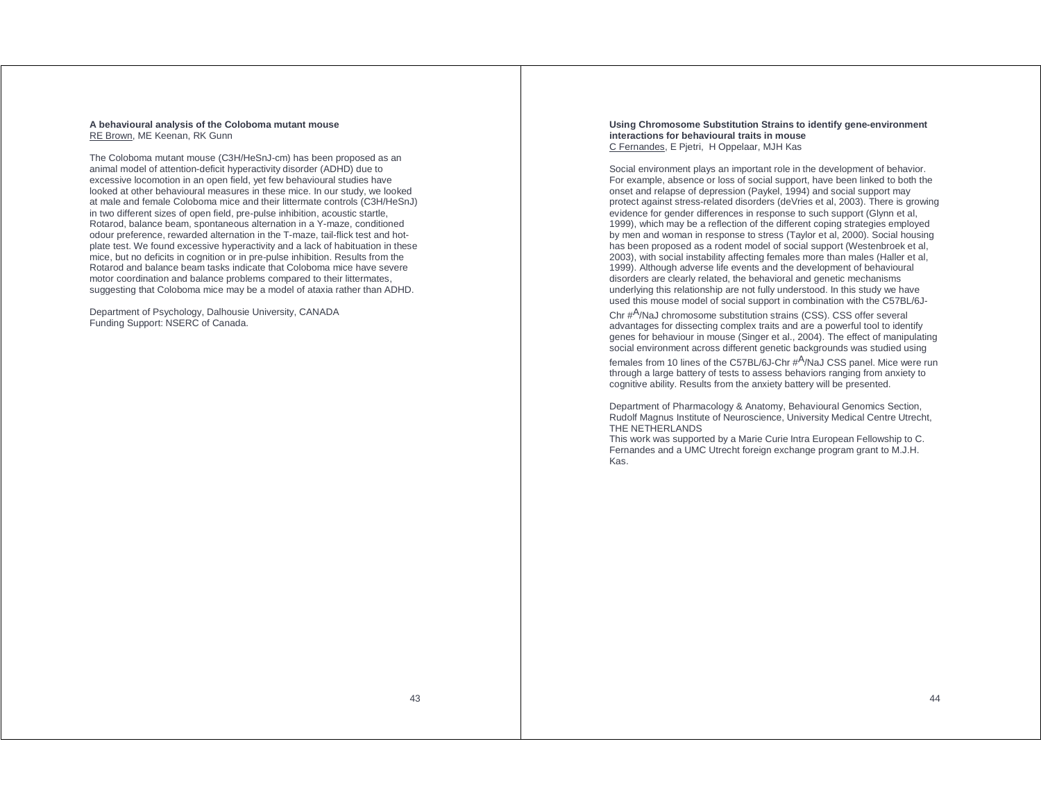#### **A behavioural analysis of the Coloboma mutant mouse** RE Brown, ME Keenan, RK Gunn

The Coloboma mutant mouse (C3H/HeSnJ-cm) has been proposed as an animal model of attention-deficit hyperactivity disorder (ADHD) due to excessive locomotion in an open field, yet few behavioural studies have looked at other behavioural measures in these mice. In our study, we looked at male and female Coloboma mice and their littermate controls (C3H/HeSnJ) in two different sizes of open field, pre-pulse inhibition, acoustic startle, Rotarod, balance beam, spontaneous alternation in a Y-maze, conditioned odour preference, rewarded alternation in the T-maze, tail-flick test and hotplate test. We found excessive hyperactivity and a lack of habituation in these mice, but no deficits in cognition or in pre-pulse inhibition. Results from the Rotarod and balance beam tasks indicate that Coloboma mice have severe motor coordination and balance problems compared to their littermates, suggesting that Coloboma mice may be a model of ataxia rather than ADHD.

Department of Psychology, Dalhousie University, CANADA Funding Support: NSERC of Canada.

#### **Using Chromosome Substitution Strains to identify gene-environment interactions for behavioural traits in mouse**  C Fernandes, E Pjetri, H Oppelaar, MJH Kas

Social environment plays an important role in the development of behavior. For example, absence or loss of social support, have been linked to both the onset and relapse of depression (Paykel, 1994) and social support may protect against stress-related disorders (deVries et al, 2003). There is growing evidence for gender differences in response to such support (Glynn et al, 1999), which may be a reflection of the different coping strategies employed by men and woman in response to stress (Taylor et al, 2000). Social housing has been proposed as a rodent model of social support (Westenbroek et al, 2003), with social instability affecting females more than males (Haller et al, 1999). Although adverse life events and the development of behavioural disorders are clearly related, the behavioral and genetic mechanisms underlying this relationship are not fully understood. In this study we have used this mouse model of social support in combination with the C57BL/6J-

Chr #A/NaJ chromosome substitution strains (CSS). CSS offer several advantages for dissecting complex traits and are a powerful tool to identify genes for behaviour in mouse (Singer et al., 2004). The effect of manipulating social environment across different genetic backgrounds was studied using

females from 10 lines of the C57BL/6J-Chr #A/NaJ CSS panel. Mice were run through a large battery of tests to assess behaviors ranging from anxiety to cognitive ability. Results from the anxiety battery will be presented.

Department of Pharmacology & Anatomy, Behavioural Genomics Section, Rudolf Magnus Institute of Neuroscience, University Medical Centre Utrecht, THE NETHERLANDS

This work was supported by a Marie Curie Intra European Fellowship to C. Fernandes and a UMC Utrecht foreign exchange program grant to M.J.H. Kas.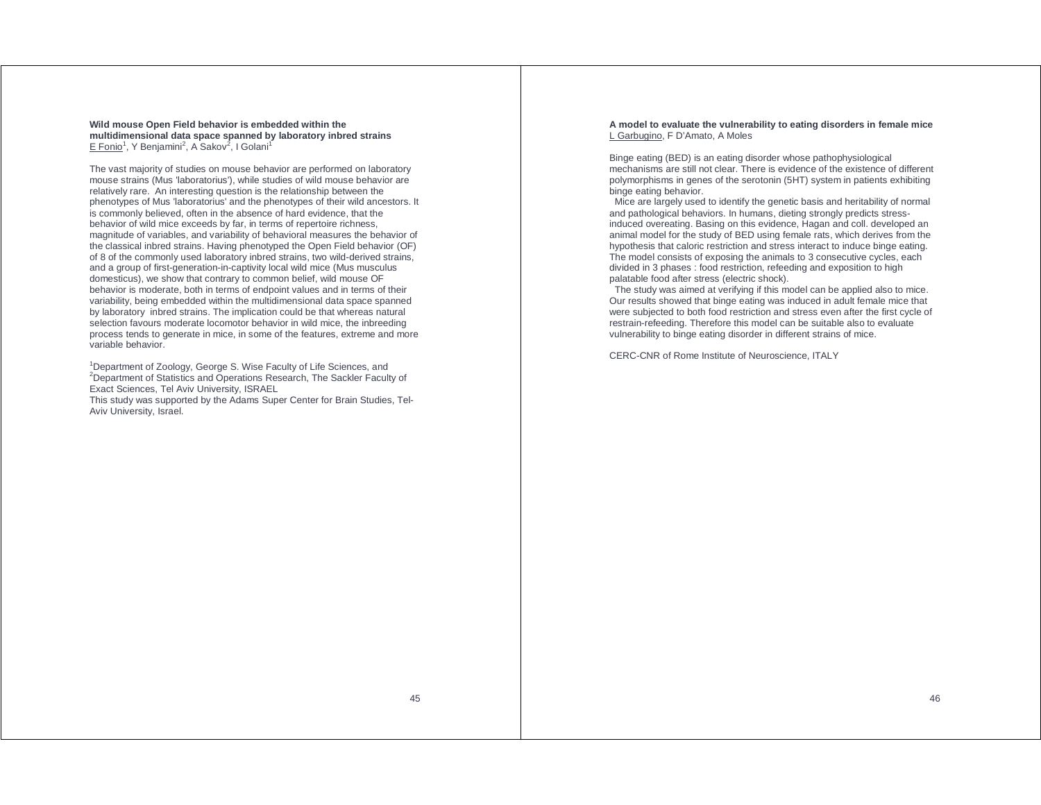### **Wild mouse Open Field behavior is embedded within the multidimensional data space spanned by laboratory inbred strains** E Fonio<sup>1</sup>, Y Benjamini<sup>2</sup>, A Sakov<sup>2</sup>, I Golani<sup>1</sup>

The vast majority of studies on mouse behavior are performed on laboratory mouse strains (Mus 'laboratorius'), while studies of wild mouse behavior are relatively rare. An interesting question is the relationship between the phenotypes of Mus 'laboratorius' and the phenotypes of their wild ancestors. It is commonly believed, often in the absence of hard evidence, that the behavior of wild mice exceeds by far, in terms of repertoire richness, magnitude of variables, and variability of behavioral measures the behavior of the classical inbred strains. Having phenotyped the Open Field behavior (OF) of 8 of the commonly used laboratory inbred strains, two wild-derived strains, and a group of first-generation-in-captivity local wild mice (Mus musculus domesticus), we show that contrary to common belief, wild mouse OF behavior is moderate, both in terms of endpoint values and in terms of their variability, being embedded within the multidimensional data space spanned by laboratory inbred strains. The implication could be that whereas natural selection favours moderate locomotor behavior in wild mice, the inbreeding process tends to generate in mice, in some of the features, extreme and more variable behavior.

<sup>1</sup>Department of Zoology, George S. Wise Faculty of Life Sciences, and <sup>2</sup>Department of Statistics and Operations Research, The Sackler Faculty of Exact Sciences, Tel Aviv University, ISRAEL This study was supported by the Adams Super Center for Brain Studies, Tel-Aviv University, Israel.

**A model to evaluate the vulnerability to eating disorders in female mice**  L Garbugino, F D'Amato, A Moles

Binge eating (BED) is an eating disorder whose pathophysiological mechanisms are still not clear. There is evidence of the existence of different polymorphisms in genes of the serotonin (5HT) system in patients exhibiting binge eating behavior.

 Mice are largely used to identify the genetic basis and heritability of normal and pathological behaviors. In humans, dieting strongly predicts stressinduced overeating. Basing on this evidence, Hagan and coll. developed an animal model for the study of BED using female rats, which derives from the hypothesis that caloric restriction and stress interact to induce binge eating. The model consists of exposing the animals to 3 consecutive cycles, each divided in 3 phases : food restriction, refeeding and exposition to high palatable food after stress (electric shock).

 The study was aimed at verifying if this model can be applied also to mice. Our results showed that binge eating was induced in adult female mice that were subjected to both food restriction and stress even after the first cycle of restrain-refeeding. Therefore this model can be suitable also to evaluate vulnerability to binge eating disorder in different strains of mice.

CERC-CNR of Rome Institute of Neuroscience, ITALY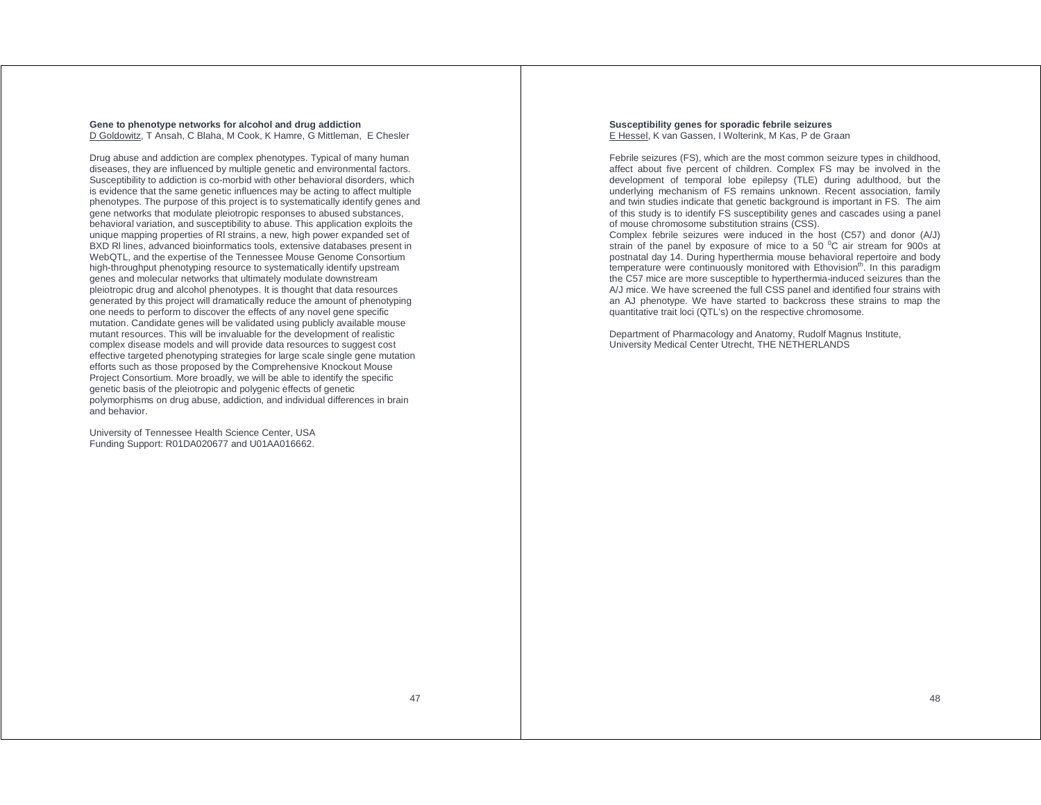#### **Gene to phenotype networks for alcohol and drug addiction**  D Goldowitz, T Ansah, C Blaha, M Cook, K Hamre, G Mittleman, E Chesler

Drug abuse and addiction are complex phenotypes. Typical of many human diseases, they are influenced by multiple genetic and environmental factors. Susceptibility to addiction is co-morbid with other behavioral disorders, which is evidence that the same genetic influences may be acting to affect multiple phenotypes. The purpose of this project is to systematically identify genes and gene networks that modulate pleiotropic responses to abused substances, behavioral variation, and susceptibility to abuse. This application exploits the unique mapping properties of Rl strains, a new, high power expanded set of BXD Rl lines, advanced bioinformatics tools, extensive databases present in WebQTL, and the expertise of the Tennessee Mouse Genome Consortium high-throughput phenotyping resource to systematically identify upstream genes and molecular networks that ultimately modulate downstream pleiotropic drug and alcohol phenotypes. It is thought that data resources generated by this project will dramatically reduce the amount of phenotyping one needs to perform to discover the effects of any novel gene specific mutation. Candidate genes will be validated using publicly available mouse mutant resources. This will be invaluable for the development of realistic complex disease models and will provide data resources to suggest cost effective targeted phenotyping strategies for large scale single gene mutation efforts such as those proposed by the Comprehensive Knockout Mouse Project Consortium. More broadly, we will be able to identify the specific genetic basis of the pleiotropic and polygenic effects of genetic polymorphisms on drug abuse, addiction, and individual differences in brain and behavior.

University of Tennessee Health Science Center, USA Funding Support: R01DA020677 and U01AA016662.

#### **Susceptibility genes for sporadic febrile seizures**  E Hessel, K van Gassen, I Wolterink, M Kas, P de Graan

Febrile seizures (FS), which are the most common seizure types in childhood, affect about five percent of children. Complex FS may be involved in the development of temporal lobe epilepsy (TLE) during adulthood, but the underlying mechanism of FS remains unknown. Recent association, family and twin studies indicate that genetic background is important in FS. The aim of this study is to identify FS susceptibility genes and cascades using a panel of mouse chromosome substitution strains (CSS).

Complex febrile seizures were induced in the host (C57) and donor (A/J) strain of the panel by exposure of mice to a 50  $^{\circ}$ C air stream for 900s at postnatal day 14. During hyperthermia mouse behavioral repertoire and body temperature were continuously monitored with Ethovision<sup>th</sup>. In this paradigm the C57 mice are more susceptible to hyperthermia-induced seizures than the A/J mice. We have screened the full CSS panel and identified four strains with an AJ phenotype. We have started to backcross these strains to map the quantitative trait loci (QTL's) on the respective chromosome.

Department of Pharmacology and Anatomy, Rudolf Magnus Institute, University Medical Center Utrecht, THE NETHERLANDS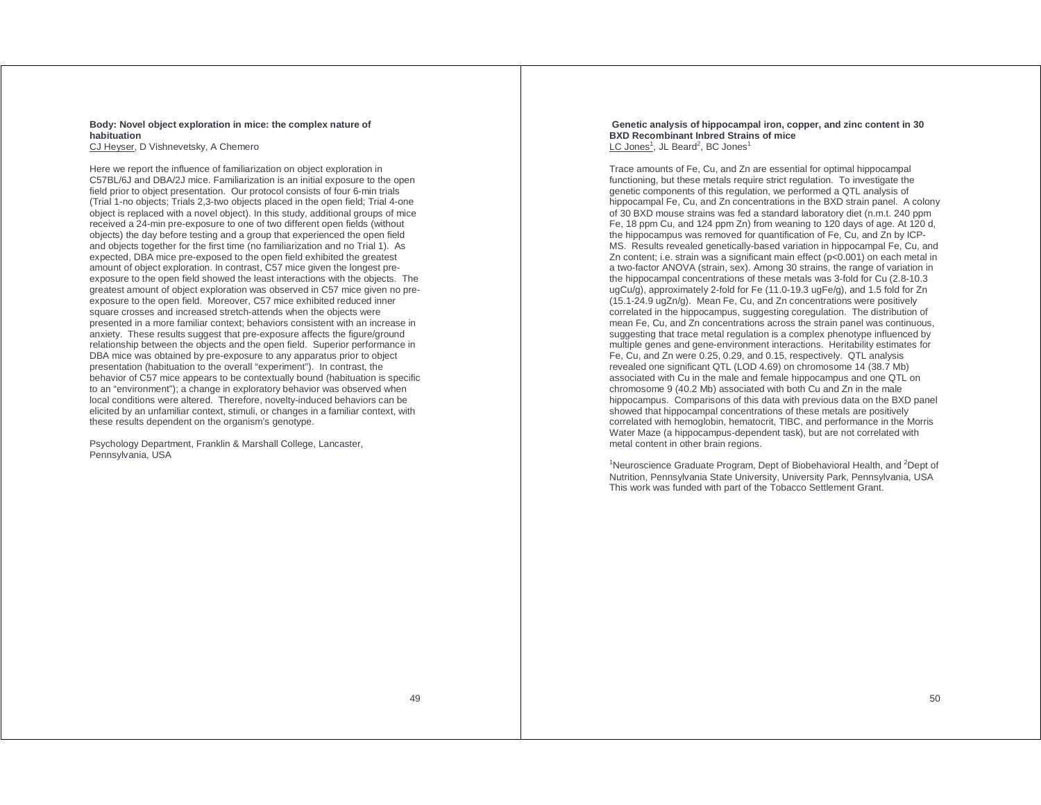### **Body: Novel object exploration in mice: the complex nature of habituation**

CJ Heyser, D Vishnevetsky, A Chemero

Here we report the influence of familiarization on object exploration in C57BL/6J and DBA/2J mice. Familiarization is an initial exposure to the open field prior to object presentation. Our protocol consists of four 6-min trials (Trial 1-no objects; Trials 2,3-two objects placed in the open field; Trial 4-one object is replaced with a novel object). In this study, additional groups of mice received a 24-min pre-exposure to one of two different open fields (without objects) the day before testing and a group that experienced the open field and objects together for the first time (no familiarization and no Trial 1). As expected, DBA mice pre-exposed to the open field exhibited the greatest amount of object exploration. In contrast, C57 mice given the longest preexposure to the open field showed the least interactions with the objects. The greatest amount of object exploration was observed in C57 mice given no preexposure to the open field. Moreover, C57 mice exhibited reduced inner square crosses and increased stretch-attends when the objects were presented in a more familiar context; behaviors consistent with an increase in anxiety. These results suggest that pre-exposure affects the figure/ground relationship between the objects and the open field. Superior performance in DBA mice was obtained by pre-exposure to any apparatus prior to object presentation (habituation to the overall "experiment"). In contrast, the behavior of C57 mice appears to be contextually bound (habituation is specific to an "environment"); a change in exploratory behavior was observed when local conditions were altered. Therefore, novelty-induced behaviors can be elicited by an unfamiliar context, stimuli, or changes in a familiar context, with these results dependent on the organism's genotype.

Psychology Department, Franklin & Marshall College, Lancaster, Pennsylvania, USA

#### **Genetic analysis of hippocampal iron, copper, and zinc content in 30 BXD Recombinant Inbred Strains of mice**  LC Jones<sup>1</sup>, JL Beard<sup>2</sup>, BC Jones<sup>1</sup>

Trace amounts of Fe, Cu, and Zn are essential for optimal hippocampal functioning, but these metals require strict regulation. To investigate the genetic components of this regulation, we performed a QTL analysis of hippocampal Fe, Cu, and Zn concentrations in the BXD strain panel. A colony of 30 BXD mouse strains was fed a standard laboratory diet (n.m.t. 240 ppm Fe, 18 ppm Cu, and 124 ppm Zn) from weaning to 120 days of age. At 120 d, the hippocampus was removed for quantification of Fe, Cu, and Zn by ICP-MS. Results revealed genetically-based variation in hippocampal Fe, Cu, and Zn content; i.e. strain was a significant main effect (p<0.001) on each metal in a two-factor ANOVA (strain, sex). Among 30 strains, the range of variation in the hippocampal concentrations of these metals was 3-fold for Cu (2.8-10.3 ugCu/g), approximately 2-fold for Fe (11.0-19.3 ugFe/g), and 1.5 fold for Zn (15.1-24.9 ugZn/g). Mean Fe, Cu, and Zn concentrations were positively correlated in the hippocampus, suggesting coregulation. The distribution of mean Fe, Cu, and Zn concentrations across the strain panel was continuous, suggesting that trace metal regulation is a complex phenotype influenced by multiple genes and gene-environment interactions. Heritability estimates for Fe, Cu, and Zn were 0.25, 0.29, and 0.15, respectively. QTL analysis revealed one significant QTL (LOD 4.69) on chromosome 14 (38.7 Mb) associated with Cu in the male and female hippocampus and one QTL on chromosome 9 (40.2 Mb) associated with both Cu and Zn in the male hippocampus. Comparisons of this data with previous data on the BXD panel showed that hippocampal concentrations of these metals are positively correlated with hemoglobin, hematocrit, TIBC, and performance in the Morris Water Maze (a hippocampus-dependent task), but are not correlated with metal content in other brain regions.

<sup>1</sup>Neuroscience Graduate Program, Dept of Biobehavioral Health, and  $2$ Dept of Nutrition, Pennsylvania State University, University Park, Pennsylvania, USA This work was funded with part of the Tobacco Settlement Grant.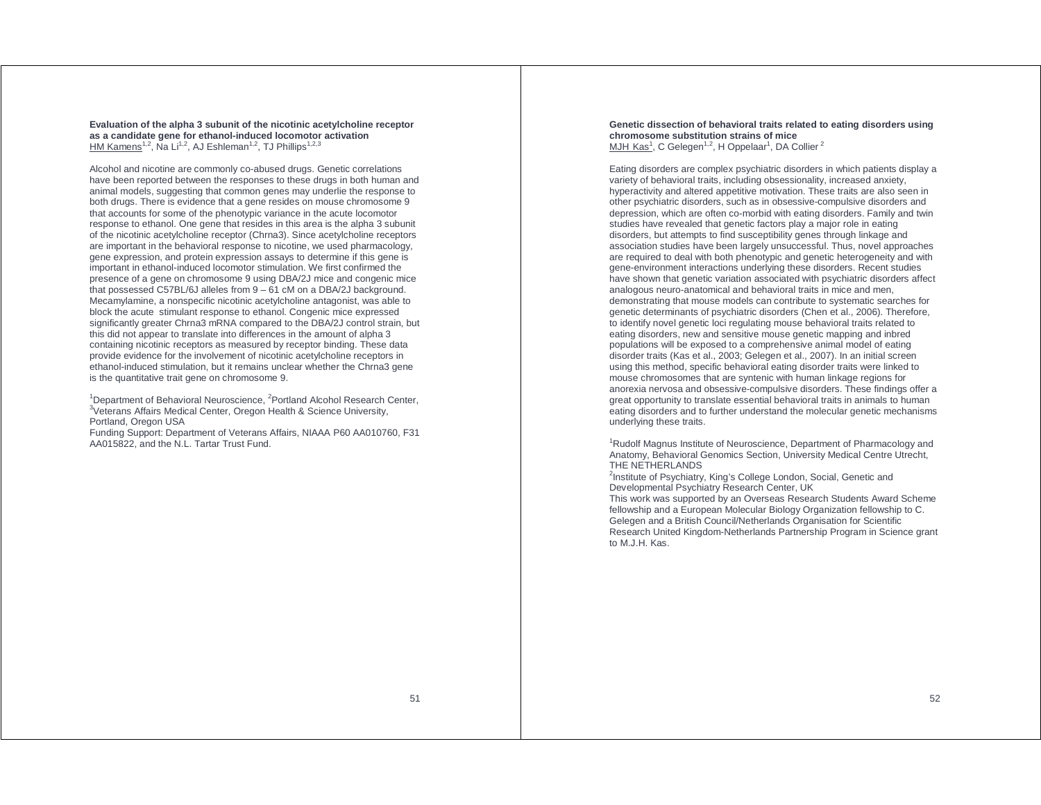**Evaluation of the alpha 3 subunit of the nicotinic acetylcholine receptor as a candidate gene for ethanol-induced locomotor activation**  HM Kamens<sup>1,2</sup>, Na Li<sup>1,2</sup>, AJ Eshleman<sup>1,2</sup>, TJ Phillips<sup>1,2,3</sup>

Alcohol and nicotine are commonly co-abused drugs. Genetic correlations have been reported between the responses to these drugs in both human and animal models, suggesting that common genes may underlie the response to both drugs. There is evidence that a gene resides on mouse chromosome 9 that accounts for some of the phenotypic variance in the acute locomotor response to ethanol. One gene that resides in this area is the alpha 3 subunit of the nicotinic acetylcholine receptor (Chrna3). Since acetylcholine receptors are important in the behavioral response to nicotine, we used pharmacology, gene expression, and protein expression assays to determine if this gene is important in ethanol-induced locomotor stimulation. We first confirmed the presence of a gene on chromosome 9 using DBA/2J mice and congenic mice that possessed C57BL/6J alleles from  $9 - 61$  cM on a DBA/2J background. Mecamylamine, a nonspecific nicotinic acetylcholine antagonist, was able to block the acute stimulant response to ethanol. Congenic mice expressed significantly greater Chrna3 mRNA compared to the DBA/2J control strain, but this did not appear to translate into differences in the amount of alpha 3 containing nicotinic receptors as measured by receptor binding. These data provide evidence for the involvement of nicotinic acetylcholine receptors in ethanol-induced stimulation, but it remains unclear whether the Chrna3 gene is the quantitative trait gene on chromosome 9.

<sup>1</sup>Department of Behavioral Neuroscience, <sup>2</sup>Portland Alcohol Research Center, <sup>3</sup>Veterans Affairs Medical Center, Oregon Health & Science University, Portland, Oregon USA

Funding Support: Department of Veterans Affairs, NIAAA P60 AA010760, F31 AA015822, and the N.L. Tartar Trust Fund.

**Genetic dissection of behavioral traits related to eating disorders using chromosome substitution strains of mice**  MJH Kas<sup>1</sup>, C Gelegen<sup>1,2</sup>, H Oppelaar<sup>1</sup>, DA Collier<sup>2</sup>

Eating disorders are complex psychiatric disorders in which patients display a variety of behavioral traits, including obsessionality, increased anxiety, hyperactivity and altered appetitive motivation. These traits are also seen in other psychiatric disorders, such as in obsessive-compulsive disorders and depression, which are often co-morbid with eating disorders. Family and twin studies have revealed that genetic factors play a major role in eating disorders, but attempts to find susceptibility genes through linkage and association studies have been largely unsuccessful. Thus, novel approaches are required to deal with both phenotypic and genetic heterogeneity and with gene-environment interactions underlying these disorders. Recent studies have shown that genetic variation associated with psychiatric disorders affect analogous neuro-anatomical and behavioral traits in mice and men, demonstrating that mouse models can contribute to systematic searches for genetic determinants of psychiatric disorders (Chen et al., 2006). Therefore, to identify novel genetic loci regulating mouse behavioral traits related to eating disorders, new and sensitive mouse genetic mapping and inbred populations will be exposed to a comprehensive animal model of eating disorder traits (Kas et al., 2003; Gelegen et al., 2007). In an initial screen using this method, specific behavioral eating disorder traits were linked to mouse chromosomes that are syntenic with human linkage regions for anorexia nervosa and obsessive-compulsive disorders. These findings offer a great opportunity to translate essential behavioral traits in animals to human eating disorders and to further understand the molecular genetic mechanisms underlying these traits.

<sup>1</sup>Rudolf Magnus Institute of Neuroscience, Department of Pharmacology and Anatomy, Behavioral Genomics Section, University Medical Centre Utrecht, THE NETHERLANDS

<sup>2</sup>Institute of Psychiatry, King's College London, Social, Genetic and Developmental Psychiatry Research Center, UK

This work was supported by an Overseas Research Students Award Scheme fellowship and a European Molecular Biology Organization fellowship to C. Gelegen and a British Council/Netherlands Organisation for Scientific Research United Kingdom-Netherlands Partnership Program in Science grant to M.J.H. Kas.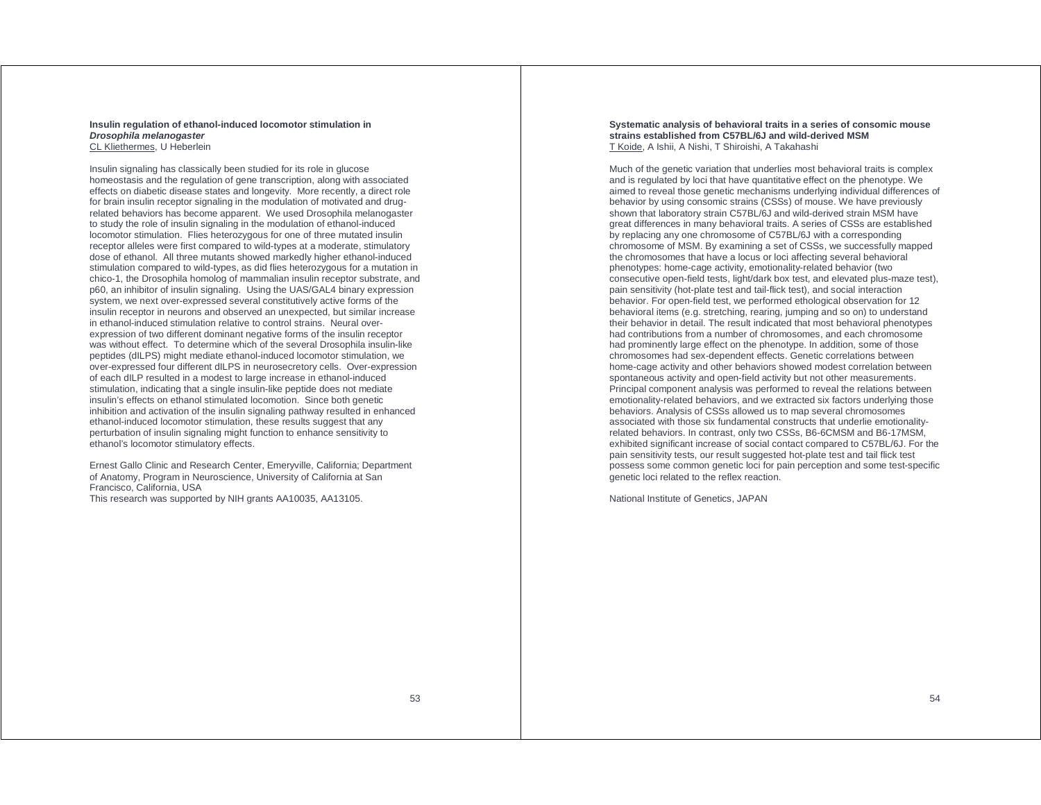#### **Insulin regulation of ethanol-induced locomotor stimulation in Drosophila melanogaster**  CL Kliethermes, U Heberlein

Insulin signaling has classically been studied for its role in glucose homeostasis and the regulation of gene transcription, along with associated effects on diabetic disease states and longevity. More recently, a direct role for brain insulin receptor signaling in the modulation of motivated and drugrelated behaviors has become apparent. We used Drosophila melanogaster to study the role of insulin signaling in the modulation of ethanol-induced locomotor stimulation. Flies heterozygous for one of three mutated insulin receptor alleles were first compared to wild-types at a moderate, stimulatory dose of ethanol. All three mutants showed markedly higher ethanol-induced stimulation compared to wild-types, as did flies heterozygous for a mutation in chico-1, the Drosophila homolog of mammalian insulin receptor substrate, and p60, an inhibitor of insulin signaling. Using the UAS/GAL4 binary expression system, we next over-expressed several constitutively active forms of the insulin receptor in neurons and observed an unexpected, but similar increase in ethanol-induced stimulation relative to control strains. Neural overexpression of two different dominant negative forms of the insulin receptor was without effect. To determine which of the several Drosophila insulin-like peptides (dILPS) might mediate ethanol-induced locomotor stimulation, we over-expressed four different dILPS in neurosecretory cells. Over-expression of each dILP resulted in a modest to large increase in ethanol-induced stimulation, indicating that a single insulin-like peptide does not mediate insulin's effects on ethanol stimulated locomotion. Since both genetic inhibition and activation of the insulin signaling pathway resulted in enhanced ethanol-induced locomotor stimulation, these results suggest that any perturbation of insulin signaling might function to enhance sensitivity to ethanol's locomotor stimulatory effects.

Ernest Gallo Clinic and Research Center, Emeryville, California; Department of Anatomy, Program in Neuroscience, University of California at San Francisco, California, USA This research was supported by NIH grants AA10035, AA13105.

#### **Systematic analysis of behavioral traits in a series of consomic mouse strains established from C57BL/6J and wild-derived MSM**  T Koide, A Ishii, A Nishi, T Shiroishi, A Takahashi

Much of the genetic variation that underlies most behavioral traits is complex and is regulated by loci that have quantitative effect on the phenotype. We aimed to reveal those genetic mechanisms underlying individual differences of behavior by using consomic strains (CSSs) of mouse. We have previously shown that laboratory strain C57BL/6J and wild-derived strain MSM have great differences in many behavioral traits. A series of CSSs are established by replacing any one chromosome of C57BL/6J with a corresponding chromosome of MSM. By examining a set of CSSs, we successfully mapped the chromosomes that have a locus or loci affecting several behavioral phenotypes: home-cage activity, emotionality-related behavior (two consecutive open-field tests, light/dark box test, and elevated plus-maze test), pain sensitivity (hot-plate test and tail-flick test), and social interaction behavior. For open-field test, we performed ethological observation for 12 behavioral items (e.g. stretching, rearing, jumping and so on) to understand their behavior in detail. The result indicated that most behavioral phenotypes had contributions from a number of chromosomes, and each chromosome had prominently large effect on the phenotype. In addition, some of those chromosomes had sex-dependent effects. Genetic correlations between home-cage activity and other behaviors showed modest correlation between spontaneous activity and open-field activity but not other measurements. Principal component analysis was performed to reveal the relations between emotionality-related behaviors, and we extracted six factors underlying those behaviors. Analysis of CSSs allowed us to map several chromosomes associated with those six fundamental constructs that underlie emotionalityrelated behaviors. In contrast, only two CSSs, B6-6CMSM and B6-17MSM, exhibited significant increase of social contact compared to C57BL/6J. For the pain sensitivity tests, our result suggested hot-plate test and tail flick test possess some common genetic loci for pain perception and some test-specific genetic loci related to the reflex reaction.

National Institute of Genetics, JAPAN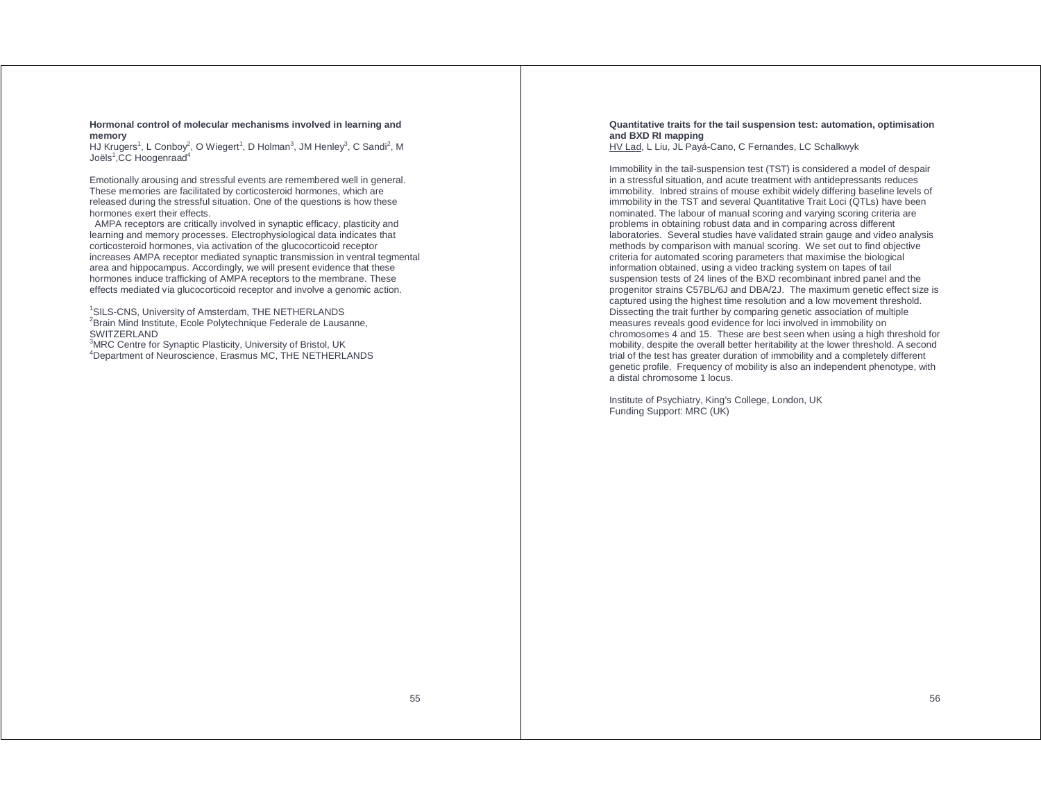**Hormonal control of molecular mechanisms involved in learning and memory** 

HJ Krugers<sup>1</sup>, L Conboy<sup>2</sup>, O Wiegert<sup>1</sup>, D Holman<sup>3</sup>, JM Henley<sup>3</sup>, C Sandi<sup>2</sup>, M Joëls $1$ .CC Hoogenraad $4$ 

Emotionally arousing and stressful events are remembered well in general. These memories are facilitated by corticosteroid hormones, which are released during the stressful situation. One of the questions is how these hormones exert their effects.

 AMPA receptors are critically involved in synaptic efficacy, plasticity and learning and memory processes. Electrophysiological data indicates that corticosteroid hormones, via activation of the glucocorticoid receptor increases AMPA receptor mediated synaptic transmission in ventral tegmental area and hippocampus. Accordingly, we will present evidence that these hormones induce trafficking of AMPA receptors to the membrane. These effects mediated via glucocorticoid receptor and involve a genomic action.

<sup>1</sup>SILS-CNS, University of Amsterdam, THE NETHERLANDS <sup>2</sup>Brain Mind Institute, Ecole Polytechnique Federale de Lausanne, **SWITZERLAND** 

<sup>3</sup>MRC Centre for Synaptic Plasticity, University of Bristol, UK <sup>4</sup>Department of Neuroscience, Erasmus MC, THE NETHERLANDS

### **Quantitative traits for the tail suspension test: automation, optimisation and BXD RI mapping**

HV Lad, L Liu, JL Payá-Cano, C Fernandes, LC Schalkwyk

Immobility in the tail-suspension test (TST) is considered a model of despair in a stressful situation, and acute treatment with antidepressants reduces immobility. Inbred strains of mouse exhibit widely differing baseline levels of immobility in the TST and several Quantitative Trait Loci (QTLs) have been nominated. The labour of manual scoring and varying scoring criteria are problems in obtaining robust data and in comparing across different laboratories. Several studies have validated strain gauge and video analysis methods by comparison with manual scoring. We set out to find objective criteria for automated scoring parameters that maximise the biological information obtained, using a video tracking system on tapes of tail suspension tests of 24 lines of the BXD recombinant inbred panel and the progenitor strains C57BL/6J and DBA/2J. The maximum genetic effect size is captured using the highest time resolution and a low movement threshold. Dissecting the trait further by comparing genetic association of multiple measures reveals good evidence for loci involved in immobility on chromosomes 4 and 15. These are best seen when using a high threshold for mobility, despite the overall better heritability at the lower threshold. A second trial of the test has greater duration of immobility and a completely different genetic profile. Frequency of mobility is also an independent phenotype, with a distal chromosome 1 locus.

Institute of Psychiatry, King's College, London, UK Funding Support: MRC (UK)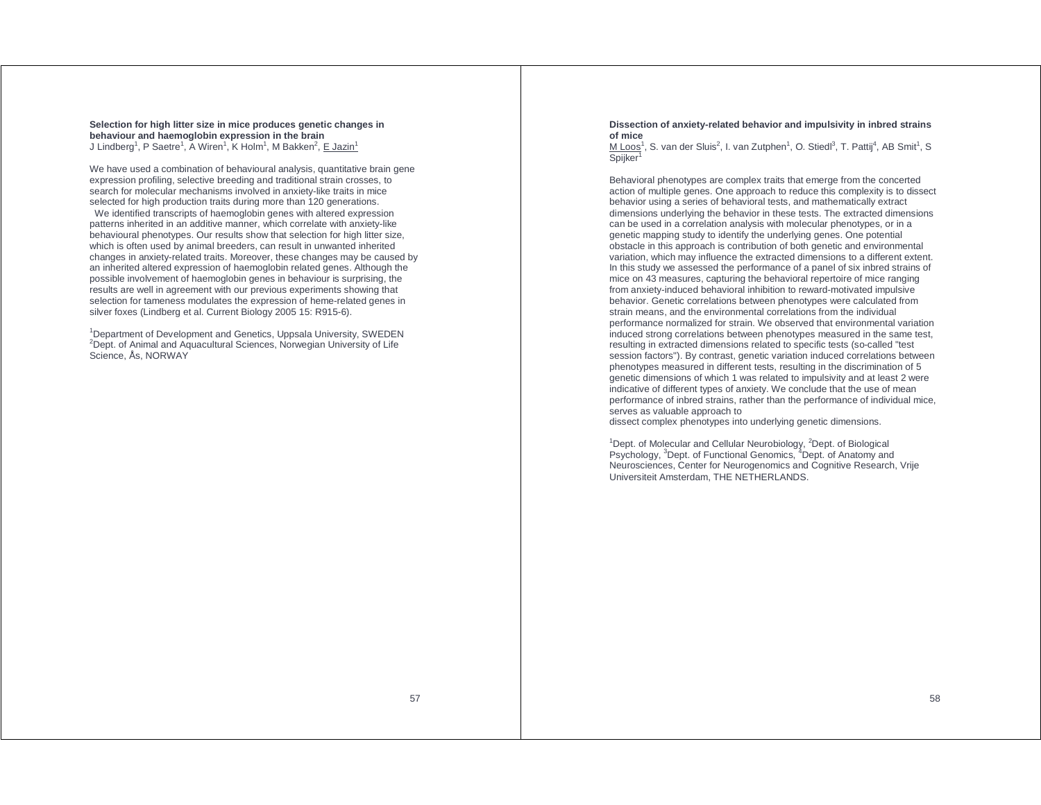**Selection for high litter size in mice produces genetic changes in behaviour and haemoglobin expression in the brain**  J Lindberg<sup>1</sup>, P Saetre<sup>1</sup>, A Wiren<sup>1</sup>, K Holm<sup>1</sup>, M Bakken<sup>2</sup>, E Jazin<sup>1</sup>

We have used a combination of behavioural analysis, quantitative brain gene expression profiling, selective breeding and traditional strain crosses, to search for molecular mechanisms involved in anxiety-like traits in mice selected for high production traits during more than 120 generations.

 We identified transcripts of haemoglobin genes with altered expression patterns inherited in an additive manner, which correlate with anxiety-like behavioural phenotypes. Our results show that selection for high litter size, which is often used by animal breeders, can result in unwanted inherited changes in anxiety-related traits. Moreover, these changes may be caused by an inherited altered expression of haemoglobin related genes. Although the possible involvement of haemoglobin genes in behaviour is surprising, the results are well in agreement with our previous experiments showing that selection for tameness modulates the expression of heme-related genes in silver foxes (Lindberg et al. Current Biology 2005 15: R915-6).

<sup>1</sup>Department of Development and Genetics, Uppsala University, SWEDEN <sup>2</sup>Dept. of Animal and Aquacultural Sciences, Norwegian University of Life Science, Ås, NORWAY

#### **Dissection of anxiety-related behavior and impulsivity in inbred strains of mice**

M Loos<sup>1</sup>, S. van der Sluis<sup>2</sup>, I. van Zutphen<sup>1</sup>, O. Stiedl<sup>3</sup>, T. Pattij<sup>4</sup>, AB Smit<sup>1</sup>, S Spijker<sup>1</sup>

Behavioral phenotypes are complex traits that emerge from the concerted action of multiple genes. One approach to reduce this complexity is to dissect behavior using a series of behavioral tests, and mathematically extract dimensions underlying the behavior in these tests. The extracted dimensions can be used in a correlation analysis with molecular phenotypes, or in a genetic mapping study to identify the underlying genes. One potential obstacle in this approach is contribution of both genetic and environmental variation, which may influence the extracted dimensions to a different extent. In this study we assessed the performance of a panel of six inbred strains of mice on 43 measures, capturing the behavioral repertoire of mice ranging from anxiety-induced behavioral inhibition to reward-motivated impulsive behavior. Genetic correlations between phenotypes were calculated from strain means, and the environmental correlations from the individual performance normalized for strain. We observed that environmental variation induced strong correlations between phenotypes measured in the same test, resulting in extracted dimensions related to specific tests (so-called "test session factors"). By contrast, genetic variation induced correlations between phenotypes measured in different tests, resulting in the discrimination of 5 genetic dimensions of which 1 was related to impulsivity and at least 2 were indicative of different types of anxiety. We conclude that the use of mean performance of inbred strains, rather than the performance of individual mice, serves as valuable approach to dissect complex phenotypes into underlying genetic dimensions.

<sup>1</sup>Dept. of Molecular and Cellular Neurobiology, <sup>2</sup>Dept. of Biological Psychology, <sup>3</sup>Dept. of Functional Genomics, <sup>4</sup>Dept. of Anatomy and Neurosciences, Center for Neurogenomics and Cognitive Research, Vrije Universiteit Amsterdam, THE NETHERLANDS.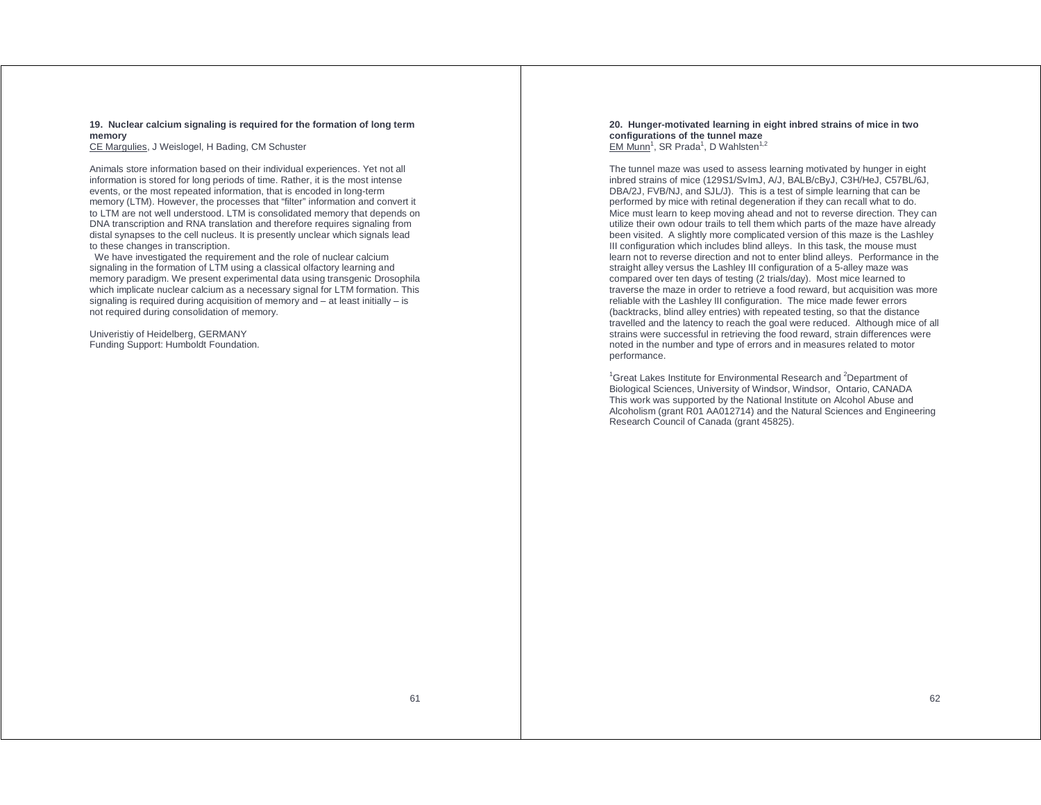**19. Nuclear calcium signaling is required for the formation of long term memory** 

CE Margulies, J Weislogel, H Bading, CM Schuster

Animals store information based on their individual experiences. Yet not all information is stored for long periods of time. Rather, it is the most intense events, or the most repeated information, that is encoded in long-term memory (LTM). However, the processes that "filter" information and convert it to LTM are not well understood. LTM is consolidated memory that depends on DNA transcription and RNA translation and therefore requires signaling from distal synapses to the cell nucleus. It is presently unclear which signals lead to these changes in transcription.

 We have investigated the requirement and the role of nuclear calcium signaling in the formation of LTM using a classical olfactory learning and memory paradigm. We present experimental data using transgenic Drosophila which implicate nuclear calcium as a necessary signal for LTM formation. This signaling is required during acquisition of memory and – at least initially – is not required during consolidation of memory.

Univeristiy of Heidelberg, GERMANY Funding Support: Humboldt Foundation. **20. Hunger-motivated learning in eight inbred strains of mice in two configurations of the tunnel maze**  EM Munn<sup>1</sup>, SR Prada<sup>1</sup>, D Wahlsten<sup>1,2</sup>

The tunnel maze was used to assess learning motivated by hunger in eight inbred strains of mice (129S1/SvImJ, A/J, BALB/cByJ, C3H/HeJ, C57BL/6J, DBA/2J, FVB/NJ, and SJL/J). This is a test of simple learning that can be performed by mice with retinal degeneration if they can recall what to do. Mice must learn to keep moving ahead and not to reverse direction. They can utilize their own odour trails to tell them which parts of the maze have already been visited. A slightly more complicated version of this maze is the Lashley III configuration which includes blind alleys. In this task, the mouse must learn not to reverse direction and not to enter blind alleys. Performance in the straight alley versus the Lashley III configuration of a 5-alley maze was compared over ten days of testing (2 trials/day). Most mice learned to traverse the maze in order to retrieve a food reward, but acquisition was more reliable with the Lashley III configuration. The mice made fewer errors (backtracks, blind alley entries) with repeated testing, so that the distance travelled and the latency to reach the goal were reduced. Although mice of all strains were successful in retrieving the food reward, strain differences were noted in the number and type of errors and in measures related to motor performance.

 $1$ Great Lakes Institute for Environmental Research and  $2$ Department of Biological Sciences, University of Windsor, Windsor, Ontario, CANADA This work was supported by the National Institute on Alcohol Abuse and Alcoholism (grant R01 AA012714) and the Natural Sciences and Engineering Research Council of Canada (grant 45825).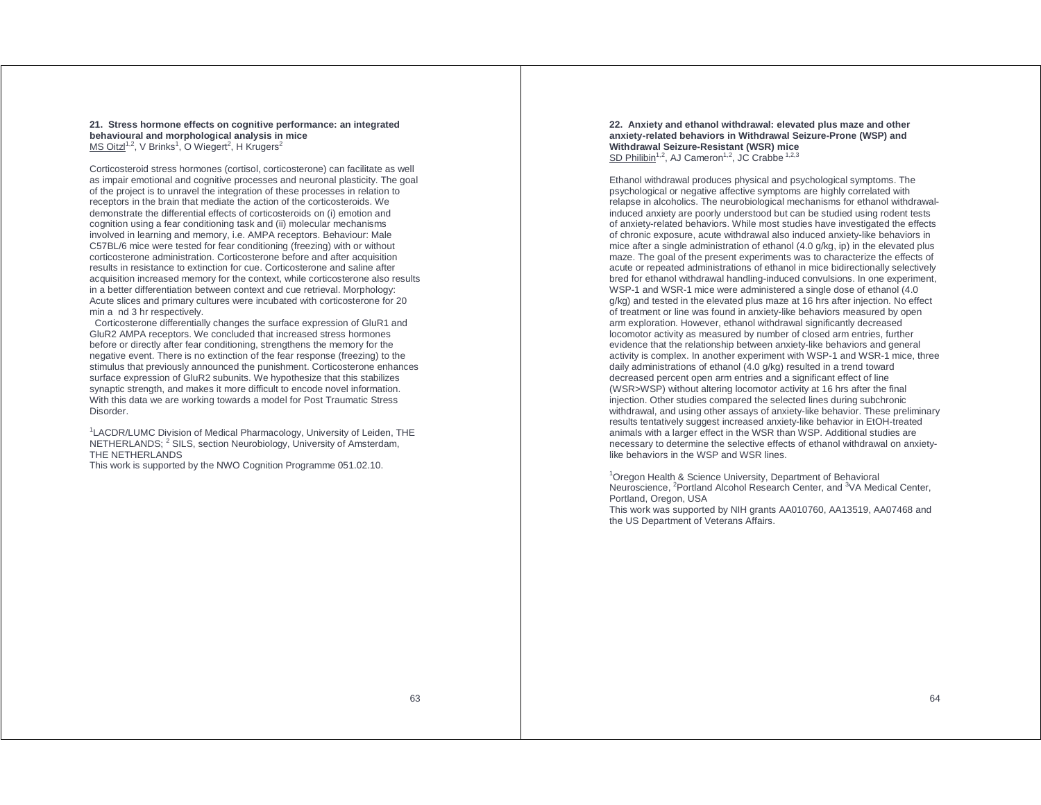#### **21. Stress hormone effects on cognitive performance: an integrated behavioural and morphological analysis in mice**  MS Oitz $1^{1,2}$ , V Brinks<sup>1</sup>, O Wiegert<sup>2</sup>, H Krugers<sup>2</sup>

Corticosteroid stress hormones (cortisol, corticosterone) can facilitate as well as impair emotional and cognitive processes and neuronal plasticity. The goal of the project is to unravel the integration of these processes in relation to receptors in the brain that mediate the action of the corticosteroids. We demonstrate the differential effects of corticosteroids on (i) emotion and cognition using a fear conditioning task and (ii) molecular mechanisms involved in learning and memory, i.e. AMPA receptors. Behaviour: Male C57BL/6 mice were tested for fear conditioning (freezing) with or without corticosterone administration. Corticosterone before and after acquisition results in resistance to extinction for cue. Corticosterone and saline after acquisition increased memory for the context, while corticosterone also results in a better differentiation between context and cue retrieval. Morphology: Acute slices and primary cultures were incubated with corticosterone for 20 min a nd 3 hr respectively.

 Corticosterone differentially changes the surface expression of GluR1 and GluR2 AMPA receptors. We concluded that increased stress hormones before or directly after fear conditioning, strengthens the memory for the negative event. There is no extinction of the fear response (freezing) to the stimulus that previously announced the punishment. Corticosterone enhances surface expression of GluR2 subunits. We hypothesize that this stabilizes synaptic strength, and makes it more difficult to encode novel information. With this data we are working towards a model for Post Traumatic Stress Disorder.

<sup>1</sup>LACDR/LUMC Division of Medical Pharmacology, University of Leiden, THE NETHERLANDS; <sup>2</sup> SILS, section Neurobiology, University of Amsterdam, THE NETHERLANDS

This work is supported by the NWO Cognition Programme 051.02.10.

**22. Anxiety and ethanol withdrawal: elevated plus maze and other anxiety-related behaviors in Withdrawal Seizure-Prone (WSP) and Withdrawal Seizure-Resistant (WSR) mice** SD Philibin<sup>1,2</sup>, AJ Cameron<sup>1,2</sup>, JC Crabbe<sup>1,2,3</sup>

Ethanol withdrawal produces physical and psychological symptoms. The psychological or negative affective symptoms are highly correlated with relapse in alcoholics. The neurobiological mechanisms for ethanol withdrawalinduced anxiety are poorly understood but can be studied using rodent tests of anxiety-related behaviors. While most studies have investigated the effects of chronic exposure, acute withdrawal also induced anxiety-like behaviors in mice after a single administration of ethanol (4.0 g/kg, ip) in the elevated plus maze. The goal of the present experiments was to characterize the effects of acute or repeated administrations of ethanol in mice bidirectionally selectively bred for ethanol withdrawal handling-induced convulsions. In one experiment, WSP-1 and WSR-1 mice were administered a single dose of ethanol (4.0) g/kg) and tested in the elevated plus maze at 16 hrs after injection. No effect of treatment or line was found in anxiety-like behaviors measured by open arm exploration. However, ethanol withdrawal significantly decreased locomotor activity as measured by number of closed arm entries, further evidence that the relationship between anxiety-like behaviors and general activity is complex. In another experiment with WSP-1 and WSR-1 mice, three daily administrations of ethanol (4.0 g/kg) resulted in a trend toward decreased percent open arm entries and a significant effect of line (WSR>WSP) without altering locomotor activity at 16 hrs after the final injection. Other studies compared the selected lines during subchronic withdrawal, and using other assays of anxiety-like behavior. These preliminary results tentatively suggest increased anxiety-like behavior in EtOH-treated animals with a larger effect in the WSR than WSP. Additional studies are necessary to determine the selective effects of ethanol withdrawal on anxietylike behaviors in the WSP and WSR lines.

<sup>1</sup> Oregon Health & Science University, Department of Behavioral Neuroscience, <sup>2</sup>Portland Alcohol Research Center, and <sup>3</sup>VA Medical Center, Portland, Oregon, USA

This work was supported by NIH grants AA010760, AA13519, AA07468 and the US Department of Veterans Affairs.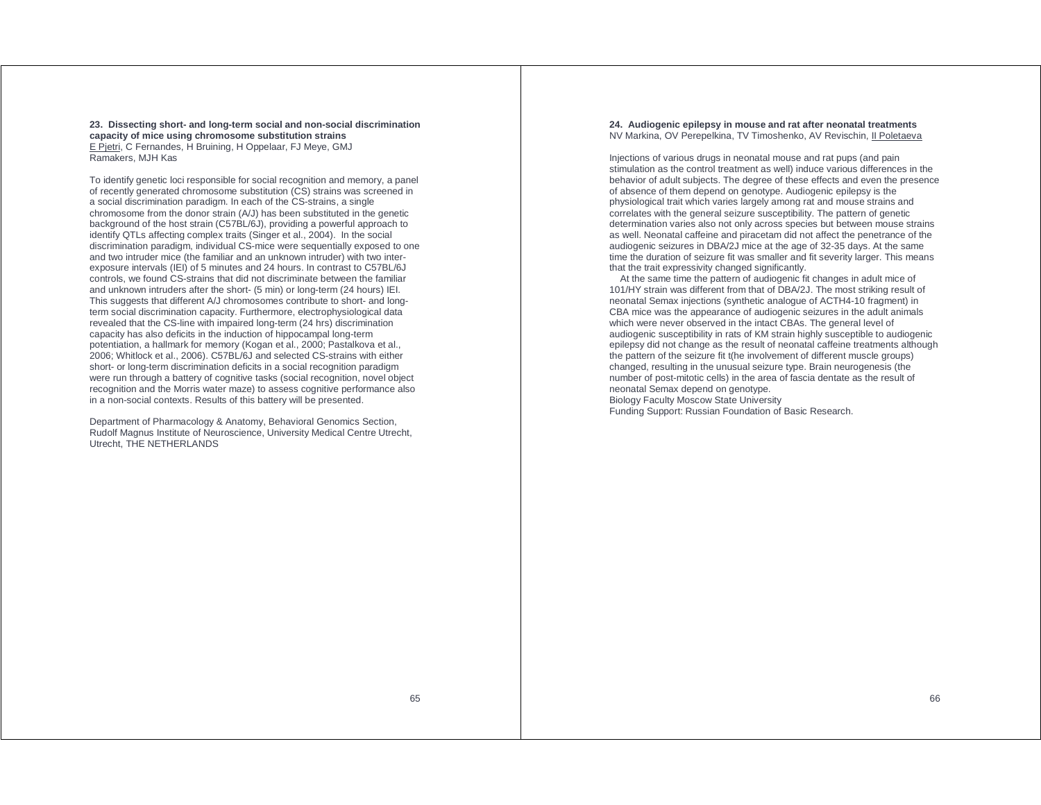**23. Dissecting short- and long-term social and non-social discrimination capacity of mice using chromosome substitution strains**  E Pjetri, C Fernandes, H Bruining, H Oppelaar, FJ Meye, GMJ

Ramakers, MJH Kas

To identify genetic loci responsible for social recognition and memory, a panel of recently generated chromosome substitution (CS) strains was screened in a social discrimination paradigm. In each of the CS-strains, a single chromosome from the donor strain (A/J) has been substituted in the genetic background of the host strain (C57BL/6J), providing a powerful approach to identify QTLs affecting complex traits (Singer et al., 2004). In the social discrimination paradigm, individual CS-mice were sequentially exposed to one and two intruder mice (the familiar and an unknown intruder) with two interexposure intervals (IEI) of 5 minutes and 24 hours. In contrast to C57BL/6J controls, we found CS-strains that did not discriminate between the familiar and unknown intruders after the short- (5 min) or long-term (24 hours) IEI. This suggests that different A/J chromosomes contribute to short- and longterm social discrimination capacity. Furthermore, electrophysiological data revealed that the CS-line with impaired long-term (24 hrs) discrimination capacity has also deficits in the induction of hippocampal long-term potentiation, a hallmark for memory (Kogan et al., 2000; Pastalkova et al., 2006; Whitlock et al., 2006). C57BL/6J and selected CS-strains with either short- or long-term discrimination deficits in a social recognition paradigm were run through a battery of cognitive tasks (social recognition, novel object recognition and the Morris water maze) to assess cognitive performance also in a non-social contexts. Results of this battery will be presented.

Department of Pharmacology & Anatomy, Behavioral Genomics Section, Rudolf Magnus Institute of Neuroscience, University Medical Centre Utrecht, Utrecht, THE NETHERLANDS

#### **24. Audiogenic epilepsy in mouse and rat after neonatal treatments**  NV Markina, OV Perepelkina, TV Timoshenko, AV Revischin, II Poletaeva

Injections of various drugs in neonatal mouse and rat pups (and pain stimulation as the control treatment as well) induce various differences in the behavior of adult subjects. The degree of these effects and even the presence of absence of them depend on genotype. Audiogenic epilepsy is the physiological trait which varies largely among rat and mouse strains and correlates with the general seizure susceptibility. The pattern of genetic determination varies also not only across species but between mouse strains as well. Neonatal caffeine and piracetam did not affect the penetrance of the audiogenic seizures in DBA/2J mice at the age of 32-35 days. At the same time the duration of seizure fit was smaller and fit severity larger. This means that the trait expressivity changed significantly.

 At the same time the pattern of audiogenic fit changes in adult mice of 101/HY strain was different from that of DBA/2J. The most striking result of neonatal Semax injections (synthetic analogue of ACTH4-10 fragment) in CBA mice was the appearance of audiogenic seizures in the adult animals which were never observed in the intact CBAs. The general level of audiogenic susceptibility in rats of KM strain highly susceptible to audiogenic epilepsy did not change as the result of neonatal caffeine treatments although the pattern of the seizure fit t(he involvement of different muscle groups) changed, resulting in the unusual seizure type. Brain neurogenesis (the number of post-mitotic cells) in the area of fascia dentate as the result of neonatal Semax depend on genotype. Biology Faculty Moscow State University Funding Support: Russian Foundation of Basic Research.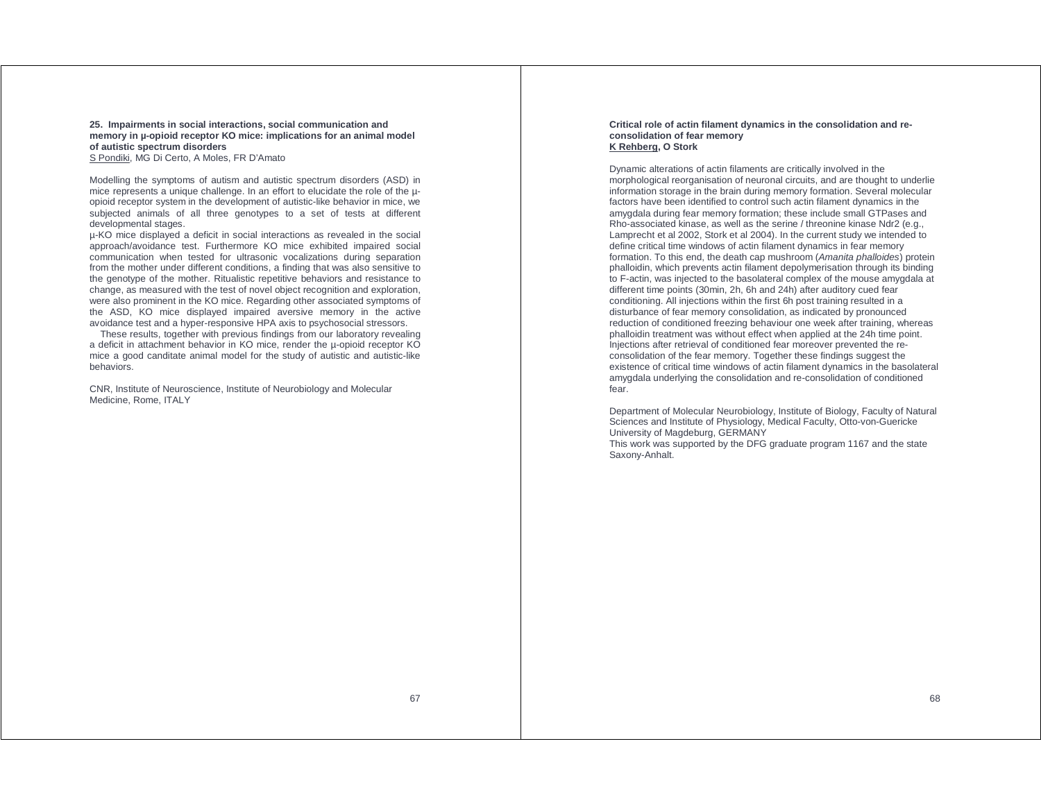**25. Impairments in social interactions, social communication and memory in µ-opioid receptor KO mice: implications for an animal model of autistic spectrum disorders** 

S Pondiki, MG Di Certo, A Moles, FR D'Amato

Modelling the symptoms of autism and autistic spectrum disorders (ASD) in mice represents a unique challenge. In an effort to elucidate the role of the µopioid receptor system in the development of autistic-like behavior in mice, we subjected animals of all three genotypes to a set of tests at different developmental stages.

µ-KO mice displayed a deficit in social interactions as revealed in the social approach/avoidance test. Furthermore KO mice exhibited impaired social communication when tested for ultrasonic vocalizations during separation from the mother under different conditions, a finding that was also sensitive to the genotype of the mother. Ritualistic repetitive behaviors and resistance to change, as measured with the test of novel object recognition and exploration, were also prominent in the KO mice. Regarding other associated symptoms of the ASD, KO mice displayed impaired aversive memory in the active avoidance test and a hyper-responsive HPA axis to psychosocial stressors.

 These results, together with previous findings from our laboratory revealing a deficit in attachment behavior in KO mice, render the µ-opioid receptor KO mice a good canditate animal model for the study of autistic and autistic-like behaviors.

CNR, Institute of Neuroscience, Institute of Neurobiology and Molecular Medicine, Rome, ITALY

#### **Critical role of actin filament dynamics in the consolidation and reconsolidation of fear memory K Rehberg, O Stork**

Dynamic alterations of actin filaments are critically involved in the morphological reorganisation of neuronal circuits, and are thought to underlie information storage in the brain during memory formation. Several molecular factors have been identified to control such actin filament dynamics in the amygdala during fear memory formation; these include small GTPases and Rho-associated kinase, as well as the serine / threonine kinase Ndr2 (e.g., Lamprecht et al 2002, Stork et al 2004). In the current study we intended to define critical time windows of actin filament dynamics in fear memory formation. To this end, the death cap mushroom (Amanita phalloides) protein phalloidin, which prevents actin filament depolymerisation through its binding to F-actin, was injected to the basolateral complex of the mouse amygdala at different time points (30min, 2h, 6h and 24h) after auditory cued fear conditioning. All injections within the first 6h post training resulted in a disturbance of fear memory consolidation, as indicated by pronounced reduction of conditioned freezing behaviour one week after training, whereas phalloidin treatment was without effect when applied at the 24h time point. Injections after retrieval of conditioned fear moreover prevented the reconsolidation of the fear memory. Together these findings suggest the existence of critical time windows of actin filament dynamics in the basolateral amygdala underlying the consolidation and re-consolidation of conditioned fear.

Department of Molecular Neurobiology, Institute of Biology, Faculty of Natural Sciences and Institute of Physiology, Medical Faculty, Otto-von-Guericke University of Magdeburg, GERMANY This work was supported by the DFG graduate program 1167 and the state

Saxony-Anhalt.

67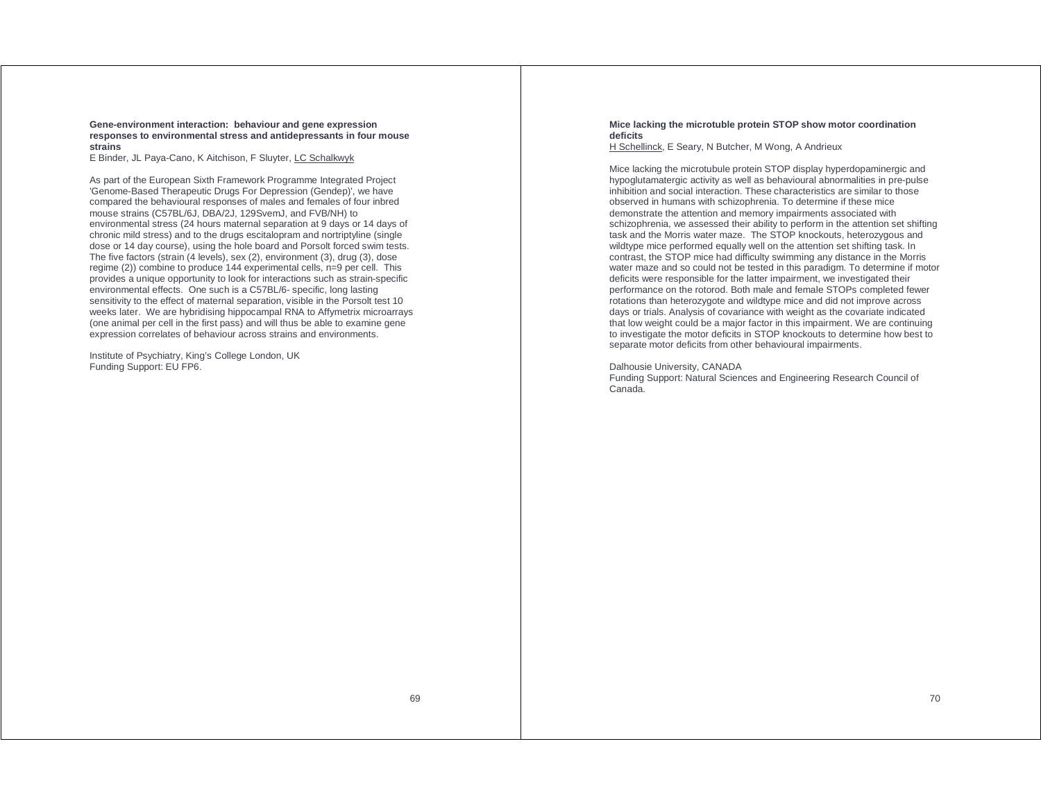#### **Gene-environment interaction: behaviour and gene expression responses to environmental stress and antidepressants in four mouse strains**

E Binder, JL Paya-Cano, K Aitchison, F Sluyter, LC Schalkwyk

As part of the European Sixth Framework Programme Integrated Project 'Genome-Based Therapeutic Drugs For Depression (Gendep)', we have compared the behavioural responses of males and females of four inbred mouse strains (C57BL/6J, DBA/2J, 129SvemJ, and FVB/NH) to environmental stress (24 hours maternal separation at 9 days or 14 days of chronic mild stress) and to the drugs escitalopram and nortriptyline (single dose or 14 day course), using the hole board and Porsolt forced swim tests. The five factors (strain (4 levels), sex (2), environment (3), drug (3), dose regime (2)) combine to produce 144 experimental cells, n=9 per cell. This provides a unique opportunity to look for interactions such as strain-specific environmental effects. One such is a C57BL/6- specific, long lasting sensitivity to the effect of maternal separation, visible in the Porsolt test 10 weeks later. We are hybridising hippocampal RNA to Affymetrix microarrays (one animal per cell in the first pass) and will thus be able to examine gene expression correlates of behaviour across strains and environments.

Institute of Psychiatry, King's College London, UK Funding Support: EU FP6.

#### **Mice lacking the microtuble protein STOP show motor coordination deficits**

H Schellinck, E Seary, N Butcher, M Wong, A Andrieux

Mice lacking the microtubule protein STOP display hyperdopaminergic and hypoglutamatergic activity as well as behavioural abnormalities in pre-pulse inhibition and social interaction. These characteristics are similar to those observed in humans with schizophrenia. To determine if these mice demonstrate the attention and memory impairments associated with schizophrenia, we assessed their ability to perform in the attention set shifting task and the Morris water maze. The STOP knockouts, heterozygous and wildtype mice performed equally well on the attention set shifting task. In contrast, the STOP mice had difficulty swimming any distance in the Morris water maze and so could not be tested in this paradigm. To determine if motor deficits were responsible for the latter impairment, we investigated their performance on the rotorod. Both male and female STOPs completed fewer rotations than heterozygote and wildtype mice and did not improve across days or trials. Analysis of covariance with weight as the covariate indicated that low weight could be a major factor in this impairment. We are continuing to investigate the motor deficits in STOP knockouts to determine how best to separate motor deficits from other behavioural impairments.

#### Dalhousie University, CANADA

Funding Support: Natural Sciences and Engineering Research Council of Canada.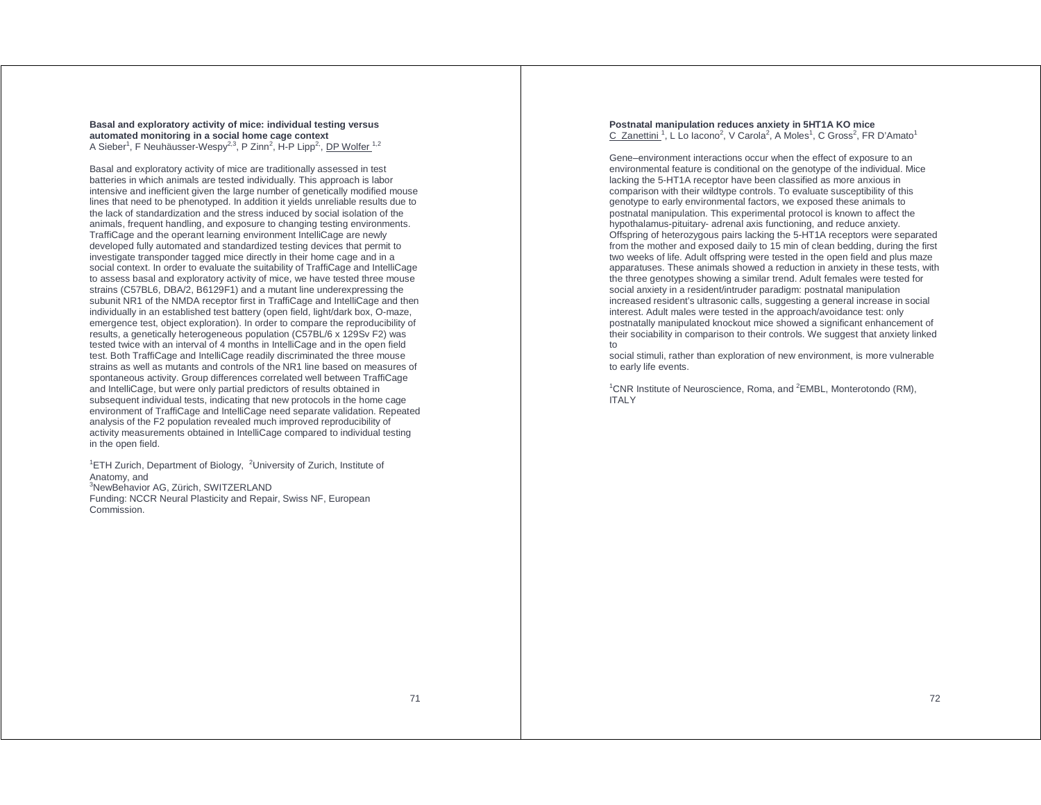**Basal and exploratory activity of mice: individual testing versus automated monitoring in a social home cage context**  A Sieber<sup>1</sup>, F Neuhäusser-Wespy<sup>2,3</sup>, P Zinn<sup>2</sup>, H-P Lipp<sup>2,</sup>, DP Wolfer <sup>1,2</sup>

Basal and exploratory activity of mice are traditionally assessed in test batteries in which animals are tested individually. This approach is labor intensive and inefficient given the large number of genetically modified mouse lines that need to be phenotyped. In addition it yields unreliable results due to the lack of standardization and the stress induced by social isolation of the animals, frequent handling, and exposure to changing testing environments. TraffiCage and the operant learning environment IntelliCage are newly developed fully automated and standardized testing devices that permit to investigate transponder tagged mice directly in their home cage and in a social context. In order to evaluate the suitability of TraffiCage and IntelliCage to assess basal and exploratory activity of mice, we have tested three mouse strains (C57BL6, DBA/2, B6129F1) and a mutant line underexpressing the subunit NR1 of the NMDA receptor first in TraffiCage and IntelliCage and then individually in an established test battery (open field, light/dark box, O-maze, emergence test, object exploration). In order to compare the reproducibility of results, a genetically heterogeneous population (C57BL/6 x 129Sv F2) was tested twice with an interval of 4 months in IntelliCage and in the open field test. Both TraffiCage and IntelliCage readily discriminated the three mouse strains as well as mutants and controls of the NR1 line based on measures of spontaneous activity. Group differences correlated well between TraffiCage and IntelliCage, but were only partial predictors of results obtained in subsequent individual tests, indicating that new protocols in the home cage environment of TraffiCage and IntelliCage need separate validation. Repeated analysis of the F2 population revealed much improved reproducibility of activity measurements obtained in IntelliCage compared to individual testing in the open field.

<sup>1</sup>ETH Zurich, Department of Biology,  $2$ University of Zurich, Institute of Anatomy, and <sup>3</sup>NewBehavior AG, Zürich, SWITZERLAND Funding: NCCR Neural Plasticity and Repair, Swiss NF, European Commission.

#### **Postnatal manipulation reduces anxiety in 5HT1A KO mice**  C Zanettini<sup>1</sup>, L Lo Iacono<sup>2</sup>, V Carola<sup>2</sup>, A Moles<sup>1</sup>, C Gross<sup>2</sup>, FR D'Amato<sup>1</sup>

Gene–environment interactions occur when the effect of exposure to an environmental feature is conditional on the genotype of the individual. Mice lacking the 5-HT1A receptor have been classified as more anxious in comparison with their wildtype controls. To evaluate susceptibility of this genotype to early environmental factors, we exposed these animals to postnatal manipulation. This experimental protocol is known to affect the hypothalamus-pituitary- adrenal axis functioning, and reduce anxiety. Offspring of heterozygous pairs lacking the 5-HT1A receptors were separated from the mother and exposed daily to 15 min of clean bedding, during the first two weeks of life. Adult offspring were tested in the open field and plus maze apparatuses. These animals showed a reduction in anxiety in these tests, with the three genotypes showing a similar trend. Adult females were tested for social anxiety in a resident/intruder paradigm: postnatal manipulation increased resident's ultrasonic calls, suggesting a general increase in social interest. Adult males were tested in the approach/avoidance test: only postnatally manipulated knockout mice showed a significant enhancement of their sociability in comparison to their controls. We suggest that anxiety linked to

social stimuli, rather than exploration of new environment, is more vulnerable to early life events.

<sup>1</sup>CNR Institute of Neuroscience, Roma, and  ${}^{2}$ EMBL, Monterotondo (RM), **ITALY**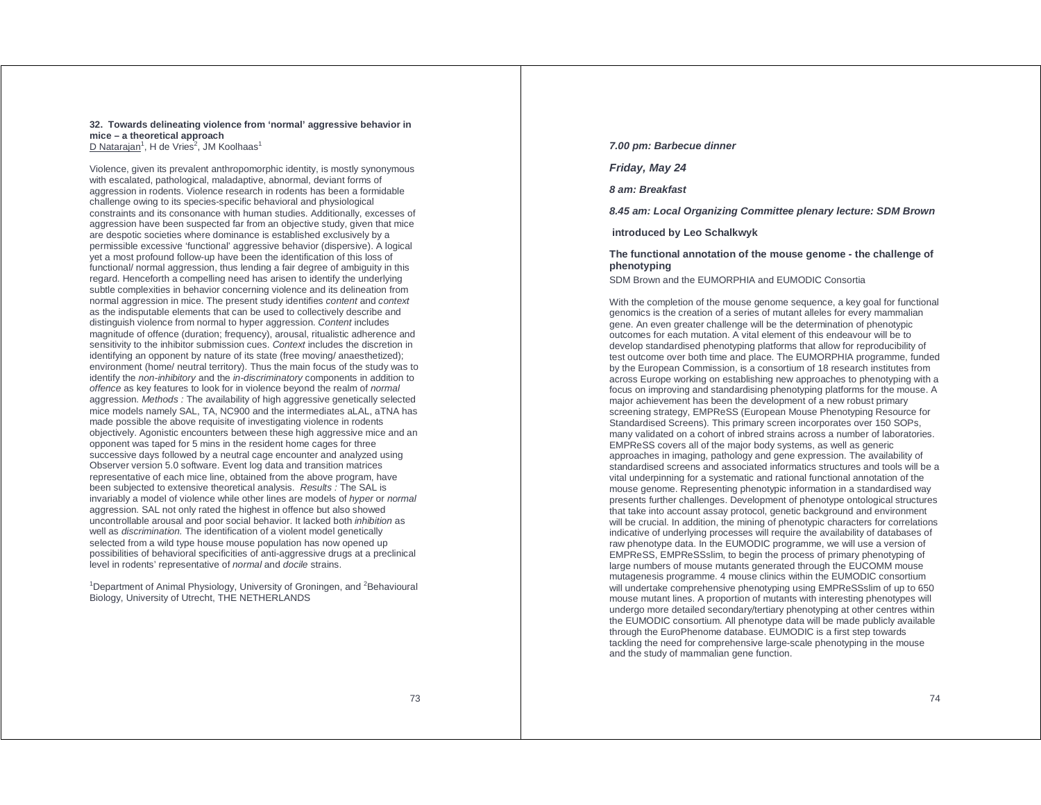### **32. Towards delineating violence from 'normal' aggressive behavior in mice – a theoretical approach**

D Natarajan<sup>1</sup>, H de Vries<sup>2</sup>, JM Koolhaas<sup>1</sup>

Violence, given its prevalent anthropomorphic identity, is mostly synonymous with escalated, pathological, maladaptive, abnormal, deviant forms of aggression in rodents. Violence research in rodents has been a formidable challenge owing to its species-specific behavioral and physiological constraints and its consonance with human studies. Additionally, excesses of aggression have been suspected far from an objective study, given that mice are despotic societies where dominance is established exclusively by a permissible excessive 'functional' aggressive behavior (dispersive). A logical yet a most profound follow-up have been the identification of this loss of functional/ normal aggression, thus lending a fair degree of ambiguity in this regard. Henceforth a compelling need has arisen to identify the underlying subtle complexities in behavior concerning violence and its delineation from normal aggression in mice. The present study identifies content and context as the indisputable elements that can be used to collectively describe and distinguish violence from normal to hyper aggression. Content includes magnitude of offence (duration; frequency), arousal, ritualistic adherence and sensitivity to the inhibitor submission cues. Context includes the discretion in identifying an opponent by nature of its state (free moving/ anaesthetized); environment (home/ neutral territory). Thus the main focus of the study was to identify the non-inhibitory and the in-discriminatory components in addition to offence as key features to look for in violence beyond the realm of normal aggression. Methods : The availability of high aggressive genetically selected mice models namely SAL, TA, NC900 and the intermediates aLAL, aTNA has made possible the above requisite of investigating violence in rodents objectively. Agonistic encounters between these high aggressive mice and an opponent was taped for 5 mins in the resident home cages for three successive days followed by a neutral cage encounter and analyzed using Observer version 5.0 software. Event log data and transition matrices representative of each mice line, obtained from the above program, have been subjected to extensive theoretical analysis. Results : The SAL is invariably a model of violence while other lines are models of hyper or normal aggression. SAL not only rated the highest in offence but also showed uncontrollable arousal and poor social behavior. It lacked both inhibition as well as discrimination. The identification of a violent model genetically selected from a wild type house mouse population has now opened up possibilities of behavioral specificities of anti-aggressive drugs at a preclinical level in rodents' representative of *normal* and docile strains.

<sup>1</sup>Department of Animal Physiology, University of Groningen, and <sup>2</sup>Behavioural Biology, University of Utrecht, THE NETHERLANDS

### **7.00 pm: Barbecue dinner**

**Friday, May 24** 

**8 am: Breakfast** 

**8.45 am: Local Organizing Committee plenary lecture: SDM Brown** 

 **introduced by Leo Schalkwyk** 

**The functional annotation of the mouse genome - the challenge of phenotyping** 

SDM Brown and the EUMORPHIA and EUMODIC Consortia

With the completion of the mouse genome sequence, a key goal for functional genomics is the creation of a series of mutant alleles for every mammalian gene. An even greater challenge will be the determination of phenotypic outcomes for each mutation. A vital element of this endeavour will be to develop standardised phenotyping platforms that allow for reproducibility of test outcome over both time and place. The EUMORPHIA programme, funded by the European Commission, is a consortium of 18 research institutes from across Europe working on establishing new approaches to phenotyping with a focus on improving and standardising phenotyping platforms for the mouse. A major achievement has been the development of a new robust primary screening strategy, EMPReSS (European Mouse Phenotyping Resource for Standardised Screens). This primary screen incorporates over 150 SOPs, many validated on a cohort of inbred strains across a number of laboratories. EMPReSS covers all of the major body systems, as well as generic approaches in imaging, pathology and gene expression. The availability of standardised screens and associated informatics structures and tools will be a vital underpinning for a systematic and rational functional annotation of the mouse genome. Representing phenotypic information in a standardised way presents further challenges. Development of phenotype ontological structures that take into account assay protocol, genetic background and environment will be crucial. In addition, the mining of phenotypic characters for correlations indicative of underlying processes will require the availability of databases of raw phenotype data. In the EUMODIC programme, we will use a version of EMPReSS, EMPReSSslim, to begin the process of primary phenotyping of large numbers of mouse mutants generated through the EUCOMM mouse mutagenesis programme. 4 mouse clinics within the EUMODIC consortium will undertake comprehensive phenotyping using EMPReSSslim of up to 650 mouse mutant lines. A proportion of mutants with interesting phenotypes will undergo more detailed secondary/tertiary phenotyping at other centres within the EUMODIC consortium. All phenotype data will be made publicly available through the EuroPhenome database. EUMODIC is a first step towards tackling the need for comprehensive large-scale phenotyping in the mouse and the study of mammalian gene function.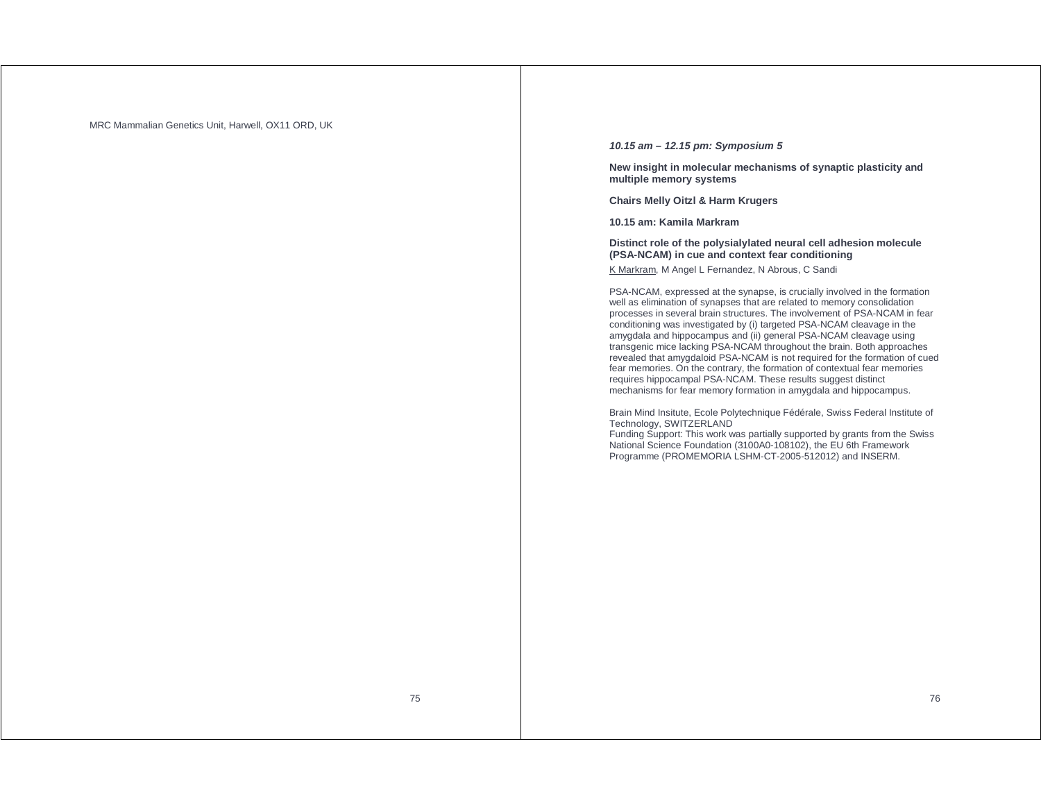MRC Mammalian Genetics Unit, Harwell, OX11 ORD, UK

### **10.15 am – 12.15 pm: Symposium 5**

**New insight in molecular mechanisms of synaptic plasticity and multiple memory systems** 

**Chairs Melly Oitzl & Harm Krugers** 

**10.15 am: Kamila Markram** 

**Distinct role of the polysialylated neural cell adhesion molecule (PSA-NCAM) in cue and context fear conditioning**  K Markram, M Angel L Fernandez, N Abrous, C Sandi

PSA-NCAM, expressed at the synapse, is crucially involved in the formation well as elimination of synapses that are related to memory consolidation processes in several brain structures. The involvement of PSA-NCAM in fear conditioning was investigated by (i) targeted PSA-NCAM cleavage in the amygdala and hippocampus and (ii) general PSA-NCAM cleavage using transgenic mice lacking PSA-NCAM throughout the brain. Both approaches revealed that amygdaloid PSA-NCAM is not required for the formation of cued fear memories. On the contrary, the formation of contextual fear memories requires hippocampal PSA-NCAM. These results suggest distinct mechanisms for fear memory formation in amygdala and hippocampus.

Brain Mind Insitute, Ecole Polytechnique Fédérale, Swiss Federal Institute of Technology, SWITZERLAND

Funding Support: This work was partially supported by grants from the Swiss National Science Foundation (3100A0-108102), the EU 6th Framework Programme (PROMEMORIA LSHM-CT-2005-512012) and INSERM.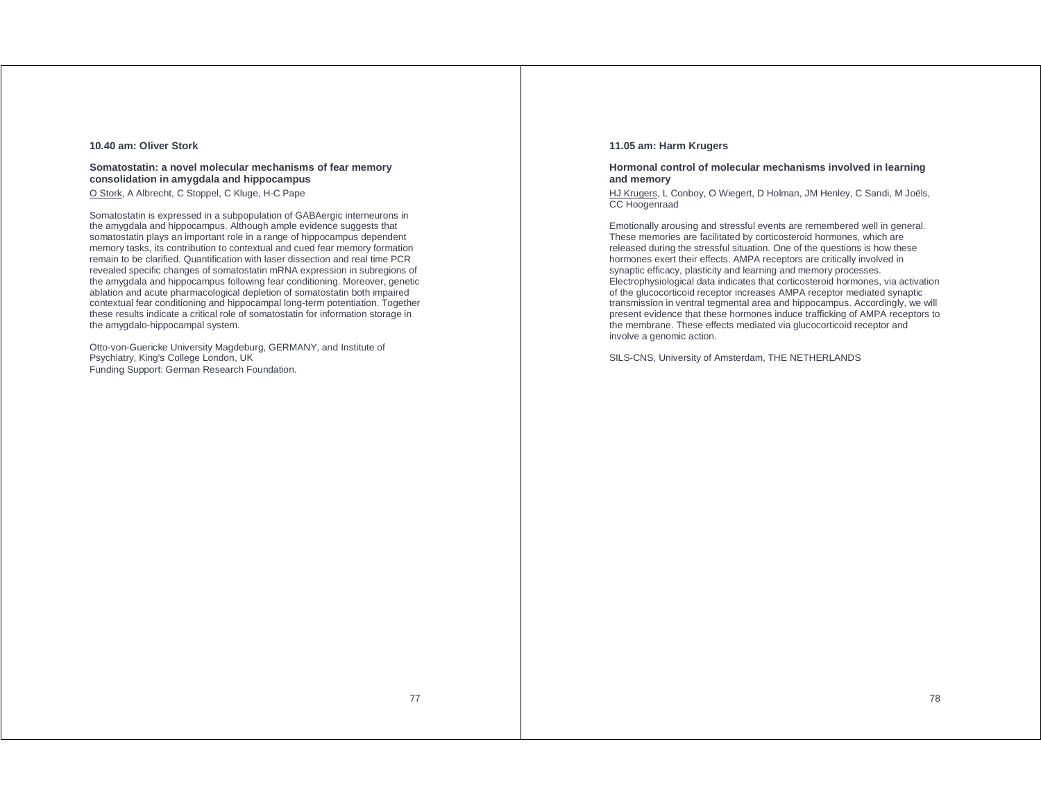### **10.40 am: Oliver Stork**

### **Somatostatin: a novel molecular mechanisms of fear memory consolidation in amygdala and hippocampus**

O Stork, A Albrecht, C Stoppel, C Kluge, H-C Pape

Somatostatin is expressed in a subpopulation of GABAergic interneurons in the amygdala and hippocampus. Although ample evidence suggests that somatostatin plays an important role in a range of hippocampus dependent memory tasks, its contribution to contextual and cued fear memory formation remain to be clarified. Quantification with laser dissection and real time PCR revealed specific changes of somatostatin mRNA expression in subregions of the amygdala and hippocampus following fear conditioning. Moreover, genetic ablation and acute pharmacological depletion of somatostatin both impaired contextual fear conditioning and hippocampal long-term potentiation. Together these results indicate a critical role of somatostatin for information storage in the amygdalo-hippocampal system.

Otto-von-Guericke University Magdeburg, GERMANY, and Institute of Psychiatry, King's College London, UK Funding Support: German Research Foundation.

### **11.05 am: Harm Krugers**

### **Hormonal control of molecular mechanisms involved in learning and memory**

HJ Krugers, L Conboy, O Wiegert, D Holman, JM Henley, C Sandi, M Joëls, CC Hoogenraad

Emotionally arousing and stressful events are remembered well in general. These memories are facilitated by corticosteroid hormones, which are released during the stressful situation. One of the questions is how these hormones exert their effects. AMPA receptors are critically involved in synaptic efficacy, plasticity and learning and memory processes. Electrophysiological data indicates that corticosteroid hormones, via activation of the glucocorticoid receptor increases AMPA receptor mediated synaptic transmission in ventral tegmental area and hippocampus. Accordingly, we will present evidence that these hormones induce trafficking of AMPA receptors to the membrane. These effects mediated via glucocorticoid receptor and involve a genomic action.

SILS-CNS, University of Amsterdam, THE NETHERLANDS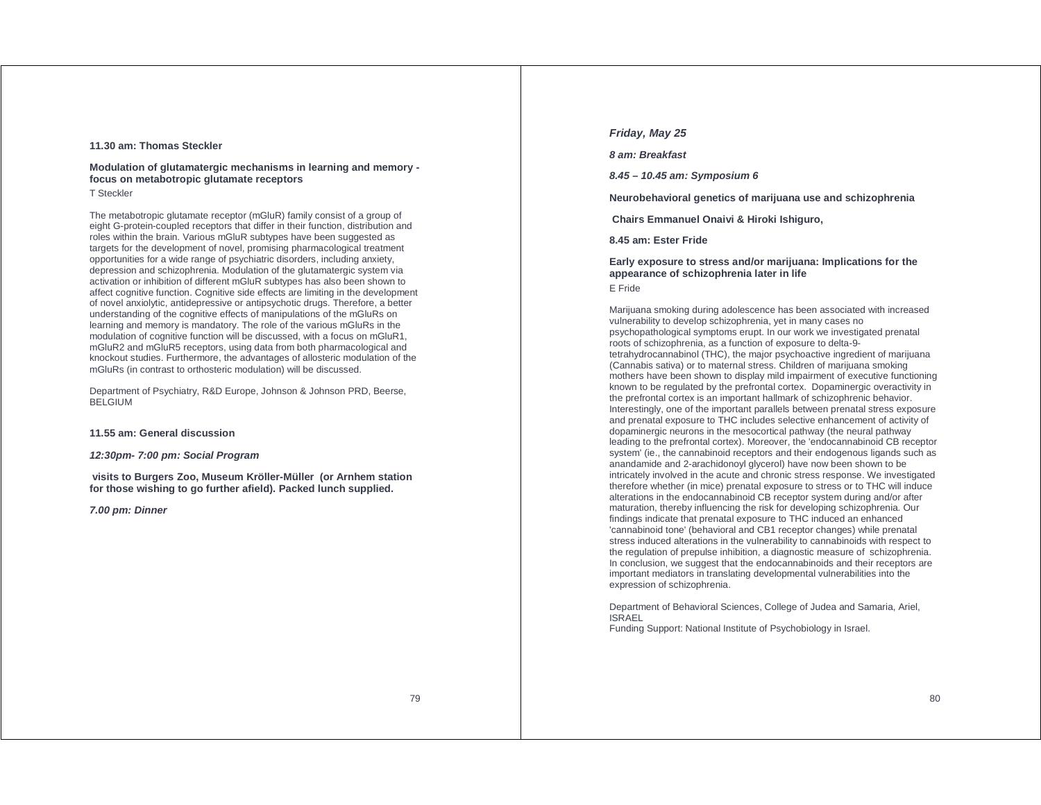### **11.30 am: Thomas Steckler**

### **Modulation of glutamatergic mechanisms in learning and memory focus on metabotropic glutamate receptors**

### T Steckler

The metabotropic glutamate receptor (mGluR) family consist of a group of eight G-protein-coupled receptors that differ in their function, distribution and roles within the brain. Various mGluR subtypes have been suggested as targets for the development of novel, promising pharmacological treatment opportunities for a wide range of psychiatric disorders, including anxiety, depression and schizophrenia. Modulation of the glutamatergic system via activation or inhibition of different mGluR subtypes has also been shown to affect cognitive function. Cognitive side effects are limiting in the development of novel anxiolytic, antidepressive or antipsychotic drugs. Therefore, a better understanding of the cognitive effects of manipulations of the mGluRs on learning and memory is mandatory. The role of the various mGluRs in the modulation of cognitive function will be discussed, with a focus on mGluR1, mGluR2 and mGluR5 receptors, using data from both pharmacological and knockout studies. Furthermore, the advantages of allosteric modulation of the mGluRs (in contrast to orthosteric modulation) will be discussed.

Department of Psychiatry, R&D Europe, Johnson & Johnson PRD, Beerse, BELGIUM

### **11.55 am: General discussion**

#### **12:30pm- 7:00 pm: Social Program**

 **visits to Burgers Zoo, Museum Kröller-Müller (or Arnhem station for those wishing to go further afield). Packed lunch supplied.** 

**7.00 pm: Dinner** 

### **Friday, May 25**

### **8 am: Breakfast**

**8.45 – 10.45 am: Symposium 6** 

**Neurobehavioral genetics of marijuana use and schizophrenia** 

 **Chairs Emmanuel Onaivi & Hiroki Ishiguro,** 

**8.45 am: Ester Fride** 

### **Early exposure to stress and/or marijuana: Implications for the appearance of schizophrenia later in life**

### E Fride

Marijuana smoking during adolescence has been associated with increased vulnerability to develop schizophrenia, yet in many cases no psychopathological symptoms erupt. In our work we investigated prenatal roots of schizophrenia, as a function of exposure to delta-9 tetrahydrocannabinol (THC), the major psychoactive ingredient of marijuana (Cannabis sativa) or to maternal stress. Children of marijuana smoking mothers have been shown to display mild impairment of executive functioning known to be regulated by the prefrontal cortex. Dopaminergic overactivity in the prefrontal cortex is an important hallmark of schizophrenic behavior. Interestingly, one of the important parallels between prenatal stress exposure and prenatal exposure to THC includes selective enhancement of activity of dopaminergic neurons in the mesocortical pathway (the neural pathway leading to the prefrontal cortex). Moreover, the 'endocannabinoid CB receptor system' (ie., the cannabinoid receptors and their endogenous ligands such as anandamide and 2-arachidonoyl glycerol) have now been shown to be intricately involved in the acute and chronic stress response. We investigated therefore whether (in mice) prenatal exposure to stress or to THC will induce alterations in the endocannabinoid CB receptor system during and/or after maturation, thereby influencing the risk for developing schizophrenia. Our findings indicate that prenatal exposure to THC induced an enhanced 'cannabinoid tone' (behavioral and CB1 receptor changes) while prenatal stress induced alterations in the vulnerability to cannabinoids with respect to the regulation of prepulse inhibition, a diagnostic measure of schizophrenia. In conclusion, we suggest that the endocannabinoids and their receptors are important mediators in translating developmental vulnerabilities into the expression of schizophrenia.

Department of Behavioral Sciences, College of Judea and Samaria, Ariel, ISRAEL Funding Support: National Institute of Psychobiology in Israel.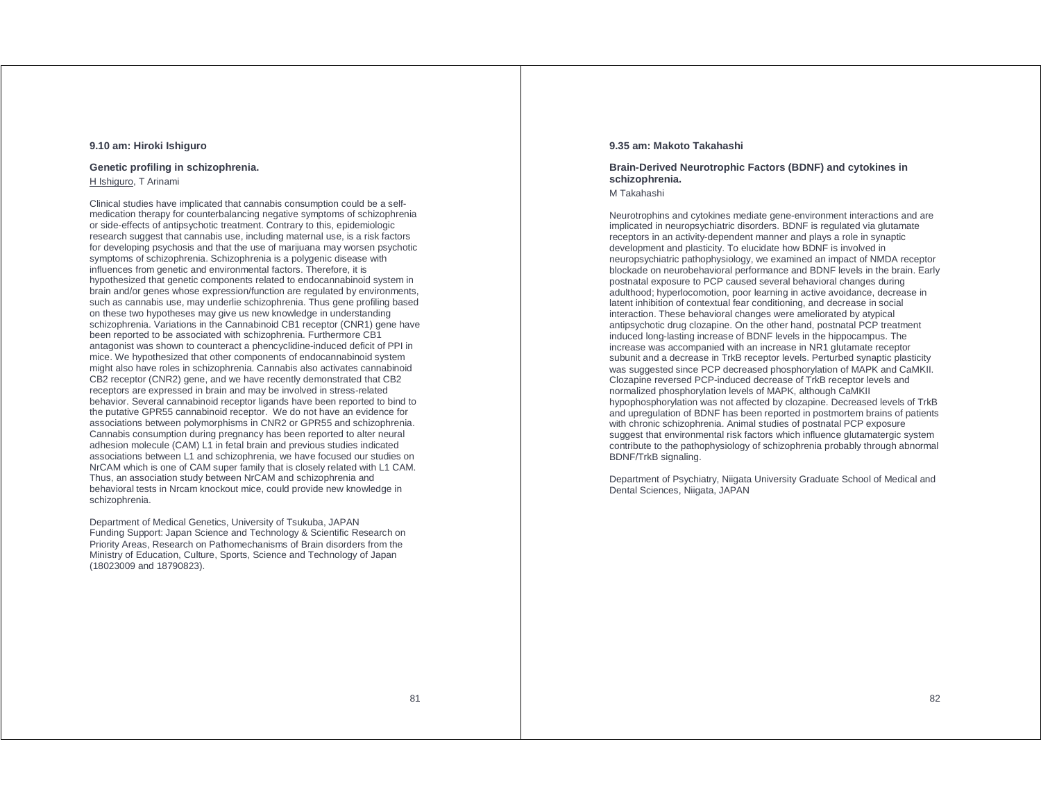### **9.10 am: Hiroki Ishiguro**

### **Genetic profiling in schizophrenia.**

H Ishiguro, T Arinami

Clinical studies have implicated that cannabis consumption could be a selfmedication therapy for counterbalancing negative symptoms of schizophrenia or side-effects of antipsychotic treatment. Contrary to this, epidemiologic research suggest that cannabis use, including maternal use, is a risk factors for developing psychosis and that the use of marijuana may worsen psychotic symptoms of schizophrenia. Schizophrenia is a polygenic disease with influences from genetic and environmental factors. Therefore, it is hypothesized that genetic components related to endocannabinoid system in brain and/or genes whose expression/function are regulated by environments, such as cannabis use, may underlie schizophrenia. Thus gene profiling based on these two hypotheses may give us new knowledge in understanding schizophrenia. Variations in the Cannabinoid CB1 receptor (CNR1) gene have been reported to be associated with schizophrenia. Furthermore CB1 antagonist was shown to counteract a phencyclidine-induced deficit of PPI in mice. We hypothesized that other components of endocannabinoid system might also have roles in schizophrenia. Cannabis also activates cannabinoid CB2 receptor (CNR2) gene, and we have recently demonstrated that CB2 receptors are expressed in brain and may be involved in stress-related behavior. Several cannabinoid receptor ligands have been reported to bind to the putative GPR55 cannabinoid receptor. We do not have an evidence for associations between polymorphisms in CNR2 or GPR55 and schizophrenia. Cannabis consumption during pregnancy has been reported to alter neural adhesion molecule (CAM) L1 in fetal brain and previous studies indicated associations between L1 and schizophrenia, we have focused our studies on NrCAM which is one of CAM super family that is closely related with L1 CAM. Thus, an association study between NrCAM and schizophrenia and behavioral tests in Nrcam knockout mice, could provide new knowledge in schizophrenia.

Department of Medical Genetics, University of Tsukuba, JAPAN Funding Support: Japan Science and Technology & Scientific Research on Priority Areas, Research on Pathomechanisms of Brain disorders from the Ministry of Education, Culture, Sports, Science and Technology of Japan (18023009 and 18790823).

### **9.35 am: Makoto Takahashi**

## **Brain-Derived Neurotrophic Factors (BDNF) and cytokines in schizophrenia.**

M Takahashi

Neurotrophins and cytokines mediate gene-environment interactions and are implicated in neuropsychiatric disorders. BDNF is regulated via glutamate receptors in an activity-dependent manner and plays a role in synaptic development and plasticity. To elucidate how BDNF is involved in neuropsychiatric pathophysiology, we examined an impact of NMDA receptor blockade on neurobehavioral performance and BDNF levels in the brain. Early postnatal exposure to PCP caused several behavioral changes during adulthood; hyperlocomotion, poor learning in active avoidance, decrease in latent inhibition of contextual fear conditioning, and decrease in social interaction. These behavioral changes were ameliorated by atypical antipsychotic drug clozapine. On the other hand, postnatal PCP treatment induced long-lasting increase of BDNF levels in the hippocampus. The increase was accompanied with an increase in NR1 glutamate receptor subunit and a decrease in TrkB receptor levels. Perturbed synaptic plasticity was suggested since PCP decreased phosphorylation of MAPK and CaMKII. Clozapine reversed PCP-induced decrease of TrkB receptor levels and normalized phosphorylation levels of MAPK, although CaMKII hypophosphorylation was not affected by clozapine. Decreased levels of TrkB and upregulation of BDNF has been reported in postmortem brains of patients with chronic schizophrenia. Animal studies of postnatal PCP exposure suggest that environmental risk factors which influence glutamatergic system contribute to the pathophysiology of schizophrenia probably through abnormal BDNF/TrkB signaling.

Department of Psychiatry, Niigata University Graduate School of Medical and Dental Sciences, Niigata, JAPAN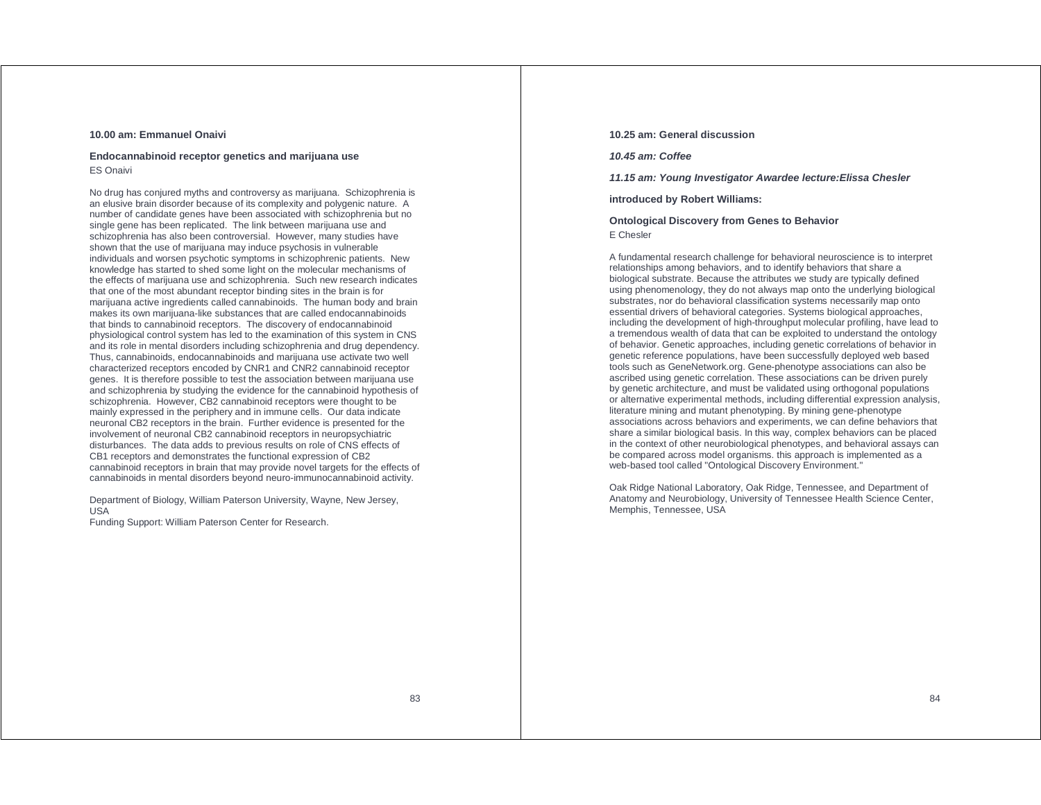### **10.00 am: Emmanuel Onaivi**

### **Endocannabinoid receptor genetics and marijuana use** ES Onaivi

No drug has conjured myths and controversy as marijuana. Schizophrenia is an elusive brain disorder because of its complexity and polygenic nature. A number of candidate genes have been associated with schizophrenia but no single gene has been replicated. The link between marijuana use and schizophrenia has also been controversial. However, many studies have shown that the use of marijuana may induce psychosis in vulnerable individuals and worsen psychotic symptoms in schizophrenic patients. New knowledge has started to shed some light on the molecular mechanisms of the effects of marijuana use and schizophrenia. Such new research indicates that one of the most abundant receptor binding sites in the brain is for marijuana active ingredients called cannabinoids. The human body and brain makes its own marijuana-like substances that are called endocannabinoids that binds to cannabinoid receptors. The discovery of endocannabinoid physiological control system has led to the examination of this system in CNS and its role in mental disorders including schizophrenia and drug dependency. Thus, cannabinoids, endocannabinoids and marijuana use activate two well characterized receptors encoded by CNR1 and CNR2 cannabinoid receptor genes. It is therefore possible to test the association between marijuana use and schizophrenia by studying the evidence for the cannabinoid hypothesis of schizophrenia. However, CB2 cannabinoid receptors were thought to be mainly expressed in the periphery and in immune cells. Our data indicate neuronal CB2 receptors in the brain. Further evidence is presented for the involvement of neuronal CB2 cannabinoid receptors in neuropsychiatric disturbances. The data adds to previous results on role of CNS effects of CB1 receptors and demonstrates the functional expression of CB2 cannabinoid receptors in brain that may provide novel targets for the effects of cannabinoids in mental disorders beyond neuro-immunocannabinoid activity.

Department of Biology, William Paterson University, Wayne, New Jersey, USA

Funding Support: William Paterson Center for Research.

### **10.25 am: General discussion**

**10.45 am: Coffee** 

**11.15 am: Young Investigator Awardee lecture:Elissa Chesler** 

**introduced by Robert Williams:** 

**Ontological Discovery from Genes to Behavior**  E Chesler

A fundamental research challenge for behavioral neuroscience is to interpret relationships among behaviors, and to identify behaviors that share a biological substrate. Because the attributes we study are typically defined using phenomenology, they do not always map onto the underlying biological substrates, nor do behavioral classification systems necessarily map onto essential drivers of behavioral categories. Systems biological approaches, including the development of high-throughput molecular profiling, have lead to a tremendous wealth of data that can be exploited to understand the ontology of behavior. Genetic approaches, including genetic correlations of behavior in genetic reference populations, have been successfully deployed web based tools such as GeneNetwork.org. Gene-phenotype associations can also be ascribed using genetic correlation. These associations can be driven purely by genetic architecture, and must be validated using orthogonal populations or alternative experimental methods, including differential expression analysis, literature mining and mutant phenotyping. By mining gene-phenotype associations across behaviors and experiments, we can define behaviors that share a similar biological basis. In this way, complex behaviors can be placed in the context of other neurobiological phenotypes, and behavioral assays can be compared across model organisms. this approach is implemented as a web-based tool called "Ontological Discovery Environment."

Oak Ridge National Laboratory, Oak Ridge, Tennessee, and Department of Anatomy and Neurobiology, University of Tennessee Health Science Center, Memphis, Tennessee, USA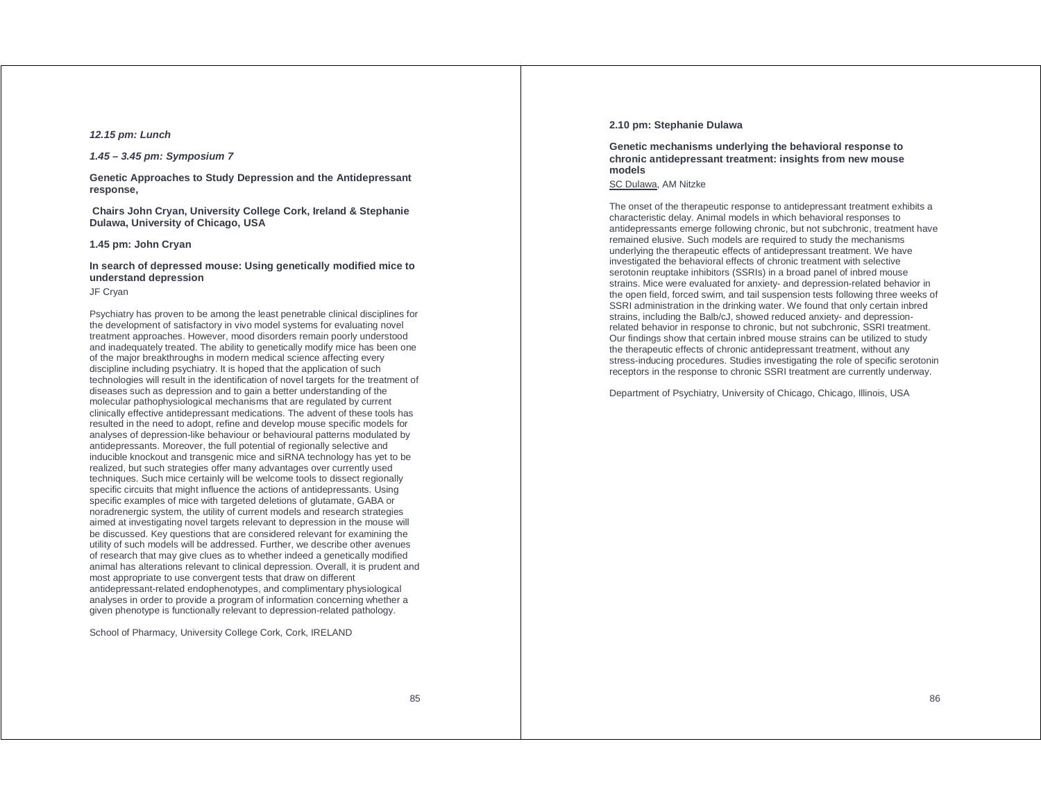### **12.15 pm: Lunch**

### **1.45 – 3.45 pm: Symposium 7**

**Genetic Approaches to Study Depression and the Antidepressant response,** 

 **Chairs John Cryan, University College Cork, Ireland & Stephanie Dulawa, University of Chicago, USA** 

### **1.45 pm: John Cryan**

### **In search of depressed mouse: Using genetically modified mice to understand depression**

### JF Cryan

Psychiatry has proven to be among the least penetrable clinical disciplines for the development of satisfactory in vivo model systems for evaluating novel treatment approaches. However, mood disorders remain poorly understood and inadequately treated. The ability to genetically modify mice has been one of the major breakthroughs in modern medical science affecting every discipline including psychiatry. It is hoped that the application of such technologies will result in the identification of novel targets for the treatment of diseases such as depression and to gain a better understanding of the molecular pathophysiological mechanisms that are regulated by current clinically effective antidepressant medications. The advent of these tools has resulted in the need to adopt, refine and develop mouse specific models for analyses of depression-like behaviour or behavioural patterns modulated by antidepressants. Moreover, the full potential of regionally selective and inducible knockout and transgenic mice and siRNA technology has yet to be realized, but such strategies offer many advantages over currently used techniques. Such mice certainly will be welcome tools to dissect regionally specific circuits that might influence the actions of antidepressants. Using specific examples of mice with targeted deletions of glutamate, GABA or noradrenergic system, the utility of current models and research strategies aimed at investigating novel targets relevant to depression in the mouse will be discussed. Key questions that are considered relevant for examining the utility of such models will be addressed. Further, we describe other avenues of research that may give clues as to whether indeed a genetically modified animal has alterations relevant to clinical depression. Overall, it is prudent and most appropriate to use convergent tests that draw on different antidepressant-related endophenotypes, and complimentary physiological analyses in order to provide a program of information concerning whether a given phenotype is functionally relevant to depression-related pathology.

School of Pharmacy, University College Cork, Cork, IRELAND

#### **2.10 pm: Stephanie Dulawa**

### **Genetic mechanisms underlying the behavioral response to chronic antidepressant treatment: insights from new mouse models**

SC Dulawa, AM Nitzke

The onset of the therapeutic response to antidepressant treatment exhibits a characteristic delay. Animal models in which behavioral responses to antidepressants emerge following chronic, but not subchronic, treatment have remained elusive. Such models are required to study the mechanisms underlying the therapeutic effects of antidepressant treatment. We have investigated the behavioral effects of chronic treatment with selective serotonin reuptake inhibitors (SSRIs) in a broad panel of inbred mouse strains. Mice were evaluated for anxiety- and depression-related behavior in the open field, forced swim, and tail suspension tests following three weeks of SSRI administration in the drinking water. We found that only certain inbred strains, including the Balb/cJ, showed reduced anxiety- and depressionrelated behavior in response to chronic, but not subchronic, SSRI treatment. Our findings show that certain inbred mouse strains can be utilized to study the therapeutic effects of chronic antidepressant treatment, without any stress-inducing procedures. Studies investigating the role of specific serotonin receptors in the response to chronic SSRI treatment are currently underway.

Department of Psychiatry, University of Chicago, Chicago, Illinois, USA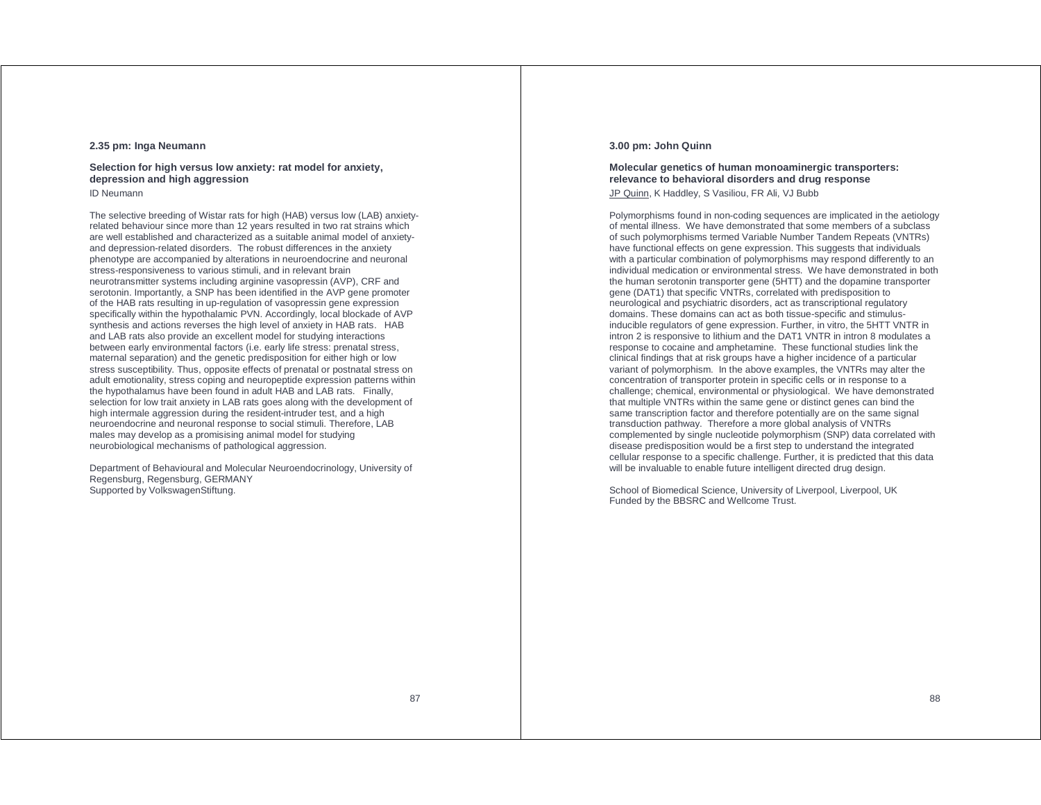### **2.35 pm: Inga Neumann**

### **Selection for high versus low anxiety: rat model for anxiety, depression and high aggression**

ID Neumann

The selective breeding of Wistar rats for high (HAB) versus low (LAB) anxietyrelated behaviour since more than 12 years resulted in two rat strains which are well established and characterized as a suitable animal model of anxietyand depression-related disorders. The robust differences in the anxiety phenotype are accompanied by alterations in neuroendocrine and neuronal stress-responsiveness to various stimuli, and in relevant brain neurotransmitter systems including arginine vasopressin (AVP), CRF and serotonin. Importantly, a SNP has been identified in the AVP gene promoter of the HAB rats resulting in up-regulation of vasopressin gene expression specifically within the hypothalamic PVN. Accordingly, local blockade of AVP synthesis and actions reverses the high level of anxiety in HAB rats. HAB and LAB rats also provide an excellent model for studying interactions between early environmental factors (i.e. early life stress: prenatal stress, maternal separation) and the genetic predisposition for either high or low stress susceptibility. Thus, opposite effects of prenatal or postnatal stress on adult emotionality, stress coping and neuropeptide expression patterns within the hypothalamus have been found in adult HAB and LAB rats. Finally, selection for low trait anxiety in LAB rats goes along with the development of high intermale aggression during the resident-intruder test, and a high neuroendocrine and neuronal response to social stimuli. Therefore, LAB males may develop as a promisising animal model for studying neurobiological mechanisms of pathological aggression.

Department of Behavioural and Molecular Neuroendocrinology, University of Regensburg, Regensburg, GERMANY Supported by VolkswagenStiftung.

### **3.00 pm: John Quinn**

### **Molecular genetics of human monoaminergic transporters: relevance to behavioral disorders and drug response**

JP Quinn, K Haddley, S Vasiliou, FR Ali, VJ Bubb

Polymorphisms found in non-coding sequences are implicated in the aetiology of mental illness. We have demonstrated that some members of a subclass of such polymorphisms termed Variable Number Tandem Repeats (VNTRs) have functional effects on gene expression. This suggests that individuals with a particular combination of polymorphisms may respond differently to an individual medication or environmental stress. We have demonstrated in both the human serotonin transporter gene (5HTT) and the dopamine transporter gene (DAT1) that specific VNTRs, correlated with predisposition to neurological and psychiatric disorders, act as transcriptional regulatory domains. These domains can act as both tissue-specific and stimulusinducible regulators of gene expression. Further, in vitro, the 5HTT VNTR in intron 2 is responsive to lithium and the DAT1 VNTR in intron 8 modulates a response to cocaine and amphetamine. These functional studies link the clinical findings that at risk groups have a higher incidence of a particular variant of polymorphism. In the above examples, the VNTRs may alter the concentration of transporter protein in specific cells or in response to a challenge; chemical, environmental or physiological. We have demonstrated that multiple VNTRs within the same gene or distinct genes can bind the same transcription factor and therefore potentially are on the same signal transduction pathway. Therefore a more global analysis of VNTRs complemented by single nucleotide polymorphism (SNP) data correlated with disease predisposition would be a first step to understand the integrated cellular response to a specific challenge. Further, it is predicted that this data will be invaluable to enable future intelligent directed drug design.

School of Biomedical Science, University of Liverpool, Liverpool, UK Funded by the BBSRC and Wellcome Trust.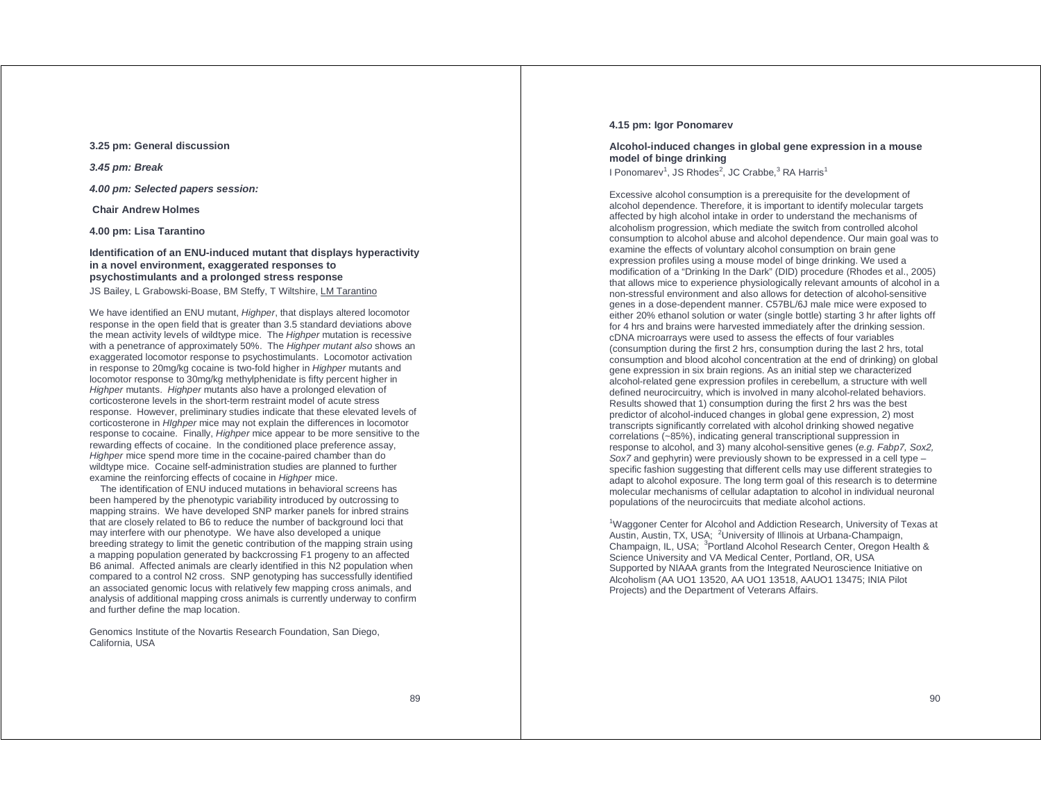### **3.25 pm: General discussion**

**3.45 pm: Break** 

**4.00 pm: Selected papers session:** 

 **Chair Andrew Holmes** 

**4.00 pm: Lisa Tarantino** 

### **Identification of an ENU-induced mutant that displays hyperactivity in a novel environment, exaggerated responses to psychostimulants and a prolonged stress response**

JS Bailey, L Grabowski-Boase, BM Steffy, T Wiltshire, LM Tarantino

We have identified an ENU mutant, Highper, that displays altered locomotor response in the open field that is greater than 3.5 standard deviations above the mean activity levels of wildtype mice. The Highper mutation is recessive with a penetrance of approximately 50%. The Highper mutant also shows an exaggerated locomotor response to psychostimulants. Locomotor activation in response to 20mg/kg cocaine is two-fold higher in Highper mutants and locomotor response to 30mg/kg methylphenidate is fifty percent higher in Highper mutants. Highper mutants also have a prolonged elevation of corticosterone levels in the short-term restraint model of acute stress response. However, preliminary studies indicate that these elevated levels of corticosterone in HIghper mice may not explain the differences in locomotor response to cocaine. Finally, Highper mice appear to be more sensitive to the rewarding effects of cocaine. In the conditioned place preference assay, Highper mice spend more time in the cocaine-paired chamber than do wildtype mice. Cocaine self-administration studies are planned to further examine the reinforcing effects of cocaine in Highper mice.

 The identification of ENU induced mutations in behavioral screens has been hampered by the phenotypic variability introduced by outcrossing to mapping strains. We have developed SNP marker panels for inbred strains that are closely related to B6 to reduce the number of background loci that may interfere with our phenotype. We have also developed a unique breeding strategy to limit the genetic contribution of the mapping strain using a mapping population generated by backcrossing F1 progeny to an affected B6 animal. Affected animals are clearly identified in this N2 population when compared to a control N2 cross. SNP genotyping has successfully identified an associated genomic locus with relatively few mapping cross animals, and analysis of additional mapping cross animals is currently underway to confirm and further define the map location.

Genomics Institute of the Novartis Research Foundation, San Diego, California, USA

### **4.15 pm: Igor Ponomarev**

### **Alcohol-induced changes in global gene expression in a mouse model of binge drinking**

I Ponomarev<sup>1</sup>, JS Rhodes<sup>2</sup>, JC Crabbe,<sup>3</sup> RA Harris<sup>1</sup>

Excessive alcohol consumption is a prerequisite for the development of alcohol dependence. Therefore, it is important to identify molecular targets affected by high alcohol intake in order to understand the mechanisms of alcoholism progression, which mediate the switch from controlled alcohol consumption to alcohol abuse and alcohol dependence. Our main goal was to examine the effects of voluntary alcohol consumption on brain gene expression profiles using a mouse model of binge drinking. We used a modification of a "Drinking In the Dark" (DID) procedure (Rhodes et al., 2005) that allows mice to experience physiologically relevant amounts of alcohol in a non-stressful environment and also allows for detection of alcohol-sensitive genes in a dose-dependent manner. C57BL/6J male mice were exposed to either 20% ethanol solution or water (single bottle) starting 3 hr after lights off for 4 hrs and brains were harvested immediately after the drinking session. cDNA microarrays were used to assess the effects of four variables (consumption during the first 2 hrs, consumption during the last 2 hrs, total consumption and blood alcohol concentration at the end of drinking) on global gene expression in six brain regions. As an initial step we characterized alcohol-related gene expression profiles in cerebellum, a structure with well defined neurocircuitry, which is involved in many alcohol-related behaviors. Results showed that 1) consumption during the first 2 hrs was the best predictor of alcohol-induced changes in global gene expression, 2) most transcripts significantly correlated with alcohol drinking showed negative correlations (~85%), indicating general transcriptional suppression in response to alcohol, and 3) many alcohol-sensitive genes (e.g. Fabp7, Sox2, Sox7 and gephyrin) were previously shown to be expressed in a cell type – specific fashion suggesting that different cells may use different strategies to adapt to alcohol exposure. The long term goal of this research is to determine molecular mechanisms of cellular adaptation to alcohol in individual neuronal populations of the neurocircuits that mediate alcohol actions.

<sup>1</sup>Waggoner Center for Alcohol and Addiction Research, University of Texas at Austin, Austin, TX, USA; <sup>2</sup>University of Illinois at Urbana-Champaign, Champaign, IL, USA; <sup>3</sup>Portland Alcohol Research Center, Oregon Health & Science University and VA Medical Center, Portland, OR, USA Supported by NIAAA grants from the Integrated Neuroscience Initiative on Alcoholism (AA UO1 13520, AA UO1 13518, AAUO1 13475; INIA Pilot Projects) and the Department of Veterans Affairs.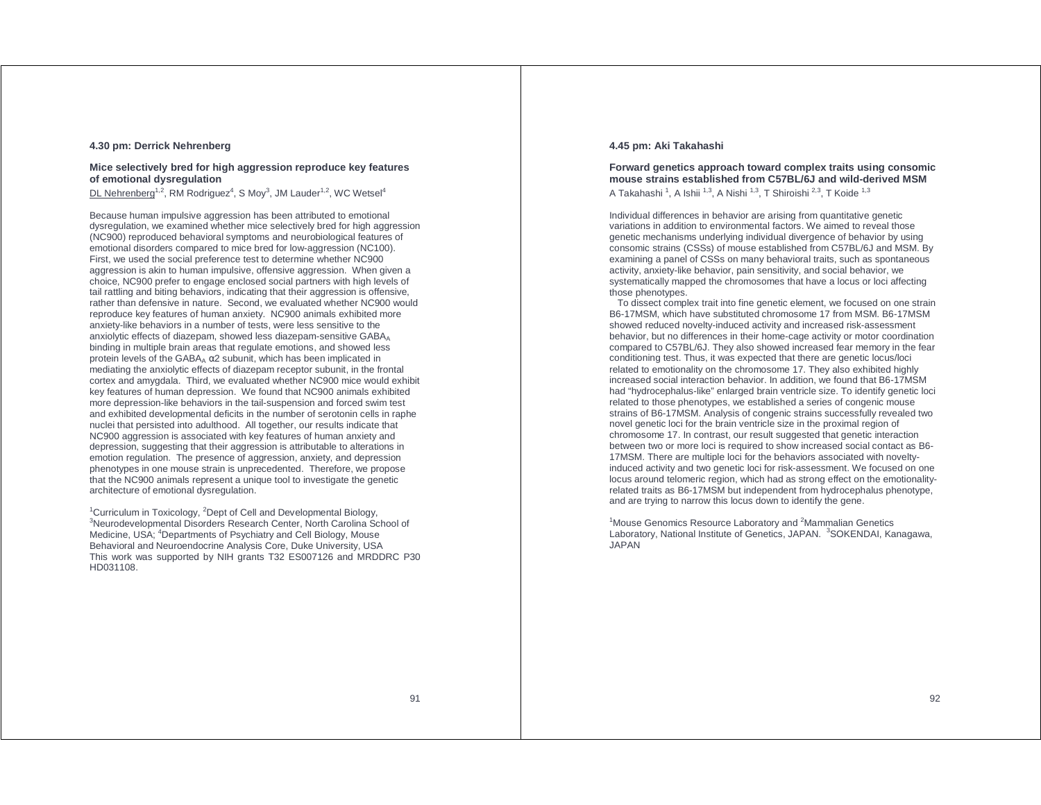### **4.30 pm: Derrick Nehrenberg**

### **Mice selectively bred for high aggression reproduce key features of emotional dysregulation**

DL Nehrenberg<sup>1,2</sup>, RM Rodriguez<sup>4</sup>, S Moy<sup>3</sup>, JM Lauder<sup>1,2</sup>, WC Wetsel<sup>4</sup>

Because human impulsive aggression has been attributed to emotional dysregulation, we examined whether mice selectively bred for high aggression (NC900) reproduced behavioral symptoms and neurobiological features of emotional disorders compared to mice bred for low-aggression (NC100). First, we used the social preference test to determine whether NC900 aggression is akin to human impulsive, offensive aggression. When given a choice, NC900 prefer to engage enclosed social partners with high levels of tail rattling and biting behaviors, indicating that their aggression is offensive, rather than defensive in nature. Second, we evaluated whether NC900 would reproduce key features of human anxiety. NC900 animals exhibited more anxiety-like behaviors in a number of tests, were less sensitive to the anxiolytic effects of diazepam, showed less diazepam-sensitive GABA binding in multiple brain areas that regulate emotions, and showed less protein levels of the GABA<sub>Δ</sub>  $α$ 2 subunit, which has been implicated in mediating the anxiolytic effects of diazepam receptor subunit, in the frontal cortex and amygdala. Third, we evaluated whether NC900 mice would exhibit key features of human depression. We found that NC900 animals exhibited more depression-like behaviors in the tail-suspension and forced swim test and exhibited developmental deficits in the number of serotonin cells in raphe nuclei that persisted into adulthood. All together, our results indicate that NC900 aggression is associated with key features of human anxiety and depression, suggesting that their aggression is attributable to alterations in emotion regulation. The presence of aggression, anxiety, and depression phenotypes in one mouse strain is unprecedented. Therefore, we propose that the NC900 animals represent a unique tool to investigate the genetic architecture of emotional dysregulation.

<sup>1</sup>Curriculum in Toxicology, <sup>2</sup>Dept of Cell and Developmental Biology,<br><sup>3</sup>Neurodevelopmental Disorders Research Center, North Carolina School of Medicine, USA; <sup>4</sup>Departments of Psychiatry and Cell Biology, Mouse Behavioral and Neuroendocrine Analysis Core, Duke University, USA This work was supported by NIH grants T32 ES007126 and MRDDRC P30 HD031108.

### **4.45 pm: Aki Takahashi**

### **Forward genetics approach toward complex traits using consomic mouse strains established from C57BL/6J and wild-derived MSM**  A Takahashi<sup>1</sup>, A Ishii<sup>1,3</sup>, A Nishi<sup>1,3</sup>, T Shiroishi<sup>2,3</sup>, T Koide<sup>1,3</sup>

Individual differences in behavior are arising from quantitative genetic variations in addition to environmental factors. We aimed to reveal those genetic mechanisms underlying individual divergence of behavior by using consomic strains (CSSs) of mouse established from C57BL/6J and MSM. By examining a panel of CSSs on many behavioral traits, such as spontaneous activity, anxiety-like behavior, pain sensitivity, and social behavior, we systematically mapped the chromosomes that have a locus or loci affecting those phenotypes.

 To dissect complex trait into fine genetic element, we focused on one strain B6-17MSM, which have substituted chromosome 17 from MSM. B6-17MSM showed reduced novelty-induced activity and increased risk-assessment behavior, but no differences in their home-cage activity or motor coordination compared to C57BL/6J. They also showed increased fear memory in the fear conditioning test. Thus, it was expected that there are genetic locus/loci related to emotionality on the chromosome 17. They also exhibited highly increased social interaction behavior. In addition, we found that B6-17MSM had "hydrocephalus-like" enlarged brain ventricle size. To identify genetic loci related to those phenotypes, we established a series of congenic mouse strains of B6-17MSM. Analysis of congenic strains successfully revealed two novel genetic loci for the brain ventricle size in the proximal region of chromosome 17. In contrast, our result suggested that genetic interaction between two or more loci is required to show increased social contact as B6-17MSM. There are multiple loci for the behaviors associated with noveltyinduced activity and two genetic loci for risk-assessment. We focused on one locus around telomeric region, which had as strong effect on the emotionalityrelated traits as B6-17MSM but independent from hydrocephalus phenotype, and are trying to narrow this locus down to identify the gene.

<sup>1</sup> Mouse Genomics Resource Laboratory and <sup>2</sup> Mammalian Genetics Laboratory, National Institute of Genetics, JAPAN. <sup>3</sup>SOKENDAI, Kanagawa, JAPAN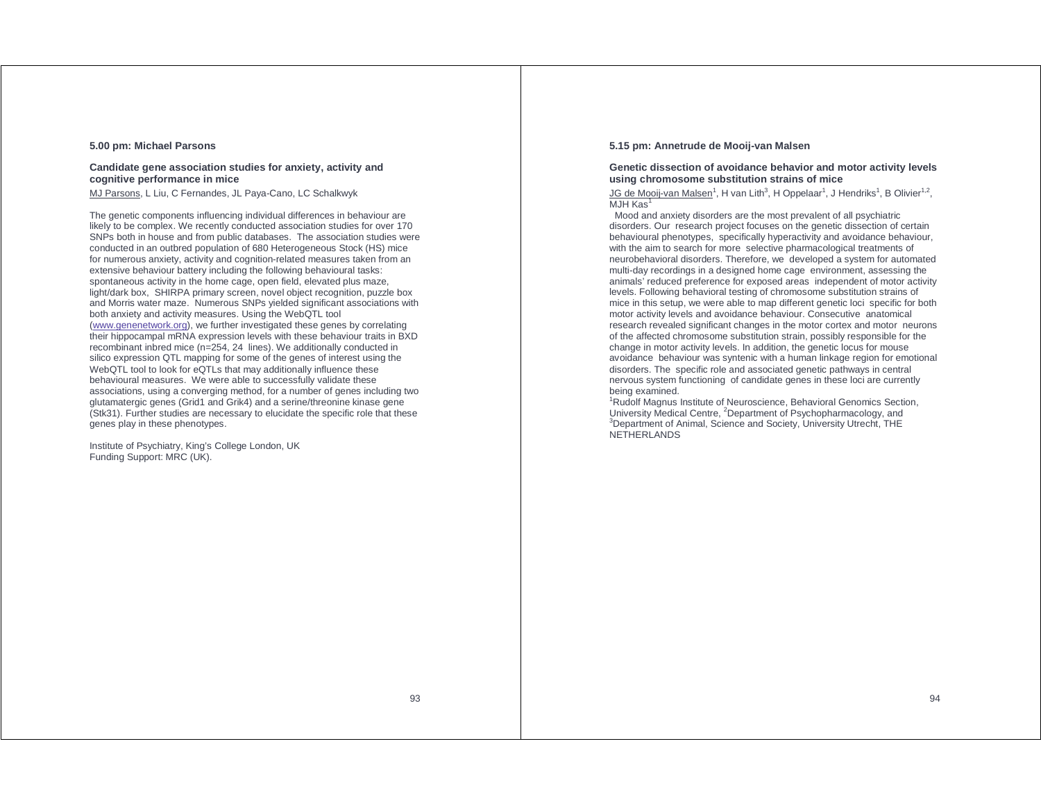### **5.00 pm: Michael Parsons**

### **Candidate gene association studies for anxiety, activity and cognitive performance in mice**

MJ Parsons, L Liu, C Fernandes, JL Paya-Cano, LC Schalkwyk

The genetic components influencing individual differences in behaviour are likely to be complex. We recently conducted association studies for over 170 SNPs both in house and from public databases. The association studies were conducted in an outbred population of 680 Heterogeneous Stock (HS) mice for numerous anxiety, activity and cognition-related measures taken from an extensive behaviour battery including the following behavioural tasks: spontaneous activity in the home cage, open field, elevated plus maze, light/dark box, SHIRPA primary screen, novel object recognition, puzzle box and Morris water maze. Numerous SNPs yielded significant associations with both anxiety and activity measures. Using the WebQTL tool (www.genenetwork.org), we further investigated these genes by correlating their hippocampal mRNA expression levels with these behaviour traits in BXD recombinant inbred mice (n=254, 24 lines). We additionally conducted in silico expression QTL mapping for some of the genes of interest using the WebQTL tool to look for eQTLs that may additionally influence these behavioural measures. We were able to successfully validate these associations, using a converging method, for a number of genes including two glutamatergic genes (Grid1 and Grik4) and a serine/threonine kinase gene (Stk31). Further studies are necessary to elucidate the specific role that these genes play in these phenotypes.

Institute of Psychiatry, King's College London, UK Funding Support: MRC (UK).

### **5.15 pm: Annetrude de Mooij-van Malsen**

### **Genetic dissection of avoidance behavior and motor activity levels using chromosome substitution strains of mice**

JG de Mooij-van Malsen<sup>1</sup>, H van Lith<sup>3</sup>, H Oppelaar<sup>1</sup>, J Hendriks<sup>1</sup>, B Olivier<sup>1,2</sup>, MJH Kas<sup>1</sup>

 Mood and anxiety disorders are the most prevalent of all psychiatric disorders. Our research project focuses on the genetic dissection of certain behavioural phenotypes, specifically hyperactivity and avoidance behaviour, with the aim to search for more selective pharmacological treatments of neurobehavioral disorders. Therefore, we developed a system for automated multi-day recordings in a designed home cage environment, assessing the animals' reduced preference for exposed areas independent of motor activity levels. Following behavioral testing of chromosome substitution strains of mice in this setup, we were able to map different genetic loci specific for both motor activity levels and avoidance behaviour. Consecutive anatomical research revealed significant changes in the motor cortex and motor neurons of the affected chromosome substitution strain, possibly responsible for the change in motor activity levels. In addition, the genetic locus for mouse avoidance behaviour was syntenic with a human linkage region for emotional disorders. The specific role and associated genetic pathways in central nervous system functioning of candidate genes in these loci are currently

<sup>1</sup>Rudolf Magnus Institute of Neuroscience, Behavioral Genomics Section, University Medical Centre, <sup>2</sup>Department of Psychopharmacology, and <sup>3</sup>Department of Animal, Science and Society, University Utrecht, THE NETHERLANDS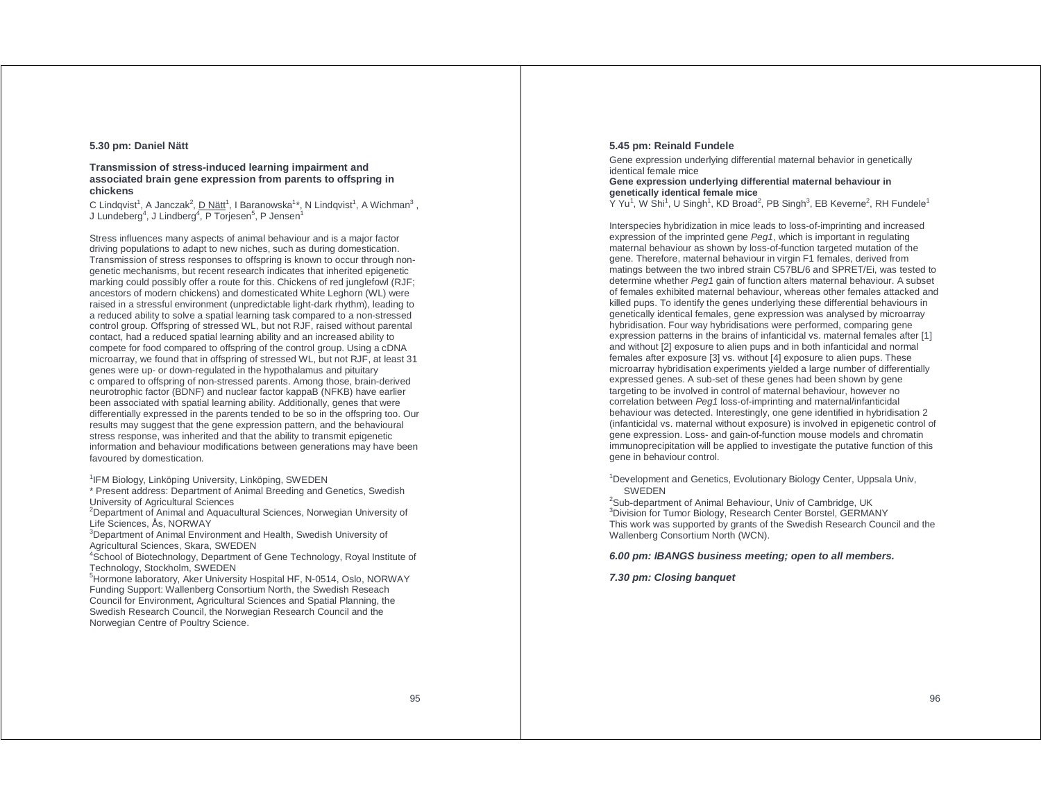### **5.30 pm: Daniel Nätt**

### **Transmission of stress-induced learning impairment and associated brain gene expression from parents to offspring in chickens**

C Lindqvist<sup>1</sup>, A Janczak<sup>2</sup>, <u>D Nätt</u><sup>1</sup>, I Baranowska<sup>1</sup>\*, N Lindqvist<sup>1</sup>, A Wichman<sup>3</sup> , J Lundeberg $^4$ , J Lindberg $^4$ , P Torjesen $^5$ , P Jensen $^1$ 

Stress influences many aspects of animal behaviour and is a major factor driving populations to adapt to new niches, such as during domestication. Transmission of stress responses to offspring is known to occur through nongenetic mechanisms, but recent research indicates that inherited epigenetic marking could possibly offer a route for this. Chickens of red junglefowl (RJF; ancestors of modern chickens) and domesticated White Leghorn (WL) were raised in a stressful environment (unpredictable light-dark rhythm), leading to a reduced ability to solve a spatial learning task compared to a non-stressed control group. Offspring of stressed WL, but not RJF, raised without parental contact, had a reduced spatial learning ability and an increased ability to compete for food compared to offspring of the control group. Using a cDNA microarray, we found that in offspring of stressed WL, but not RJF, at least 31 genes were up- or down-regulated in the hypothalamus and pituitary c ompared to offspring of non-stressed parents. Among those, brain-derived neurotrophic factor (BDNF) and nuclear factor kappaB (NFKB) have earlier been associated with spatial learning ability. Additionally, genes that were differentially expressed in the parents tended to be so in the offspring too. Our results may suggest that the gene expression pattern, and the behavioural stress response, was inherited and that the ability to transmit epigenetic information and behaviour modifications between generations may have been favoured by domestication.

<sup>1</sup>IFM Biology, Linköping University, Linköping, SWEDEN

\* Present address: Department of Animal Breeding and Genetics, Swedish University of Agricultural Sciences

<sup>2</sup>Department of Animal and Aquacultural Sciences, Norwegian University of Life Sciences, Ås, NORWAY

<sup>3</sup>Department of Animal Environment and Health, Swedish University of Agricultural Sciences, Skara, SWEDEN

<sup>4</sup>School of Biotechnology, Department of Gene Technology, Royal Institute of Technology, Stockholm, SWEDEN

<sup>5</sup>Hormone laboratory, Aker University Hospital HF, N-0514, Oslo, NORWAY Funding Support: Wallenberg Consortium North, the Swedish Reseach Council for Environment, Agricultural Sciences and Spatial Planning, the Swedish Research Council, the Norwegian Research Council and the Norwegian Centre of Poultry Science.

### **5.45 pm: Reinald Fundele**

Gene expression underlying differential maternal behavior in genetically identical female mice

### **Gene expression underlying differential maternal behaviour in genetically identical female mice**

Y Yu<sup>1</sup>, W Shi<sup>1</sup>, U Singh<sup>1</sup>, KD Broad<sup>2</sup>, PB Singh<sup>3</sup>, EB Keverne<sup>2</sup>, RH Fundele<sup>1</sup>

Interspecies hybridization in mice leads to loss-of-imprinting and increased expression of the imprinted gene Peg1, which is important in regulating maternal behaviour as shown by loss-of-function targeted mutation of the gene. Therefore, maternal behaviour in virgin F1 females, derived from matings between the two inbred strain C57BL/6 and SPRET/Ei, was tested to determine whether Peg1 gain of function alters maternal behaviour. A subset of females exhibited maternal behaviour, whereas other females attacked and killed pups. To identify the genes underlying these differential behaviours in genetically identical females, gene expression was analysed by microarray hybridisation. Four way hybridisations were performed, comparing gene expression patterns in the brains of infanticidal vs. maternal females after [1] and without [2] exposure to alien pups and in both infanticidal and normal females after exposure [3] vs. without [4] exposure to alien pups. These microarray hybridisation experiments yielded a large number of differentially expressed genes. A sub-set of these genes had been shown by gene targeting to be involved in control of maternal behaviour, however no correlation between Peg1 loss-of-imprinting and maternal/infanticidal behaviour was detected. Interestingly, one gene identified in hybridisation 2 (infanticidal vs. maternal without exposure) is involved in epigenetic control of gene expression. Loss- and gain-of-function mouse models and chromatin immunoprecipitation will be applied to investigate the putative function of this gene in behaviour control.

<sup>1</sup>Development and Genetics, Evolutionary Biology Center, Uppsala Univ, SWEDEN

<sup>2</sup>Sub-department of Animal Behaviour, Univ of Cambridge, UK <sup>3</sup>Division for Tumor Biology, Research Center Borstel, GERMANY This work was supported by grants of the Swedish Research Council and the Wallenberg Consortium North (WCN).

### **6.00 pm: IBANGS business meeting; open to all members.**

### **7.30 pm: Closing banquet**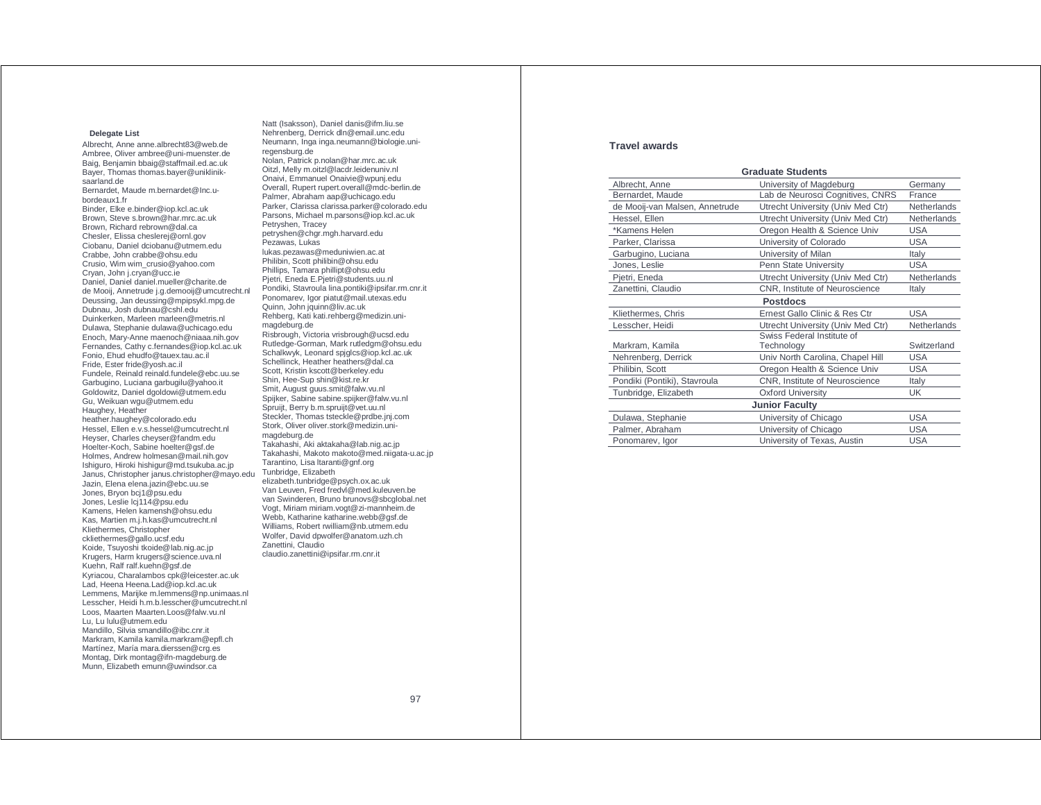#### **Delegate List**

Albrecht, Anne anne.albrecht83@web.de Ambree, Oliver ambree@uni-muenster.de Baig, Benjamin bbaig@staffmail.ed.ac.uk Bayer, Thomas thomas.bayer@unikliniksaarland de Bernardet, Maude m.bernardet@Inc.ubordeaux1.fr Binder, Elke e.binder@iop.kcl.ac.uk Brown, Steve s.brown@har.mrc.ac.uk Brown, Richard rebrown@dal.ca Chesler, Elissa cheslerej@ornl.gov Ciobanu, Daniel dciobanu@utmem.edu Crabbe, John crabbe@ohsu.edu Crusio, Wim wim\_crusio@yahoo.com Cryan, John j.cryan@ucc.ie Daniel, Daniel daniel.mueller@charite.de de Mooij, Annetrude j.g.demooij@umcutrecht.nl Deussing, Jan deussing@mpipsykl.mpg.de Dubnau, Josh dubnau@cshl.edu Duinkerken, Marleen marleen@metris.nl Dulawa, Stephanie dulawa@uchicago.edu Enoch, Mary-Anne maenoch@niaaa.nih.gov Fernandes, Cathy c.fernandes@iop.kcl.ac.uk Fonio, Ehud ehudfo@tauex.tau.ac.il Fride, Ester fride@yosh.ac.il Fundele, Reinald reinald.fundele@ebc.uu.se Garbugino, Luciana garbugilu@yahoo.it Goldowitz, Daniel dgoldowi@utmem.edu Gu, Weikuan wgu@utmem.edu Haughey, Heather heather.haughey@colorado.edu Hessel, Ellen e.v.s.hessel@umcutrecht.nl Heyser, Charles cheyser@fandm.edu Hoelter-Koch, Sabine hoelter@gsf.de Holmes, Andrew holmesan@mail.nih.gov Ishiguro, Hiroki hishigur@md.tsukuba.ac.jp Janus, Christopher janus.christopher@mayo.edu Jazin, Elena elena.jazin@ebc.uu.se Jones, Bryon bcj1@psu.edu Jones, Leslie lcj114@psu.edu Kamens, Helen kamensh@ohsu.edu Kas, Martien m.j.h.kas@umcutrecht.nl Kliethermes, Christopher ckliethermes@gallo.ucsf.edu Koide, Tsuyoshi tkoide@lab.nig.ac.jp Krugers, Harm krugers@science.uva.nl Kuehn, Ralf ralf.kuehn@gsf.de Kyriacou, Charalambos cpk@leicester.ac.uk Lad, Heena Heena.Lad@iop.kcl.ac.uk Lemmens, Marijke m.lemmens@np.unimaas.nl Lesscher, Heidi h.m.b.lesscher@umcutrecht.nl Loos, Maarten Maarten.Loos@falw.vu.nl Lu, Lu lulu@utmem.edu Mandillo, Silvia smandillo@ibc.cnr.it Markram, Kamila kamila.markram@epfl.ch Martínez, María mara.dierssen@crg.es Montag, Dirk montag@ifn-magdeburg.de Munn, Elizabeth emunn@uwindsor.ca

Natt (Isaksson), Daniel danis@ifm.liu.se Nehrenberg, Derrick dln@email.unc.edu Neumann, Inga inga.neumann@biologie.uniregensburg.de Nolan, Patrick p.nolan@har.mrc.ac.uk Oitzl, Melly m.oitzl@lacdr.leidenuniv.nl Onaivi, Emmanuel Onaivie@wpunj.edu Overall, Rupert rupert.overall@mdc-berlin.de Palmer, Abraham aap@uchicago.edu Parker, Clarissa clarissa.parker@colorado.edu Parsons, Michael m.parsons@iop.kcl.ac.uk Petryshen, Tracey petryshen@chgr.mgh.harvard.edu Pezawas, Lukas lukas.pezawas@meduniwien.ac.at Philibin, Scott philibin@ohsu.edu Phillips, Tamara phillipt@ohsu.edu Pjetri, Eneda E.Pjetri@students.uu.nl Pondiki, Stavroula lina.pontiki@ipsifar.rm.cnr.it Ponomarev, Igor piatut@mail.utexas.edu Quinn, John jquinn@liv.ac.uk Rehberg, Kati kati.rehberg@medizin.unimagdeburg.de Risbrough, Victoria vrisbrough@ucsd.edu Rutledge-Gorman, Mark rutledgm@ohsu.edu Schalkwyk, Leonard spjglcs@iop.kcl.ac.uk Schellinck, Heather heathers@dal.ca Scott, Kristin kscott@berkeley.edu Shin, Hee-Sup shin@kist.re.kr Smit, August guus.smit@falw.vu.nl Spijker, Sabine sabine.spijker@falw.vu.nl Spruijt, Berry b.m.spruijt@vet.uu.nl Steckler, Thomas tsteckle@prdbe.jnj.com Stork, Oliver oliver.stork@medizin.unimagdeburg.de Takahashi, Aki aktakaha@lab.nig.ac.jp Takahashi, Makoto makoto@med.niigata-u.ac.jp Tarantino, Lisa ltaranti@gnf.org Tunbridge, Elizabeth elizabeth.tunbridge@psych.ox.ac.uk Van Leuven, Fred fredvl@med.kuleuven.be van Swinderen, Bruno brunovs@sbcglobal.net Vogt, Miriam miriam.vogt@zi-mannheim.de Webb, Katharine katharine.webb@gsf.de Williams, Robert rwilliam@nb.utmem.edu Wolfer, David dpwolfer@anatom.uzh.ch Zanettini, Claudio claudio.zanettini@ipsifar.rm.cnr.it

### **Travel awards**

| <b>Graduate Students</b>       |                                   |                    |  |  |
|--------------------------------|-----------------------------------|--------------------|--|--|
| Albrecht, Anne                 | University of Magdeburg           | Germany            |  |  |
| Bernardet, Maude               | Lab de Neurosci Cognitives, CNRS  | France             |  |  |
| de Mooij-van Malsen, Annetrude | Utrecht University (Univ Med Ctr) | <b>Netherlands</b> |  |  |
| Hessel, Ellen                  | Utrecht University (Univ Med Ctr) | <b>Netherlands</b> |  |  |
| *Kamens Helen                  | Oregon Health & Science Univ      | <b>USA</b>         |  |  |
| Parker, Clarissa               | University of Colorado            | <b>USA</b>         |  |  |
| Garbugino, Luciana             | University of Milan               | Italy              |  |  |
| Jones, Leslie                  | Penn State University             | <b>USA</b>         |  |  |
| Pjetri, Eneda                  | Utrecht University (Univ Med Ctr) | Netherlands        |  |  |
| Zanettini, Claudio             | CNR, Institute of Neuroscience    | Italy              |  |  |
| <b>Postdocs</b>                |                                   |                    |  |  |
| Kliethermes, Chris             | Ernest Gallo Clinic & Res Ctr     | <b>USA</b>         |  |  |
| Lesscher, Heidi                | Utrecht University (Univ Med Ctr) | <b>Netherlands</b> |  |  |
|                                | Swiss Federal Institute of        |                    |  |  |
| Markram, Kamila                | Technology                        | Switzerland        |  |  |
| Nehrenberg, Derrick            | Univ North Carolina, Chapel Hill  | USA                |  |  |
| Philibin, Scott                | Oregon Health & Science Univ      | <b>USA</b>         |  |  |
| Pondiki (Pontiki), Stavroula   | CNR, Institute of Neuroscience    | Italy              |  |  |
| Tunbridge, Elizabeth           | <b>Oxford University</b>          | <b>UK</b>          |  |  |
| <b>Junior Faculty</b>          |                                   |                    |  |  |
| Dulawa, Stephanie              | University of Chicago             | <b>USA</b>         |  |  |
| Palmer, Abraham                | University of Chicago             | <b>USA</b>         |  |  |
| Ponomarev, Igor                | University of Texas, Austin       | <b>USA</b>         |  |  |